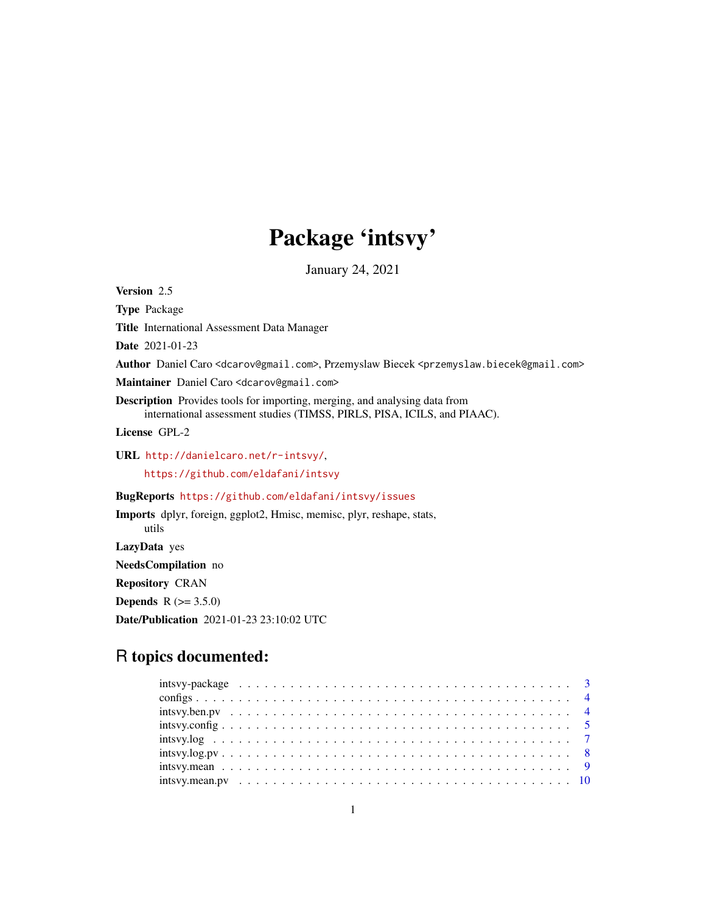# Package 'intsvy'

January 24, 2021

Version 2.5 Type Package Title International Assessment Data Manager Date 2021-01-23 Author Daniel Caro <dcarov@gmail.com>, Przemyslaw Biecek <przemyslaw.biecek@gmail.com> Maintainer Daniel Caro <dcarov@gmail.com> Description Provides tools for importing, merging, and analysing data from international assessment studies (TIMSS, PIRLS, PISA, ICILS, and PIAAC). License GPL-2 URL <http://danielcaro.net/r-intsvy/>, <https://github.com/eldafani/intsvy> BugReports <https://github.com/eldafani/intsvy/issues> Imports dplyr, foreign, ggplot2, Hmisc, memisc, plyr, reshape, stats, utils LazyData yes NeedsCompilation no Repository CRAN **Depends**  $R (= 3.5.0)$ 

Date/Publication 2021-01-23 23:10:02 UTC

# R topics documented:

| $intsvy(ben.py           4$                                                                         |
|-----------------------------------------------------------------------------------------------------|
|                                                                                                     |
|                                                                                                     |
| $intsvy.log.py \ldots \ldots \ldots \ldots \ldots \ldots \ldots \ldots \ldots \ldots \ldots \ldots$ |
|                                                                                                     |
|                                                                                                     |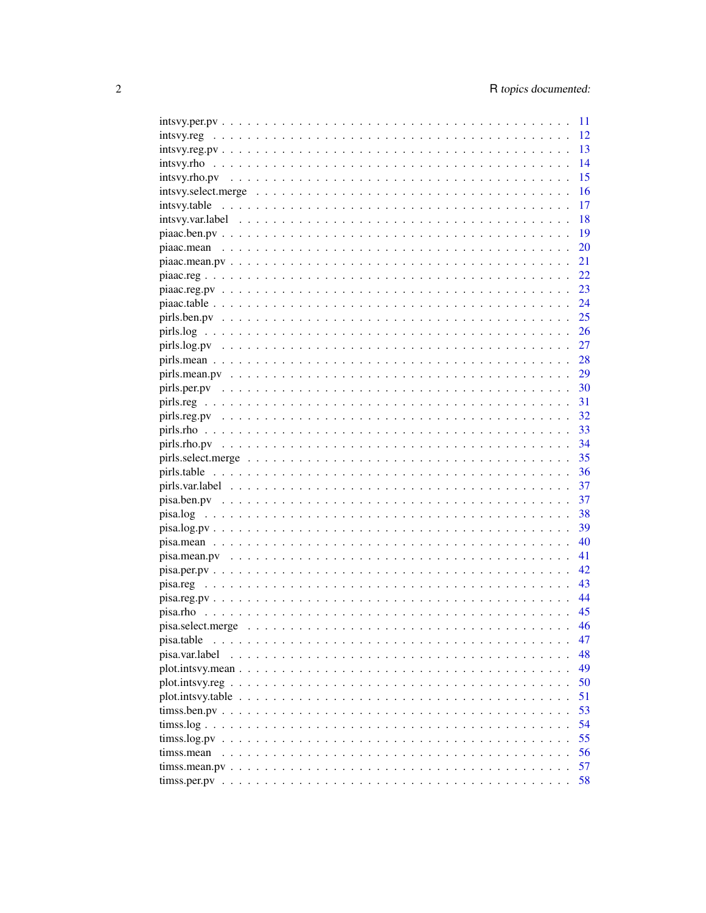| $intsvy.per.py \ldots \ldots \ldots \ldots \ldots \ldots \ldots \ldots \ldots$ | 11         |
|--------------------------------------------------------------------------------|------------|
|                                                                                | 12         |
|                                                                                | 13         |
|                                                                                | 14         |
|                                                                                | 15         |
|                                                                                | 16         |
|                                                                                | 17         |
|                                                                                | 18         |
|                                                                                | 19         |
|                                                                                | 20         |
|                                                                                | 21         |
|                                                                                | 22         |
|                                                                                | 23         |
|                                                                                | 24         |
|                                                                                | $\cdot$ 25 |
|                                                                                |            |
|                                                                                |            |
|                                                                                |            |
|                                                                                | 29         |
|                                                                                |            |
|                                                                                |            |
|                                                                                |            |
|                                                                                |            |
|                                                                                | 34         |
|                                                                                | 35         |
|                                                                                | 36         |
|                                                                                | 37         |
|                                                                                | 37         |
|                                                                                |            |
|                                                                                | 39         |
|                                                                                | 40         |
|                                                                                | 41         |
|                                                                                | 42         |
|                                                                                | 43         |
|                                                                                | 44         |
|                                                                                | 45         |
|                                                                                | 46         |
| pisa.table                                                                     | 47         |
| pisa.var.label                                                                 | 48         |
|                                                                                | 49         |
|                                                                                | 50         |
|                                                                                | 51         |
|                                                                                | 53         |
| tims. log                                                                      | 54         |
|                                                                                | 55         |
| timss.mean                                                                     | 56         |
|                                                                                | 57         |
|                                                                                | 58         |
|                                                                                |            |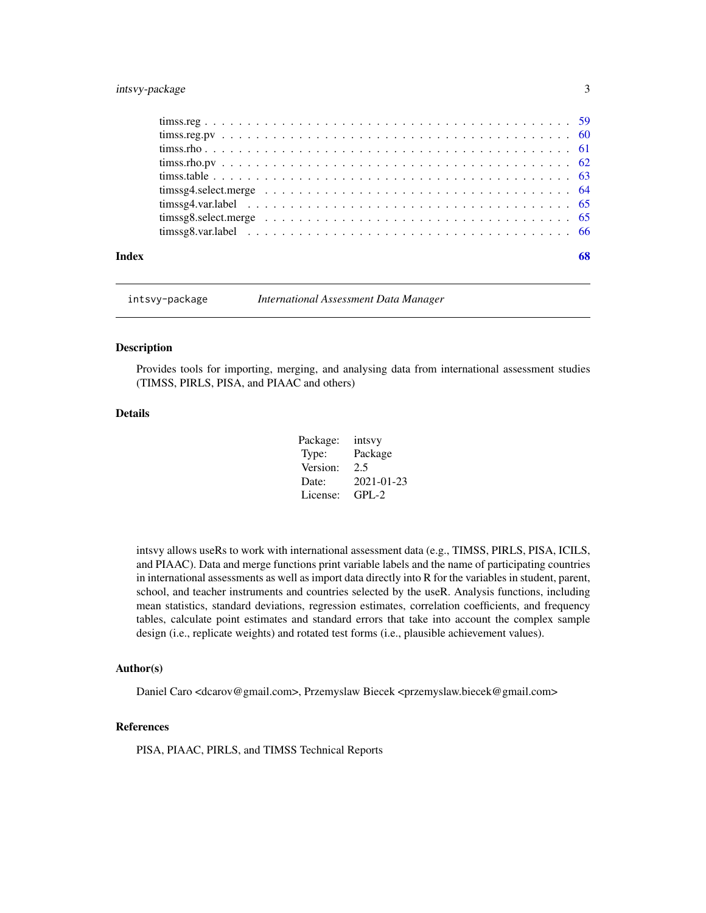# <span id="page-2-0"></span>intsvy-package 3

| Index | 68 |
|-------|----|

intsvy-package *International Assessment Data Manager*

#### Description

Provides tools for importing, merging, and analysing data from international assessment studies (TIMSS, PIRLS, PISA, and PIAAC and others)

#### Details

| Package: | intsvy     |
|----------|------------|
| Type:    | Package    |
| Version: | 2.5        |
| Date:    | 2021-01-23 |
| License: | $GPL-2$    |

intsvy allows useRs to work with international assessment data (e.g., TIMSS, PIRLS, PISA, ICILS, and PIAAC). Data and merge functions print variable labels and the name of participating countries in international assessments as well as import data directly into R for the variables in student, parent, school, and teacher instruments and countries selected by the useR. Analysis functions, including mean statistics, standard deviations, regression estimates, correlation coefficients, and frequency tables, calculate point estimates and standard errors that take into account the complex sample design (i.e., replicate weights) and rotated test forms (i.e., plausible achievement values).

#### Author(s)

Daniel Caro <dcarov@gmail.com>, Przemyslaw Biecek <przemyslaw.biecek@gmail.com>

#### References

PISA, PIAAC, PIRLS, and TIMSS Technical Reports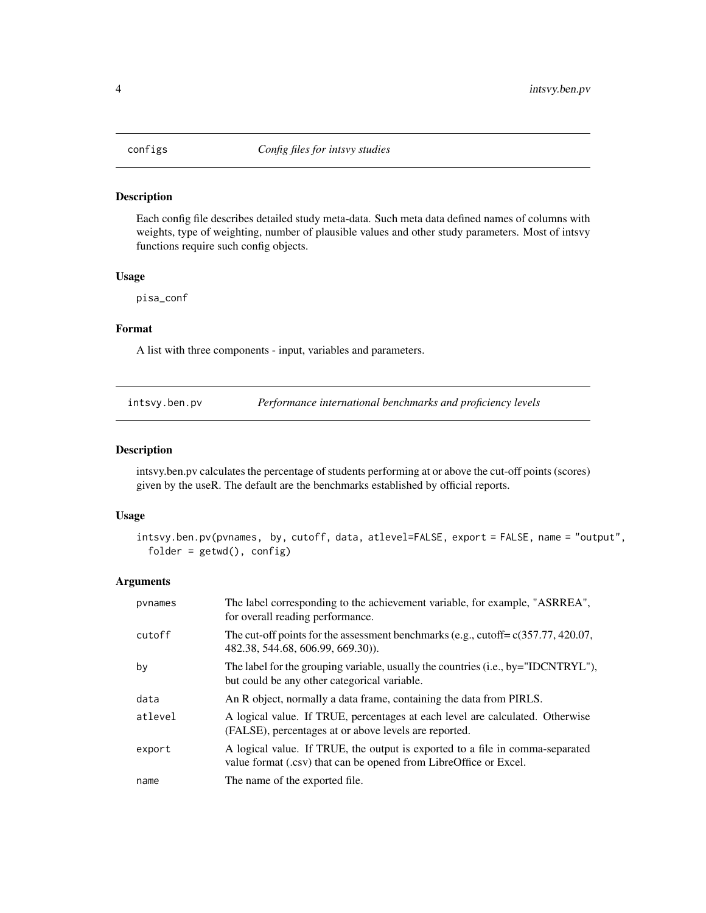<span id="page-3-0"></span>

Each config file describes detailed study meta-data. Such meta data defined names of columns with weights, type of weighting, number of plausible values and other study parameters. Most of intsvy functions require such config objects.

#### Usage

pisa\_conf

#### Format

A list with three components - input, variables and parameters.

intsvy.ben.pv *Performance international benchmarks and proficiency levels*

# Description

intsvy.ben.pv calculates the percentage of students performing at or above the cut-off points (scores) given by the useR. The default are the benchmarks established by official reports.

# Usage

```
intsvy.ben.pv(pvnames, by, cutoff, data, atlevel=FALSE, export = FALSE, name = "output",
  folder = getwd(), config)
```

| pynames | The label corresponding to the achievement variable, for example, "ASRREA",<br>for overall reading performance.                                    |
|---------|----------------------------------------------------------------------------------------------------------------------------------------------------|
| cutoff  | The cut-off points for the assessment benchmarks (e.g., cutoff= $c(357.77, 420.07,$<br>482.38, 544.68, 606.99, 669.30).                            |
| by      | The label for the grouping variable, usually the countries (i.e., by="IDCNTRYL"),<br>but could be any other categorical variable.                  |
| data    | An R object, normally a data frame, containing the data from PIRLS.                                                                                |
| atlevel | A logical value. If TRUE, percentages at each level are calculated. Otherwise<br>(FALSE), percentages at or above levels are reported.             |
| export  | A logical value. If TRUE, the output is exported to a file in comma-separated<br>value format (.csv) that can be opened from LibreOffice or Excel. |
| name    | The name of the exported file.                                                                                                                     |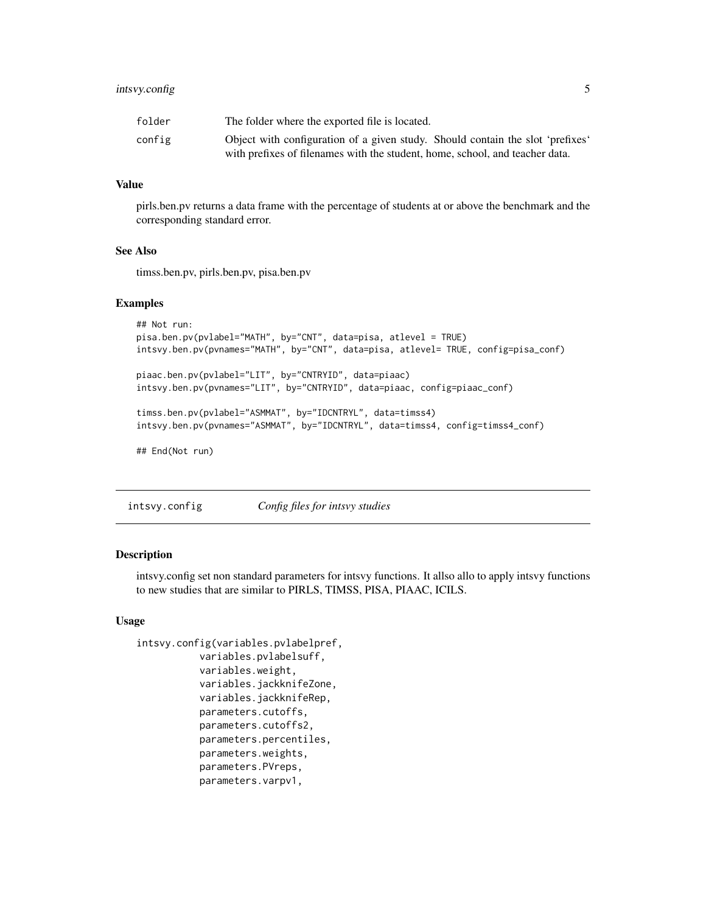# <span id="page-4-0"></span>intsvy.config 5

| folder | The folder where the exported file is located.                                 |
|--------|--------------------------------------------------------------------------------|
| config | Object with configuration of a given study. Should contain the slot 'prefixes' |
|        | with prefixes of filenames with the student, home, school, and teacher data.   |

#### Value

pirls.ben.pv returns a data frame with the percentage of students at or above the benchmark and the corresponding standard error.

# See Also

timss.ben.pv, pirls.ben.pv, pisa.ben.pv

#### Examples

```
## Not run:
pisa.ben.pv(pvlabel="MATH", by="CNT", data=pisa, atlevel = TRUE)
intsvy.ben.pv(pvnames="MATH", by="CNT", data=pisa, atlevel= TRUE, config=pisa_conf)
piaac.ben.pv(pvlabel="LIT", by="CNTRYID", data=piaac)
intsvy.ben.pv(pvnames="LIT", by="CNTRYID", data=piaac, config=piaac_conf)
timss.ben.pv(pvlabel="ASMMAT", by="IDCNTRYL", data=timss4)
intsvy.ben.pv(pvnames="ASMMAT", by="IDCNTRYL", data=timss4, config=timss4_conf)
## End(Not run)
```
intsvy.config *Config files for intsvy studies*

#### Description

intsvy.config set non standard parameters for intsvy functions. It allso allo to apply intsvy functions to new studies that are similar to PIRLS, TIMSS, PISA, PIAAC, ICILS.

```
intsvy.config(variables.pvlabelpref,
           variables.pvlabelsuff,
           variables.weight,
           variables.jackknifeZone,
           variables.jackknifeRep,
           parameters.cutoffs,
           parameters.cutoffs2,
           parameters.percentiles,
           parameters.weights,
           parameters.PVreps,
           parameters.varpv1,
```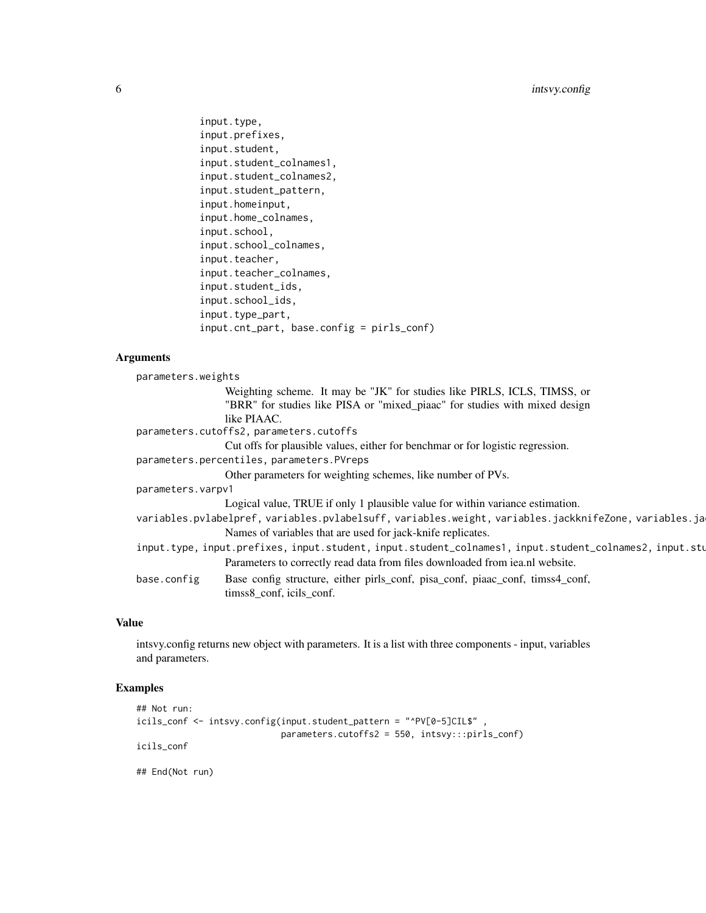```
input.type,
input.prefixes,
input.student,
input.student_colnames1,
input.student_colnames2,
input.student_pattern,
input.homeinput,
input.home_colnames,
input.school,
input.school_colnames,
input.teacher,
input.teacher_colnames,
input.student_ids,
input.school_ids,
input.type_part,
input.cnt_part, base.config = pirls_conf)
```
# Arguments

| parameters.weights |                                                                                                        |
|--------------------|--------------------------------------------------------------------------------------------------------|
|                    | Weighting scheme. It may be "JK" for studies like PIRLS, ICLS, TIMSS, or                               |
|                    | "BRR" for studies like PISA or "mixed_piaac" for studies with mixed design                             |
|                    | like PIAAC.                                                                                            |
|                    | parameters.cutoffs2, parameters.cutoffs                                                                |
|                    | Cut offs for plausible values, either for benchmar or for logistic regression.                         |
|                    | parameters.percentiles, parameters.PVreps                                                              |
|                    | Other parameters for weighting schemes, like number of PVs.                                            |
| parameters.varpv1  |                                                                                                        |
|                    | Logical value, TRUE if only 1 plausible value for within variance estimation.                          |
|                    | variables.pvlabelpref, variables.pvlabelsuff, variables.weight, variables.jackknifeZone, variables.ja  |
|                    | Names of variables that are used for jack-knife replicates.                                            |
|                    | input.type, input.prefixes, input.student, input.student_colnames1, input.student_colnames2, input.stu |
|                    | Parameters to correctly read data from files downloaded from iea.nl website.                           |
| base.config        | Base config structure, either pirls_conf, pisa_conf, piaac_conf, timss4_conf,                          |
|                    | timss8_conf, icils_conf.                                                                               |
|                    |                                                                                                        |

# Value

intsvy.config returns new object with parameters. It is a list with three components - input, variables and parameters.

```
## Not run:
icils_conf <- intsvy.config(input.student_pattern = "^PV[0-5]CIL$" ,
                           parameters.cutoffs2 = 550, intsvy:::pirls_conf)
icils_conf
## End(Not run)
```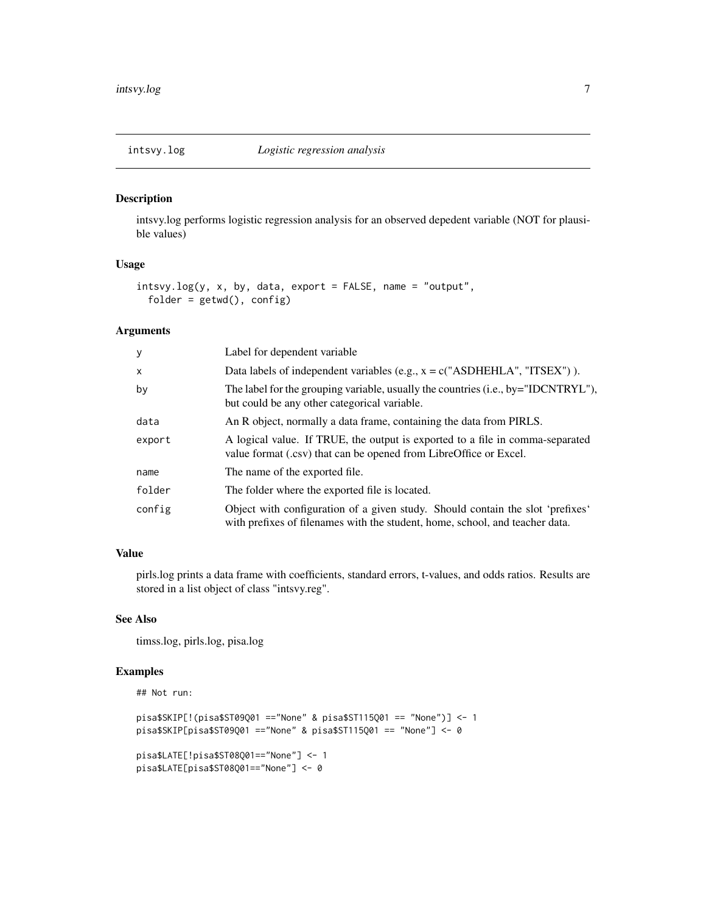<span id="page-6-0"></span>

intsvy.log performs logistic regression analysis for an observed depedent variable (NOT for plausible values)

#### Usage

```
intsvy.log(y, x, by, data, export = FALSE, name = "output",
 folder = getwd(), config)
```
# Arguments

| У      | Label for dependent variable                                                                                                                                   |
|--------|----------------------------------------------------------------------------------------------------------------------------------------------------------------|
| X      | Data labels of independent variables (e.g., $x = c("ASDHEHLA", "ITSEX")$ ).                                                                                    |
| by     | The label for the grouping variable, usually the countries (i.e., by="IDCNTRYL"),<br>but could be any other categorical variable.                              |
| data   | An R object, normally a data frame, containing the data from PIRLS.                                                                                            |
| export | A logical value. If TRUE, the output is exported to a file in comma-separated<br>value format (.csv) that can be opened from LibreOffice or Excel.             |
| name   | The name of the exported file.                                                                                                                                 |
| folder | The folder where the exported file is located.                                                                                                                 |
| config | Object with configuration of a given study. Should contain the slot 'prefixes'<br>with prefixes of filenames with the student, home, school, and teacher data. |

#### Value

pirls.log prints a data frame with coefficients, standard errors, t-values, and odds ratios. Results are stored in a list object of class "intsvy.reg".

# See Also

timss.log, pirls.log, pisa.log

```
## Not run:
```

```
pisa$SKIP[!(pisa$ST09Q01 =="None" & pisa$ST115Q01 == "None")] <- 1
pisa$SKIP[pisa$ST09Q01 =="None" & pisa$ST115Q01 == "None"] <- 0
pisa$LATE[!pisa$ST08Q01=="None"] <- 1
pisa$LATE[pisa$ST08Q01=="None"] <- 0
```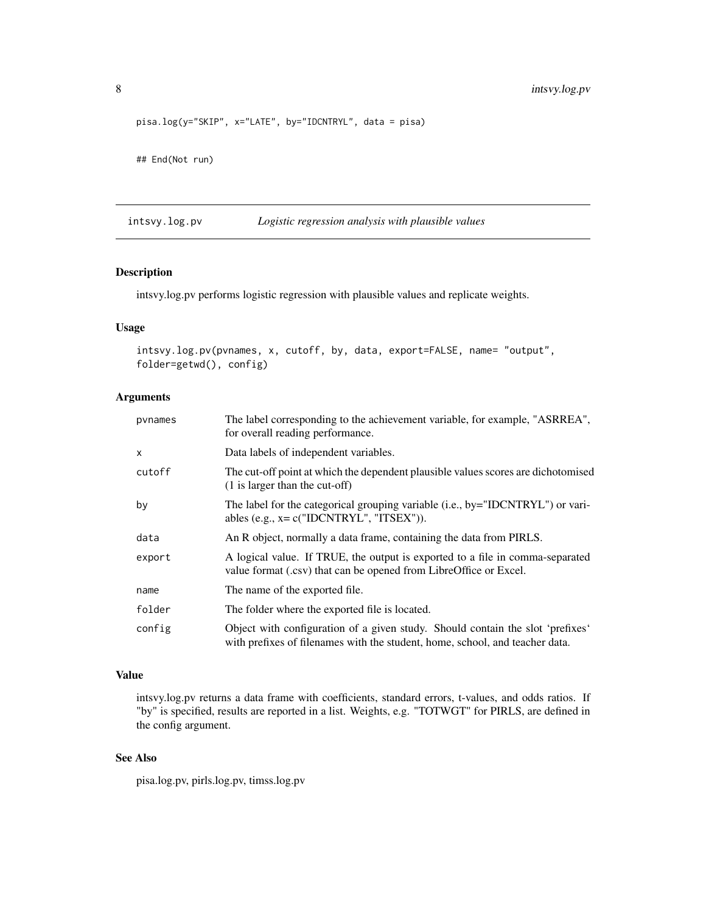```
pisa.log(y="SKIP", x="LATE", by="IDCNTRYL", data = pisa)
## End(Not run)
```
intsvy.log.pv *Logistic regression analysis with plausible values*

# Description

intsvy.log.pv performs logistic regression with plausible values and replicate weights.

#### Usage

```
intsvy.log.pv(pvnames, x, cutoff, by, data, export=FALSE, name= "output",
folder=getwd(), config)
```
# Arguments

| pynames | The label corresponding to the achievement variable, for example, "ASRREA",<br>for overall reading performance.                                                |
|---------|----------------------------------------------------------------------------------------------------------------------------------------------------------------|
| X       | Data labels of independent variables.                                                                                                                          |
| cutoff  | The cut-off point at which the dependent plausible values scores are dichotomised<br>$(1)$ is larger than the cut-off)                                         |
| by      | The label for the categorical grouping variable (i.e., by="IDCNTRYL") or vari-<br>ables (e.g., $x = c("IDCNTRYL", "ITSEX"))$ .                                 |
| data    | An R object, normally a data frame, containing the data from PIRLS.                                                                                            |
| export  | A logical value. If TRUE, the output is exported to a file in comma-separated<br>value format (.csv) that can be opened from LibreOffice or Excel.             |
| name    | The name of the exported file.                                                                                                                                 |
| folder  | The folder where the exported file is located.                                                                                                                 |
| config  | Object with configuration of a given study. Should contain the slot 'prefixes'<br>with prefixes of filenames with the student, home, school, and teacher data. |

# Value

intsvy.log.pv returns a data frame with coefficients, standard errors, t-values, and odds ratios. If "by" is specified, results are reported in a list. Weights, e.g. "TOTWGT" for PIRLS, are defined in the config argument.

# See Also

pisa.log.pv, pirls.log.pv, timss.log.pv

<span id="page-7-0"></span>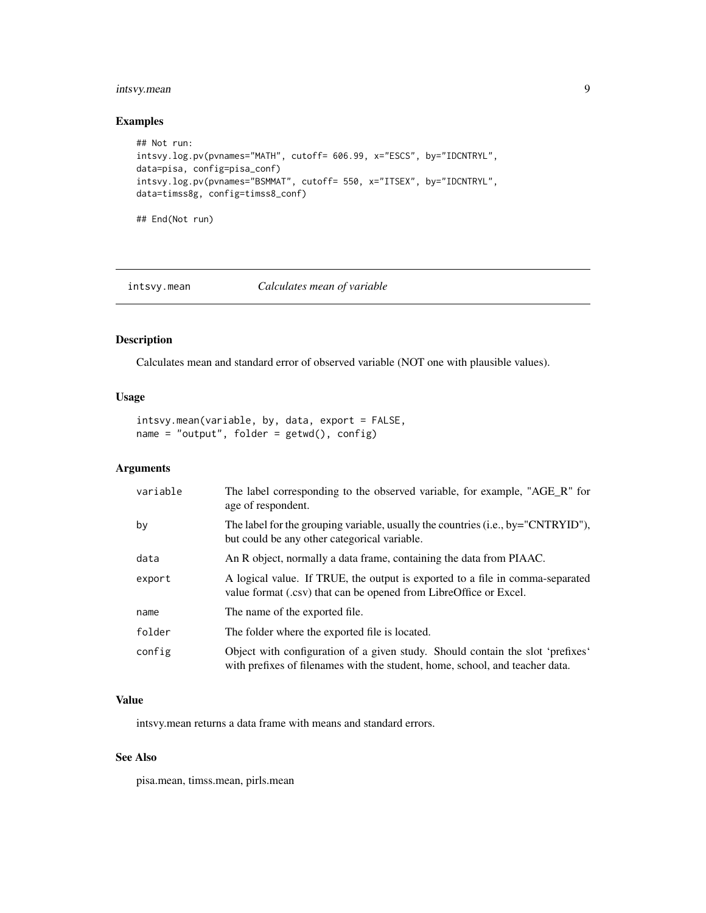# <span id="page-8-0"></span>intsvy.mean 9

# Examples

```
## Not run:
intsvy.log.pv(pvnames="MATH", cutoff= 606.99, x="ESCS", by="IDCNTRYL",
data=pisa, config=pisa_conf)
intsvy.log.pv(pvnames="BSMMAT", cutoff= 550, x="ITSEX", by="IDCNTRYL",
data=timss8g, config=timss8_conf)
```
## End(Not run)

intsvy.mean *Calculates mean of variable*

# Description

Calculates mean and standard error of observed variable (NOT one with plausible values).

# Usage

intsvy.mean(variable, by, data, export = FALSE, name = "output", folder = getwd(), config)

# Arguments

| variable | The label corresponding to the observed variable, for example, "AGE_R" for<br>age of respondent.                                                               |
|----------|----------------------------------------------------------------------------------------------------------------------------------------------------------------|
| by       | The label for the grouping variable, usually the countries (i.e., by="CNTRYID"),<br>but could be any other categorical variable.                               |
| data     | An R object, normally a data frame, containing the data from PIAAC.                                                                                            |
| export   | A logical value. If TRUE, the output is exported to a file in comma-separated<br>value format (.csv) that can be opened from LibreOffice or Excel.             |
| name     | The name of the exported file.                                                                                                                                 |
| folder   | The folder where the exported file is located.                                                                                                                 |
| config   | Object with configuration of a given study. Should contain the slot 'prefixes'<br>with prefixes of filenames with the student, home, school, and teacher data. |

#### Value

intsvy.mean returns a data frame with means and standard errors.

#### See Also

pisa.mean, timss.mean, pirls.mean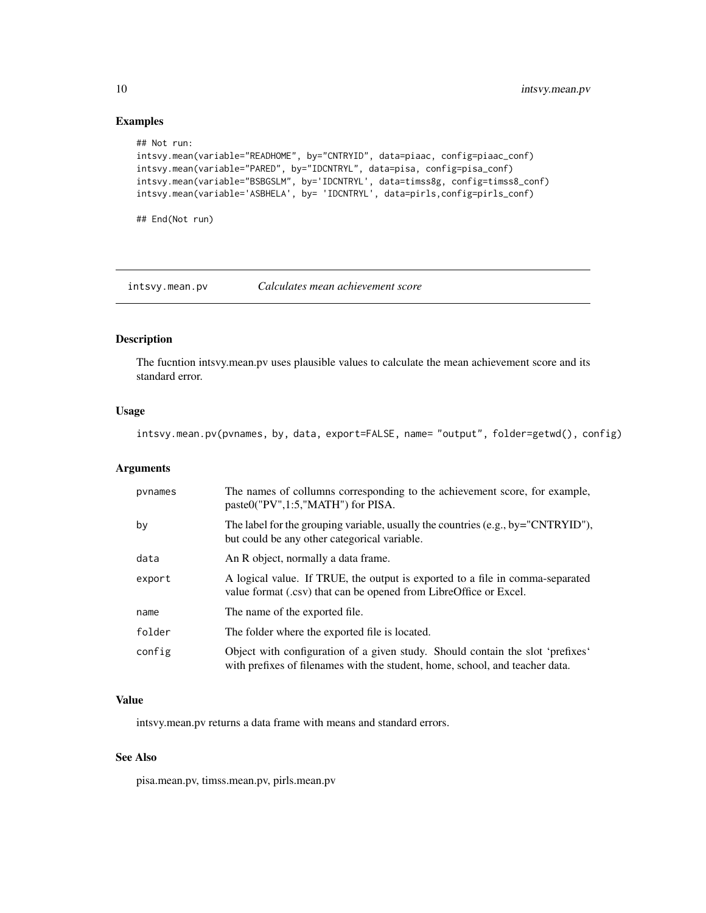# Examples

```
## Not run:
intsvy.mean(variable="READHOME", by="CNTRYID", data=piaac, config=piaac_conf)
intsvy.mean(variable="PARED", by="IDCNTRYL", data=pisa, config=pisa_conf)
intsvy.mean(variable="BSBGSLM", by='IDCNTRYL', data=timss8g, config=timss8_conf)
intsvy.mean(variable='ASBHELA', by= 'IDCNTRYL', data=pirls,config=pirls_conf)
```
## End(Not run)

intsvy.mean.pv *Calculates mean achievement score*

# Description

The fucntion intsvy.mean.pv uses plausible values to calculate the mean achievement score and its standard error.

#### Usage

intsvy.mean.pv(pvnames, by, data, export=FALSE, name= "output", folder=getwd(), config)

#### Arguments

| pynames | The names of collumns corresponding to the achievement score, for example,<br>paste0("PV",1:5,"MATH") for PISA.                                                |
|---------|----------------------------------------------------------------------------------------------------------------------------------------------------------------|
| by      | The label for the grouping variable, usually the countries $(e.g., by="CNTRYID")$ ,<br>but could be any other categorical variable.                            |
| data    | An R object, normally a data frame.                                                                                                                            |
| export  | A logical value. If TRUE, the output is exported to a file in comma-separated<br>value format (.csv) that can be opened from LibreOffice or Excel.             |
| name    | The name of the exported file.                                                                                                                                 |
| folder  | The folder where the exported file is located.                                                                                                                 |
| config  | Object with configuration of a given study. Should contain the slot 'prefixes'<br>with prefixes of filenames with the student, home, school, and teacher data. |

#### Value

intsvy.mean.pv returns a data frame with means and standard errors.

#### See Also

pisa.mean.pv, timss.mean.pv, pirls.mean.pv

<span id="page-9-0"></span>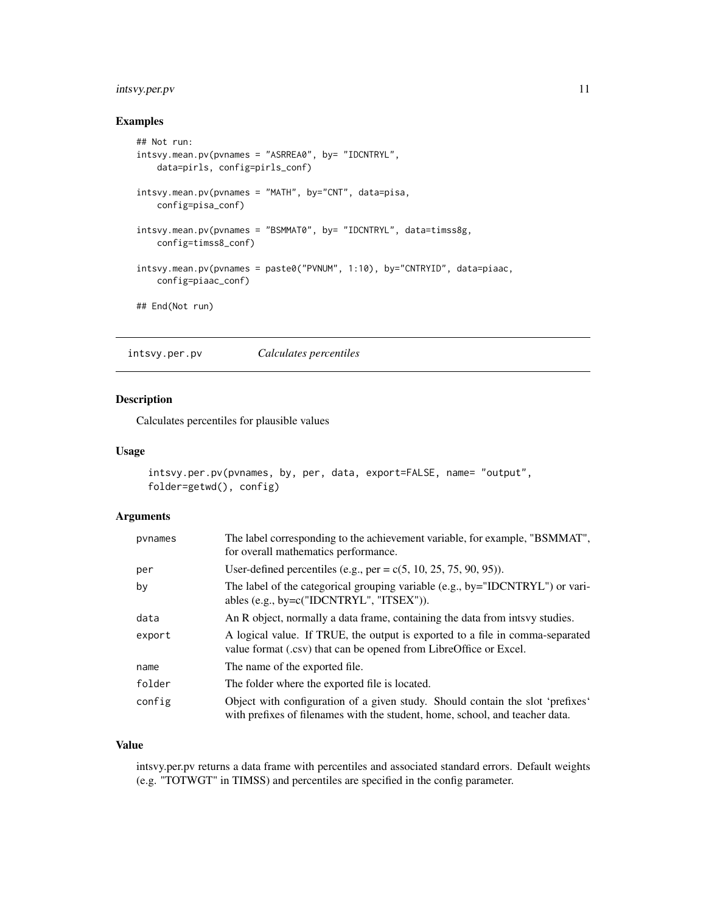# <span id="page-10-0"></span>intsvy.per.pv 11

# Examples

```
## Not run:
intsvy.mean.pv(pvnames = "ASRREA0", by= "IDCNTRYL",
   data=pirls, config=pirls_conf)
intsvy.mean.pv(pvnames = "MATH", by="CNT", data=pisa,
   config=pisa_conf)
intsvy.mean.pv(pvnames = "BSMMAT0", by= "IDCNTRYL", data=timss8g,
   config=timss8_conf)
intsvy.mean.pv(pvnames = paste0("PVNUM", 1:10), by="CNTRYID", data=piaac,
   config=piaac_conf)
## End(Not run)
```
intsvy.per.pv *Calculates percentiles*

# Description

Calculates percentiles for plausible values

# Usage

```
intsvy.per.pv(pvnames, by, per, data, export=FALSE, name= "output",
folder=getwd(), config)
```
#### Arguments

| pynames | The label corresponding to the achievement variable, for example, "BSMMAT",<br>for overall mathematics performance.                                            |
|---------|----------------------------------------------------------------------------------------------------------------------------------------------------------------|
| per     | User-defined percentiles (e.g., per = $c(5, 10, 25, 75, 90, 95)$ ).                                                                                            |
| by      | The label of the categorical grouping variable (e.g., by="IDCNTRYL") or vari-<br>ables (e.g., by=c("IDCNTRYL", "ITSEX")).                                      |
| data    | An R object, normally a data frame, containing the data from intsvy studies.                                                                                   |
| export  | A logical value. If TRUE, the output is exported to a file in comma-separated<br>value format (.csv) that can be opened from LibreOffice or Excel.             |
| name    | The name of the exported file.                                                                                                                                 |
| folder  | The folder where the exported file is located.                                                                                                                 |
| config  | Object with configuration of a given study. Should contain the slot 'prefixes'<br>with prefixes of filenames with the student, home, school, and teacher data. |

#### Value

intsvy.per.pv returns a data frame with percentiles and associated standard errors. Default weights (e.g. "TOTWGT" in TIMSS) and percentiles are specified in the config parameter.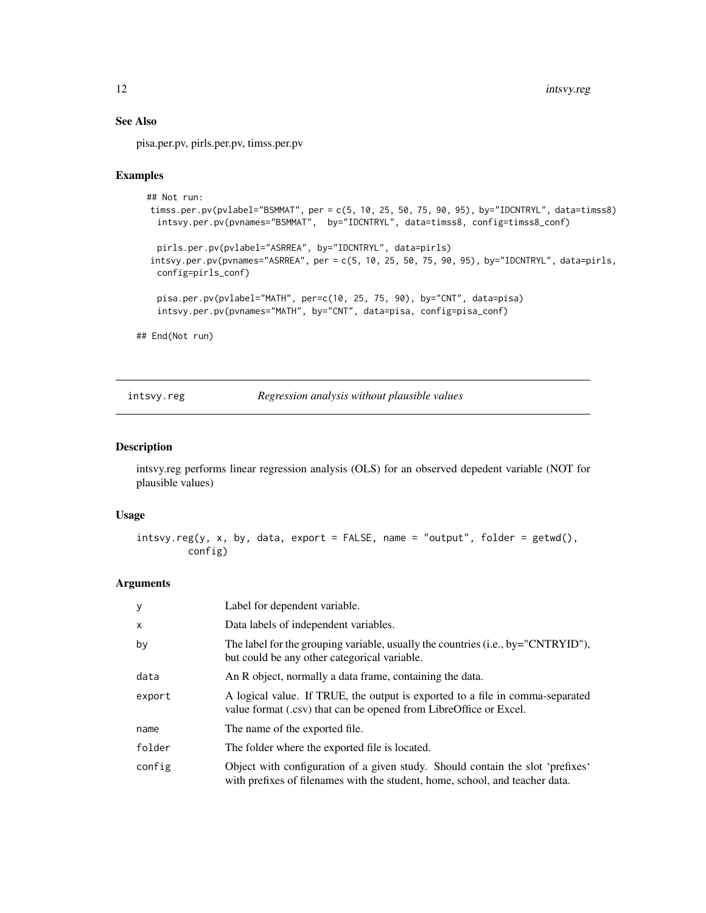# See Also

pisa.per.pv, pirls.per.pv, timss.per.pv

#### Examples

```
## Not run:
timss.per.pv(pvlabel="BSMMAT", per = c(5, 10, 25, 50, 75, 90, 95), by="IDCNTRYL", data=timss8)
  intsvy.per.pv(pvnames="BSMMAT", by="IDCNTRYL", data=timss8, config=timss8_conf)
 pirls.per.pv(pvlabel="ASRREA", by="IDCNTRYL", data=pirls)
intsvy.per.pv(pvnames="ASRREA", per = c(5, 10, 25, 50, 75, 90, 95), by="IDCNTRYL", data=pirls,
  config=pirls_conf)
  pisa.per.pv(pvlabel="MATH", per=c(10, 25, 75, 90), by="CNT", data=pisa)
  intsvy.per.pv(pvnames="MATH", by="CNT", data=pisa, config=pisa_conf)
```
## End(Not run)

#### intsvy.reg *Regression analysis without plausible values*

### Description

intsvy.reg performs linear regression analysis (OLS) for an observed depedent variable (NOT for plausible values)

# Usage

```
intsvy.reg(y, x, by, data, export = FALSE, name = "output", folder = getwd(),
         config)
```

| У      | Label for dependent variable.                                                                                                                                  |
|--------|----------------------------------------------------------------------------------------------------------------------------------------------------------------|
| X      | Data labels of independent variables.                                                                                                                          |
| by     | The label for the grouping variable, usually the countries $(i.e., by="CNTRYID")$ ,<br>but could be any other categorical variable.                            |
| data   | An R object, normally a data frame, containing the data.                                                                                                       |
| export | A logical value. If TRUE, the output is exported to a file in comma-separated<br>value format (.csv) that can be opened from LibreOffice or Excel.             |
| name   | The name of the exported file.                                                                                                                                 |
| folder | The folder where the exported file is located.                                                                                                                 |
| config | Object with configuration of a given study. Should contain the slot 'prefixes'<br>with prefixes of filenames with the student, home, school, and teacher data. |

<span id="page-11-0"></span>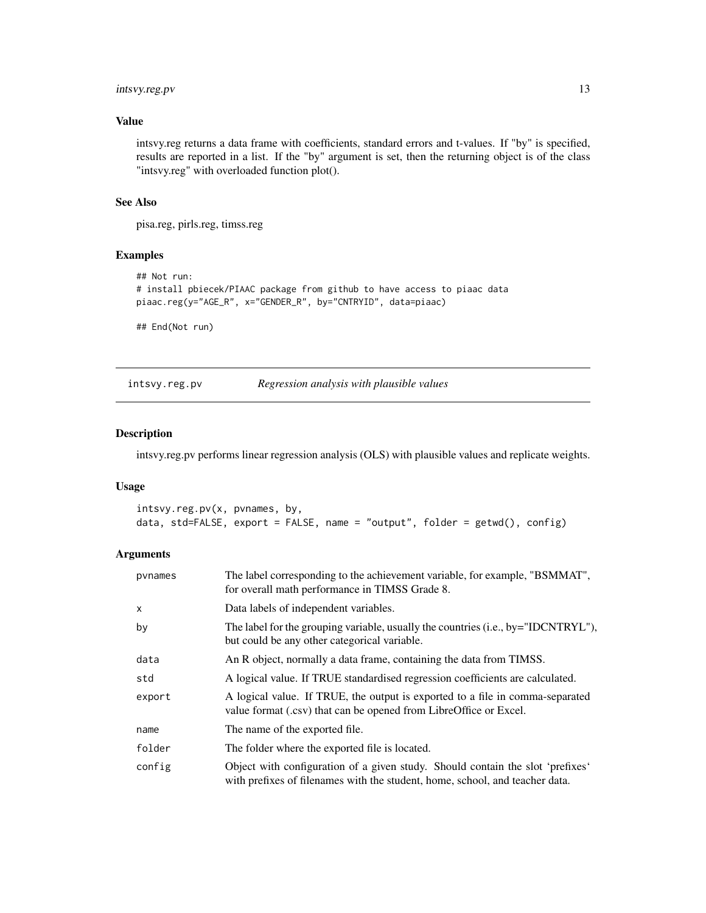# <span id="page-12-0"></span>intsvy.reg.pv 13

#### Value

intsvy.reg returns a data frame with coefficients, standard errors and t-values. If "by" is specified, results are reported in a list. If the "by" argument is set, then the returning object is of the class "intsvy.reg" with overloaded function plot().

# See Also

pisa.reg, pirls.reg, timss.reg

# Examples

```
## Not run:
# install pbiecek/PIAAC package from github to have access to piaac data
piaac.reg(y="AGE_R", x="GENDER_R", by="CNTRYID", data=piaac)
```
## End(Not run)

intsvy.reg.pv *Regression analysis with plausible values*

#### Description

intsvy.reg.pv performs linear regression analysis (OLS) with plausible values and replicate weights.

#### Usage

```
intsvy.reg.pv(x, pvnames, by,
data, std=FALSE, export = FALSE, name = "output", folder = getwd(), config)
```

| pynames | The label corresponding to the achievement variable, for example, "BSMMAT",<br>for overall math performance in TIMSS Grade 8.                                  |  |  |
|---------|----------------------------------------------------------------------------------------------------------------------------------------------------------------|--|--|
| x       | Data labels of independent variables.                                                                                                                          |  |  |
| by      | The label for the grouping variable, usually the countries (i.e., by="IDCNTRYL"),<br>but could be any other categorical variable.                              |  |  |
| data    | An R object, normally a data frame, containing the data from TIMSS.                                                                                            |  |  |
| std     | A logical value. If TRUE standardised regression coefficients are calculated.                                                                                  |  |  |
| export  | A logical value. If TRUE, the output is exported to a file in comma-separated<br>value format (.csv) that can be opened from LibreOffice or Excel.             |  |  |
| name    | The name of the exported file.                                                                                                                                 |  |  |
| folder  | The folder where the exported file is located.                                                                                                                 |  |  |
| config  | Object with configuration of a given study. Should contain the slot 'prefixes'<br>with prefixes of filenames with the student, home, school, and teacher data. |  |  |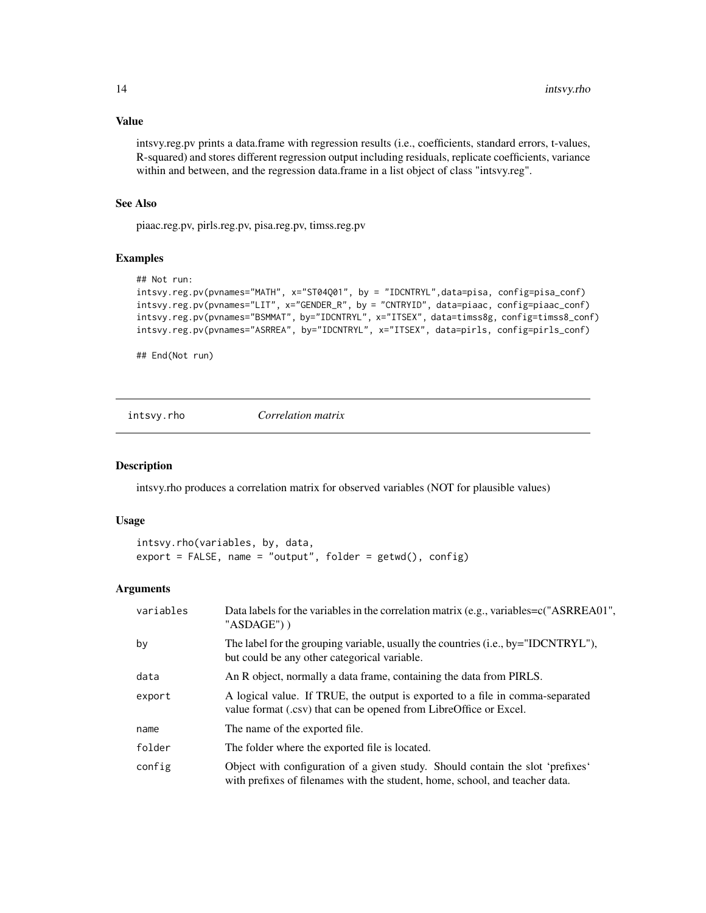# Value

intsvy.reg.pv prints a data.frame with regression results (i.e., coefficients, standard errors, t-values, R-squared) and stores different regression output including residuals, replicate coefficients, variance within and between, and the regression data.frame in a list object of class "intsvy.reg".

# See Also

piaac.reg.pv, pirls.reg.pv, pisa.reg.pv, timss.reg.pv

#### Examples

```
## Not run:
intsvy.reg.pv(pvnames="MATH", x="ST04Q01", by = "IDCNTRYL",data=pisa, config=pisa_conf)
intsvy.reg.pv(pvnames="LIT", x="GENDER_R", by = "CNTRYID", data=piaac, config=piaac_conf)
intsvy.reg.pv(pvnames="BSMMAT", by="IDCNTRYL", x="ITSEX", data=timss8g, config=timss8_conf)
intsvy.reg.pv(pvnames="ASRREA", by="IDCNTRYL", x="ITSEX", data=pirls, config=pirls_conf)
```
## End(Not run)

intsvy.rho *Correlation matrix*

#### Description

intsvy.rho produces a correlation matrix for observed variables (NOT for plausible values)

# Usage

```
intsvy.rho(variables, by, data,
export = FALSE, name = "output", folder = getwd(), config)
```

| variables | Data labels for the variables in the correlation matrix (e.g., variables=c("ASRREA01",<br>"ASDAGE"))                                                           |  |
|-----------|----------------------------------------------------------------------------------------------------------------------------------------------------------------|--|
| by        | The label for the grouping variable, usually the countries (i.e., by="IDCNTRYL"),<br>but could be any other categorical variable.                              |  |
| data      | An R object, normally a data frame, containing the data from PIRLS.                                                                                            |  |
| export    | A logical value. If TRUE, the output is exported to a file in comma-separated<br>value format (.csv) that can be opened from LibreOffice or Excel.             |  |
| name      | The name of the exported file.                                                                                                                                 |  |
| folder    | The folder where the exported file is located.                                                                                                                 |  |
| config    | Object with configuration of a given study. Should contain the slot 'prefixes'<br>with prefixes of filenames with the student, home, school, and teacher data. |  |

<span id="page-13-0"></span>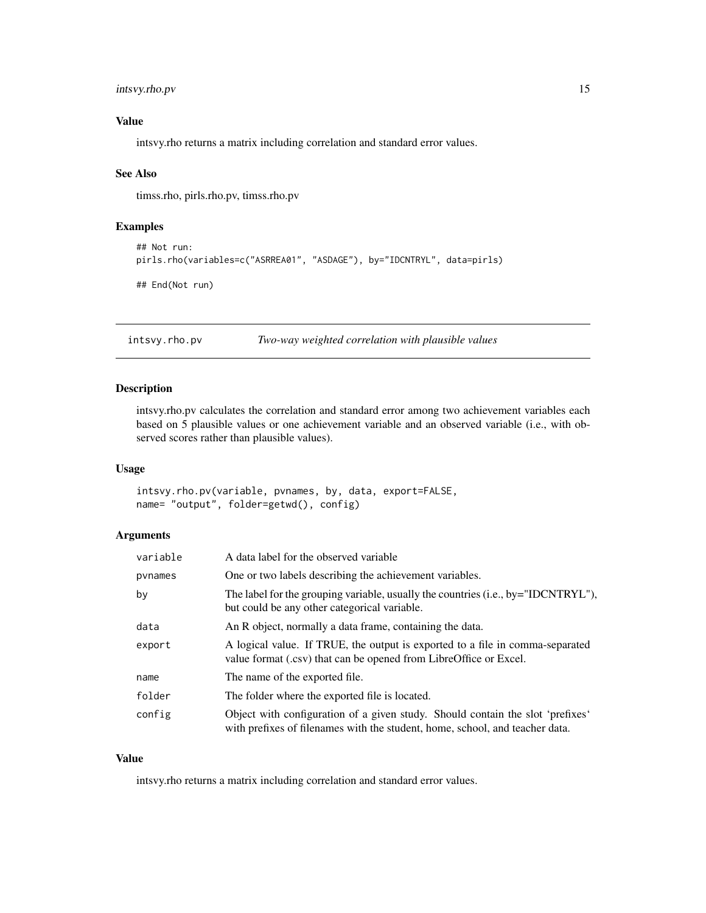# <span id="page-14-0"></span>intsvy.rho.pv 15

# Value

intsvy.rho returns a matrix including correlation and standard error values.

#### See Also

timss.rho, pirls.rho.pv, timss.rho.pv

#### Examples

```
## Not run:
pirls.rho(variables=c("ASRREA01", "ASDAGE"), by="IDCNTRYL", data=pirls)
## End(Not run)
```
intsvy.rho.pv *Two-way weighted correlation with plausible values*

#### Description

intsvy.rho.pv calculates the correlation and standard error among two achievement variables each based on 5 plausible values or one achievement variable and an observed variable (i.e., with observed scores rather than plausible values).

# Usage

```
intsvy.rho.pv(variable, pvnames, by, data, export=FALSE,
name= "output", folder=getwd(), config)
```
#### Arguments

| variable | A data label for the observed variable                                                                                                                         |  |
|----------|----------------------------------------------------------------------------------------------------------------------------------------------------------------|--|
| pynames  | One or two labels describing the achievement variables.                                                                                                        |  |
| by       | The label for the grouping variable, usually the countries (i.e., by="IDCNTRYL"),<br>but could be any other categorical variable.                              |  |
| data     | An R object, normally a data frame, containing the data.                                                                                                       |  |
| export   | A logical value. If TRUE, the output is exported to a file in comma-separated<br>value format (.csv) that can be opened from LibreOffice or Excel.             |  |
| name     | The name of the exported file.                                                                                                                                 |  |
| folder   | The folder where the exported file is located.                                                                                                                 |  |
| config   | Object with configuration of a given study. Should contain the slot 'prefixes'<br>with prefixes of filenames with the student, home, school, and teacher data. |  |

#### Value

intsvy.rho returns a matrix including correlation and standard error values.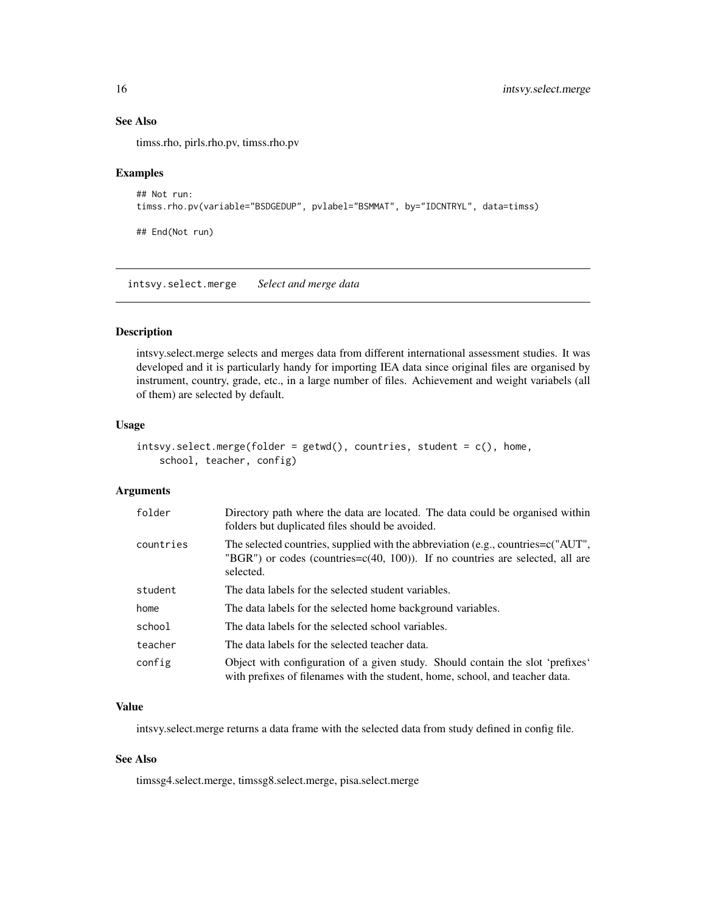# See Also

timss.rho, pirls.rho.pv, timss.rho.pv

#### Examples

```
## Not run:
timss.rho.pv(variable="BSDGEDUP", pvlabel="BSMMAT", by="IDCNTRYL", data=timss)
```
## End(Not run)

intsvy.select.merge *Select and merge data*

# Description

intsvy.select.merge selects and merges data from different international assessment studies. It was developed and it is particularly handy for importing IEA data since original files are organised by instrument, country, grade, etc., in a large number of files. Achievement and weight variabels (all of them) are selected by default.

# Usage

```
int svy.sleepct.merge(folder = getwd(), countries, student = c(), home,school, teacher, config)
```
#### Arguments

| folder    | Directory path where the data are located. The data could be organised within<br>folders but duplicated files should be avoided.                                                      |  |  |
|-----------|---------------------------------------------------------------------------------------------------------------------------------------------------------------------------------------|--|--|
| countries | The selected countries, supplied with the abbreviation (e.g., countries= $c("AUT",$<br>"BGR") or codes (countries= $c(40, 100)$ ). If no countries are selected, all are<br>selected. |  |  |
| student   | The data labels for the selected student variables.                                                                                                                                   |  |  |
| home      | The data labels for the selected home background variables.                                                                                                                           |  |  |
| school    | The data labels for the selected school variables.                                                                                                                                    |  |  |
| teacher   | The data labels for the selected teacher data.                                                                                                                                        |  |  |
| config    | Object with configuration of a given study. Should contain the slot 'prefixes'<br>with prefixes of filenames with the student, home, school, and teacher data.                        |  |  |

# Value

intsvy.select.merge returns a data frame with the selected data from study defined in config file.

#### See Also

timssg4.select.merge, timssg8.select.merge, pisa.select.merge

<span id="page-15-0"></span>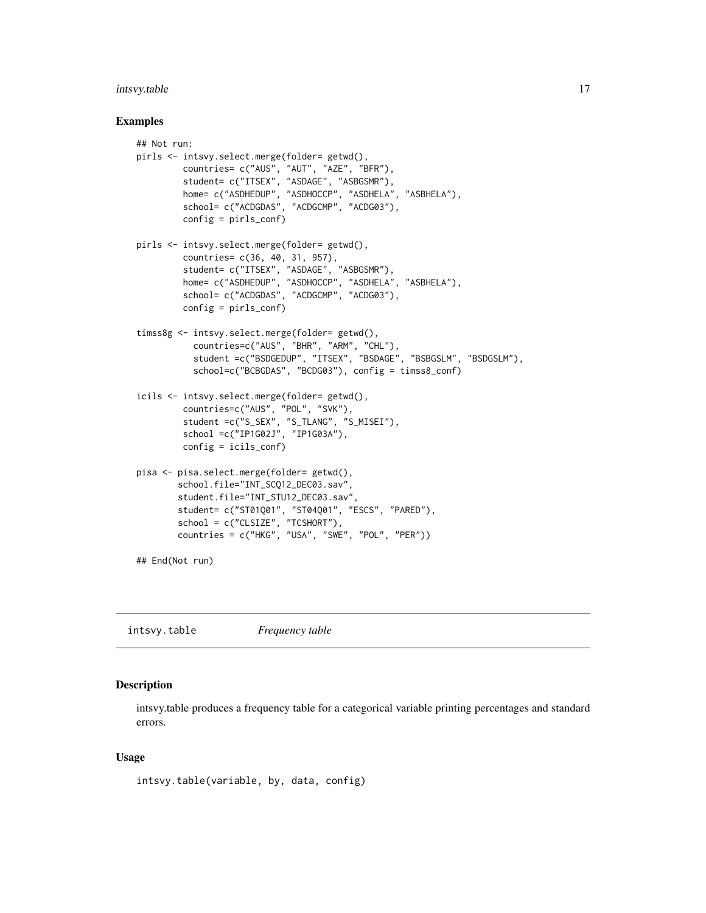# <span id="page-16-0"></span>intsvy.table 17

#### Examples

```
## Not run:
pirls <- intsvy.select.merge(folder= getwd(),
         countries= c("AUS", "AUT", "AZE", "BFR"),
         student= c("ITSEX", "ASDAGE", "ASBGSMR"),
         home= c("ASDHEDUP", "ASDHOCCP", "ASDHELA", "ASBHELA"),
         school= c("ACDGDAS", "ACDGCMP", "ACDG03"),
         config = pirls_conf)
pirls <- intsvy.select.merge(folder= getwd(),
        countries= c(36, 40, 31, 957),
         student= c("ITSEX", "ASDAGE", "ASBGSMR"),
        home= c("ASDHEDUP", "ASDHOCCP", "ASDHELA", "ASBHELA"),
         school= c("ACDGDAS", "ACDGCMP", "ACDG03"),
        config = pirls_conf)
timss8g <- intsvy.select.merge(folder= getwd(),
           countries=c("AUS", "BHR", "ARM", "CHL"),
           student =c("BSDGEDUP", "ITSEX", "BSDAGE", "BSBGSLM", "BSDGSLM"),
           school=c("BCBGDAS", "BCDG03"), config = timss8_conf)
icils <- intsvy.select.merge(folder= getwd(),
         countries=c("AUS", "POL", "SVK"),
         student =c("S_SEX", "S_TLANG", "S_MISEI"),
         school =c("IP1G02J", "IP1G03A"),
         config = icils_conf)
pisa <- pisa.select.merge(folder= getwd(),
        school.file="INT_SCQ12_DEC03.sav",
        student.file="INT_STU12_DEC03.sav",
        student= c("ST01Q01", "ST04Q01", "ESCS", "PARED"),
        school = c("CLSIZE", "TCSHORT"),
        countries = c("HKG", "USA", "SWE", "POL", "PER"))
## End(Not run)
```
intsvy.table *Frequency table*

# Description

intsvy.table produces a frequency table for a categorical variable printing percentages and standard errors.

```
intsvy.table(variable, by, data, config)
```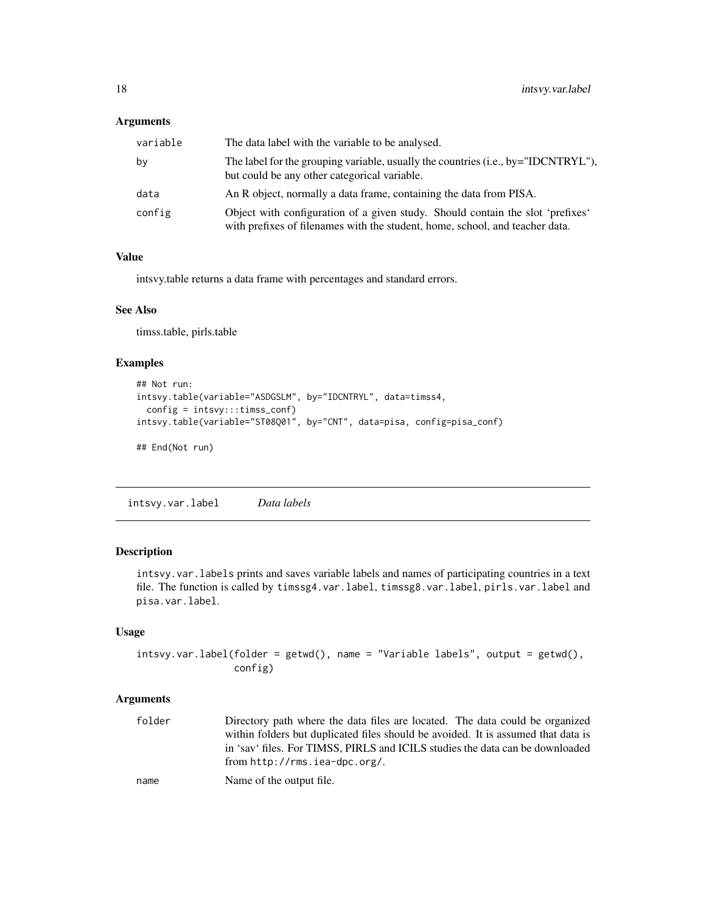#### <span id="page-17-0"></span>Arguments

| variable | The data label with the variable to be analysed.                                                                                                               |
|----------|----------------------------------------------------------------------------------------------------------------------------------------------------------------|
| by       | The label for the grouping variable, usually the countries (i.e., by="IDCNTRYL"),<br>but could be any other categorical variable.                              |
| data     | An R object, normally a data frame, containing the data from PISA.                                                                                             |
| config   | Object with configuration of a given study. Should contain the slot 'prefixes'<br>with prefixes of filenames with the student, home, school, and teacher data. |

#### Value

intsvy.table returns a data frame with percentages and standard errors.

# See Also

timss.table, pirls.table

# Examples

```
## Not run:
intsvy.table(variable="ASDGSLM", by="IDCNTRYL", data=timss4,
  config = intsvy:::timss_conf)
intsvy.table(variable="ST08Q01", by="CNT", data=pisa, config=pisa_conf)
## End(Not run)
```
intsvy.var.label *Data labels*

# Description

intsvy.var.labels prints and saves variable labels and names of participating countries in a text file. The function is called by timssg4.var.label, timssg8.var.label, pirls.var.label and pisa.var.label.

# Usage

```
intsvy.var.label(folder = getwd(), name = "Variable labels", output = getwd(),
                 config)
```

| folder | Directory path where the data files are located. The data could be organized      |
|--------|-----------------------------------------------------------------------------------|
|        | within folders but duplicated files should be avoided. It is assumed that data is |
|        | in 'say' files. For TIMSS, PIRLS and ICILS studies the data can be downloaded     |
|        | from $http://rms.iea-dpc.org/.$                                                   |
| name   | Name of the output file.                                                          |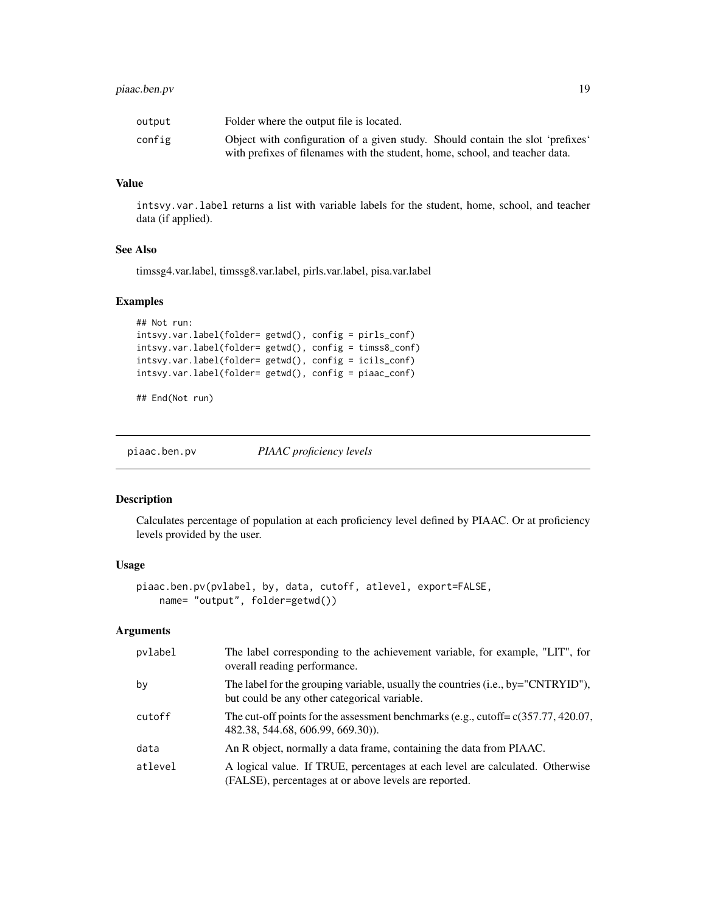# <span id="page-18-0"></span>piaac.ben.pv 19

| output | Folder where the output file is located.                                       |
|--------|--------------------------------------------------------------------------------|
| config | Object with configuration of a given study. Should contain the slot 'prefixes' |
|        | with prefixes of filenames with the student, home, school, and teacher data.   |

# Value

intsvy.var.label returns a list with variable labels for the student, home, school, and teacher data (if applied).

#### See Also

timssg4.var.label, timssg8.var.label, pirls.var.label, pisa.var.label

#### Examples

```
## Not run:
intsvy.var.label(folder= getwd(), config = pirls_conf)
intsvy.var.label(folder= getwd(), config = timss8_conf)
intsvy.var.label(folder= getwd(), config = icils_conf)
intsvy.var.label(folder= getwd(), config = piaac_conf)
```
## End(Not run)

piaac.ben.pv *PIAAC proficiency levels*

#### Description

Calculates percentage of population at each proficiency level defined by PIAAC. Or at proficiency levels provided by the user.

#### Usage

```
piaac.ben.pv(pvlabel, by, data, cutoff, atlevel, export=FALSE,
   name= "output", folder=getwd())
```

| pvlabel | The label corresponding to the achievement variable, for example, "LIT", for<br>overall reading performance.                           |
|---------|----------------------------------------------------------------------------------------------------------------------------------------|
| by      | The label for the grouping variable, usually the countries (i.e., by="CNTRYID"),<br>but could be any other categorical variable.       |
| cutoff  | The cut-off points for the assessment benchmarks (e.g., cutoff= $c(357.77, 420.07,$<br>482.38, 544.68, 606.99, 669.30).                |
| data    | An R object, normally a data frame, containing the data from PIAAC.                                                                    |
| atlevel | A logical value. If TRUE, percentages at each level are calculated. Otherwise<br>(FALSE), percentages at or above levels are reported. |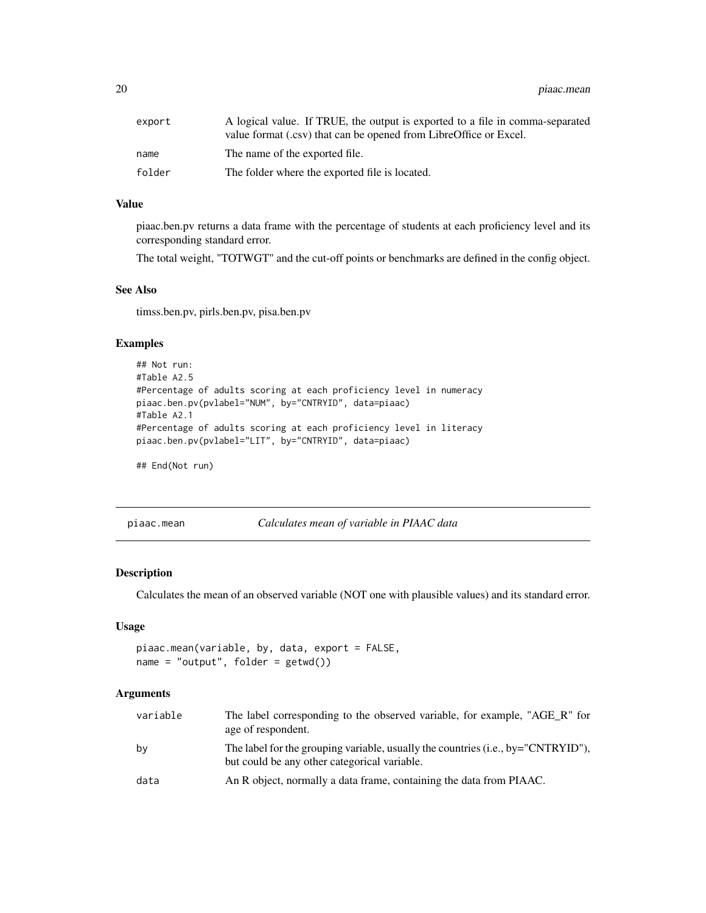<span id="page-19-0"></span>20 piaac.mean

| export | A logical value. If TRUE, the output is exported to a file in comma-separated<br>value format (.csv) that can be opened from LibreOffice or Excel. |
|--------|----------------------------------------------------------------------------------------------------------------------------------------------------|
| name   | The name of the exported file.                                                                                                                     |
| folder | The folder where the exported file is located.                                                                                                     |

# Value

piaac.ben.pv returns a data frame with the percentage of students at each proficiency level and its corresponding standard error.

The total weight, "TOTWGT" and the cut-off points or benchmarks are defined in the config object.

#### See Also

timss.ben.pv, pirls.ben.pv, pisa.ben.pv

#### Examples

```
## Not run:
#Table A2.5
#Percentage of adults scoring at each proficiency level in numeracy
piaac.ben.pv(pvlabel="NUM", by="CNTRYID", data=piaac)
#Table A2.1
#Percentage of adults scoring at each proficiency level in literacy
piaac.ben.pv(pvlabel="LIT", by="CNTRYID", data=piaac)
```
## End(Not run)

| piaac.mean |  |
|------------|--|
|            |  |

piaac.mean *Calculates mean of variable in PIAAC data*

#### Description

Calculates the mean of an observed variable (NOT one with plausible values) and its standard error.

# Usage

```
piaac.mean(variable, by, data, export = FALSE,
name = "output", folder = getwd()
```

| variable | The label corresponding to the observed variable, for example, "AGE R" for<br>age of respondent.                                    |
|----------|-------------------------------------------------------------------------------------------------------------------------------------|
| bv       | The label for the grouping variable, usually the countries $(i.e., by="CNTRYID")$ ,<br>but could be any other categorical variable. |
| data     | An R object, normally a data frame, containing the data from PIAAC.                                                                 |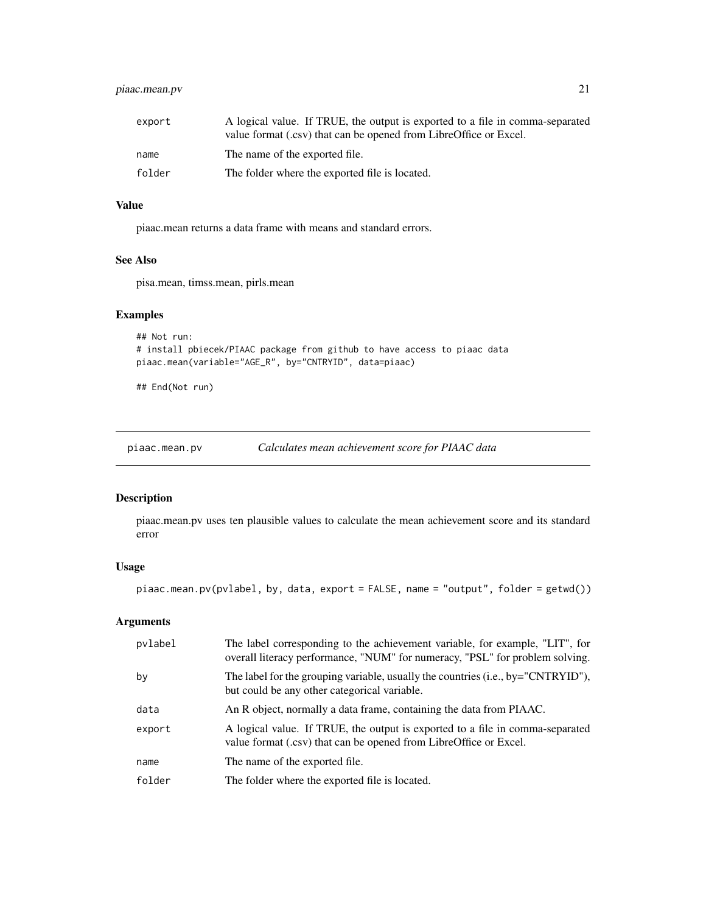# <span id="page-20-0"></span>piaac.mean.pv 21

| export | A logical value. If TRUE, the output is exported to a file in comma-separated<br>value format (.csv) that can be opened from LibreOffice or Excel. |
|--------|----------------------------------------------------------------------------------------------------------------------------------------------------|
| name   | The name of the exported file.                                                                                                                     |
| folder | The folder where the exported file is located.                                                                                                     |

# Value

piaac.mean returns a data frame with means and standard errors.

#### See Also

pisa.mean, timss.mean, pirls.mean

# Examples

```
## Not run:
# install pbiecek/PIAAC package from github to have access to piaac data
piaac.mean(variable="AGE_R", by="CNTRYID", data=piaac)
```
## End(Not run)

piaac.mean.pv *Calculates mean achievement score for PIAAC data*

#### Description

piaac.mean.pv uses ten plausible values to calculate the mean achievement score and its standard error

# Usage

piaac.mean.pv(pvlabel, by, data, export = FALSE, name = "output", folder = getwd())

| pvlabel | The label corresponding to the achievement variable, for example, "LIT", for<br>overall literacy performance, "NUM" for numeracy, "PSL" for problem solving. |
|---------|--------------------------------------------------------------------------------------------------------------------------------------------------------------|
| by      | The label for the grouping variable, usually the countries (i.e., by="CNTRYID"),<br>but could be any other categorical variable.                             |
| data    | An R object, normally a data frame, containing the data from PIAAC.                                                                                          |
| export  | A logical value. If TRUE, the output is exported to a file in comma-separated<br>value format (.csv) that can be opened from LibreOffice or Excel.           |
| name    | The name of the exported file.                                                                                                                               |
| folder  | The folder where the exported file is located.                                                                                                               |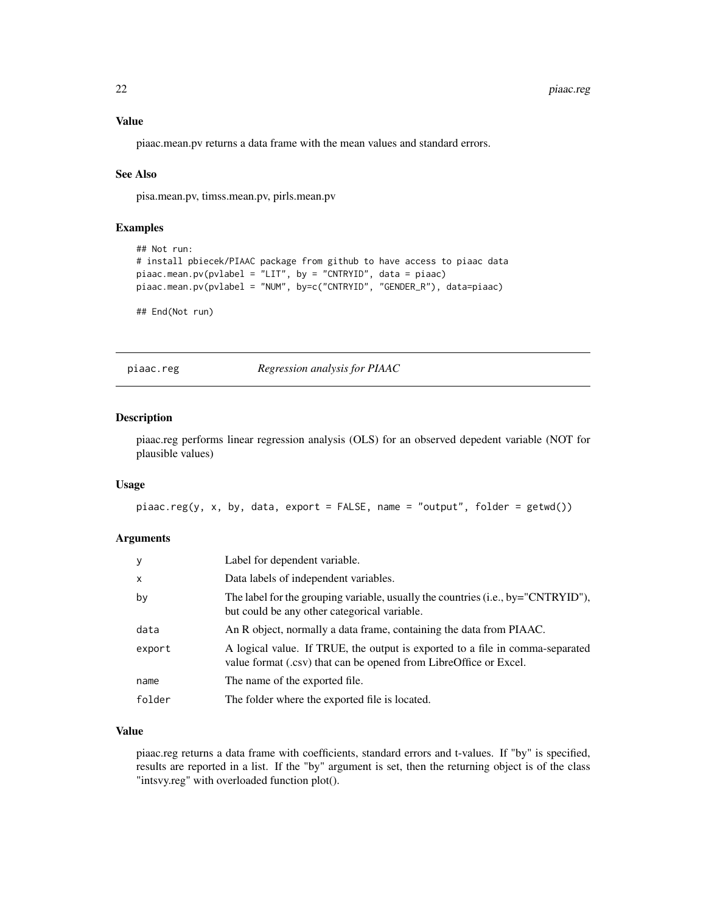#### <span id="page-21-0"></span>Value

piaac.mean.pv returns a data frame with the mean values and standard errors.

# See Also

pisa.mean.pv, timss.mean.pv, pirls.mean.pv

# Examples

```
## Not run:
# install pbiecek/PIAAC package from github to have access to piaac data
piaac.mean.pv(pvlabel = "LIT", by = "CNTRYID", data = piaac)
piaac.mean.pv(pvlabel = "NUM", by=c("CNTRYID", "GENDER_R"), data=piaac)
```
## End(Not run)

piaac.reg *Regression analysis for PIAAC*

# Description

piaac.reg performs linear regression analysis (OLS) for an observed depedent variable (NOT for plausible values)

#### Usage

```
piaac.reg(y, x, by, data, export = FALSE, name = "output", folder = getwd())
```
# Arguments

| y        | Label for dependent variable.                                                                                                                      |
|----------|----------------------------------------------------------------------------------------------------------------------------------------------------|
| $\times$ | Data labels of independent variables.                                                                                                              |
| by       | The label for the grouping variable, usually the countries $(i.e., by="CNTRYID")$ ,<br>but could be any other categorical variable.                |
| data     | An R object, normally a data frame, containing the data from PIAAC.                                                                                |
| export   | A logical value. If TRUE, the output is exported to a file in comma-separated<br>value format (.csv) that can be opened from LibreOffice or Excel. |
| name     | The name of the exported file.                                                                                                                     |
| folder   | The folder where the exported file is located.                                                                                                     |

#### Value

piaac.reg returns a data frame with coefficients, standard errors and t-values. If "by" is specified, results are reported in a list. If the "by" argument is set, then the returning object is of the class "intsvy.reg" with overloaded function plot().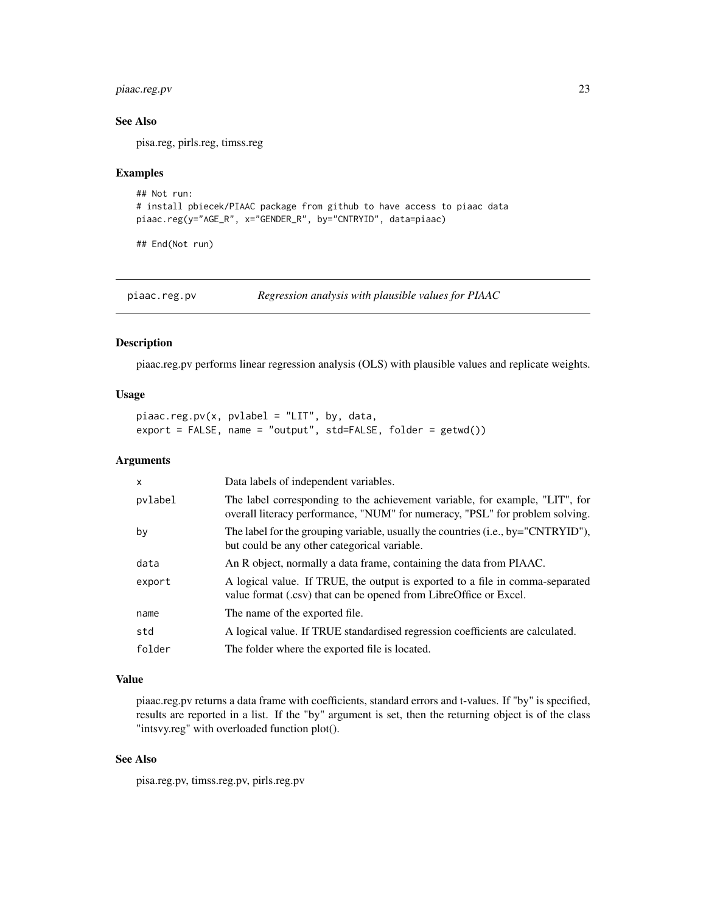# <span id="page-22-0"></span>piaac.reg.pv 23

#### See Also

pisa.reg, pirls.reg, timss.reg

#### Examples

```
## Not run:
# install pbiecek/PIAAC package from github to have access to piaac data
piaac.reg(y="AGE_R", x="GENDER_R", by="CNTRYID", data=piaac)
```
## End(Not run)

piaac.reg.pv *Regression analysis with plausible values for PIAAC*

#### Description

piaac.reg.pv performs linear regression analysis (OLS) with plausible values and replicate weights.

#### Usage

```
piaac.reg.py(x, pvlabel = "LIT", by, data,export = FALSE, name = "output", std=FALSE, folder = getwd())
```
# Arguments

| $\mathsf{x}$ | Data labels of independent variables.                                                                                                                        |
|--------------|--------------------------------------------------------------------------------------------------------------------------------------------------------------|
| pvlabel      | The label corresponding to the achievement variable, for example, "LIT", for<br>overall literacy performance, "NUM" for numeracy, "PSL" for problem solving. |
| by           | The label for the grouping variable, usually the countries $(i.e., by="CNTRYID")$ ,<br>but could be any other categorical variable.                          |
| data         | An R object, normally a data frame, containing the data from PIAAC.                                                                                          |
| export       | A logical value. If TRUE, the output is exported to a file in comma-separated<br>value format (.csv) that can be opened from LibreOffice or Excel.           |
| name         | The name of the exported file.                                                                                                                               |
| std          | A logical value. If TRUE standardised regression coefficients are calculated.                                                                                |
| folder       | The folder where the exported file is located.                                                                                                               |

# Value

piaac.reg.pv returns a data frame with coefficients, standard errors and t-values. If "by" is specified, results are reported in a list. If the "by" argument is set, then the returning object is of the class "intsvy.reg" with overloaded function plot().

# See Also

pisa.reg.pv, timss.reg.pv, pirls.reg.pv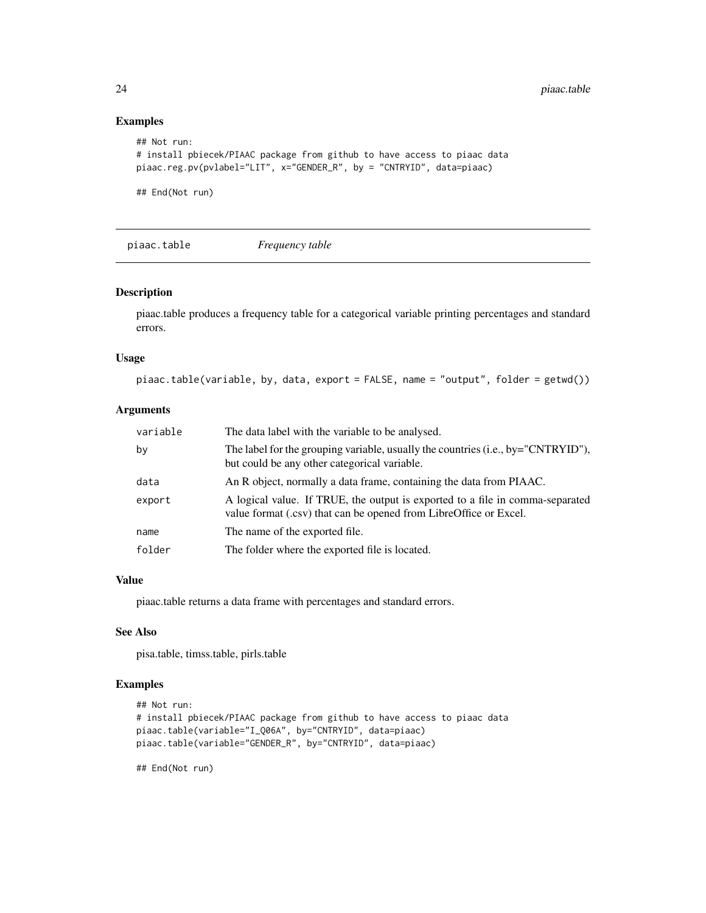# Examples

```
## Not run:
# install pbiecek/PIAAC package from github to have access to piaac data
piaac.reg.pv(pvlabel="LIT", x="GENDER_R", by = "CNTRYID", data=piaac)
## End(Not run)
```
piaac.table *Frequency table*

#### Description

piaac.table produces a frequency table for a categorical variable printing percentages and standard errors.

#### Usage

piaac.table(variable, by, data, export = FALSE, name = "output", folder = getwd())

#### Arguments

| variable | The data label with the variable to be analysed.                                                                                                   |
|----------|----------------------------------------------------------------------------------------------------------------------------------------------------|
| by       | The label for the grouping variable, usually the countries (i.e., by="CNTRYID"),<br>but could be any other categorical variable.                   |
| data     | An R object, normally a data frame, containing the data from PIAAC.                                                                                |
| export   | A logical value. If TRUE, the output is exported to a file in comma-separated<br>value format (.csv) that can be opened from LibreOffice or Excel. |
| name     | The name of the exported file.                                                                                                                     |
| folder   | The folder where the exported file is located.                                                                                                     |

#### Value

piaac.table returns a data frame with percentages and standard errors.

#### See Also

pisa.table, timss.table, pirls.table

# Examples

```
## Not run:
# install pbiecek/PIAAC package from github to have access to piaac data
piaac.table(variable="I_Q06A", by="CNTRYID", data=piaac)
piaac.table(variable="GENDER_R", by="CNTRYID", data=piaac)
```
<span id="page-23-0"></span>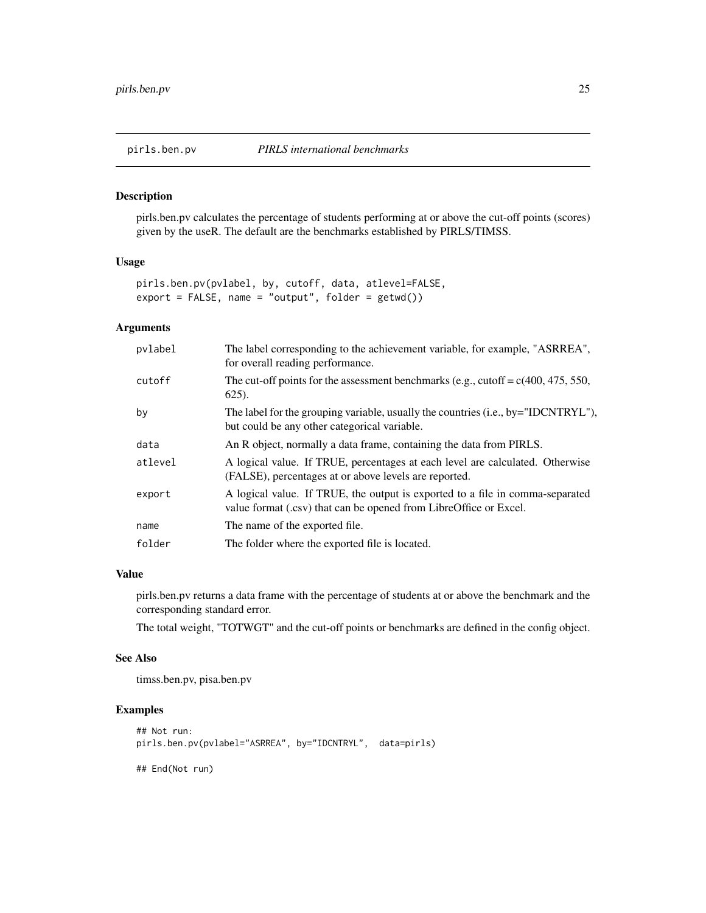<span id="page-24-0"></span>

pirls.ben.pv calculates the percentage of students performing at or above the cut-off points (scores) given by the useR. The default are the benchmarks established by PIRLS/TIMSS.

#### Usage

```
pirls.ben.pv(pvlabel, by, cutoff, data, atlevel=FALSE,
export = FALSE, name = "output", folder = getwd())
```
# Arguments

| pvlabel | The label corresponding to the achievement variable, for example, "ASRREA",<br>for overall reading performance.                                    |
|---------|----------------------------------------------------------------------------------------------------------------------------------------------------|
| cutoff  | The cut-off points for the assessment benchmarks (e.g., cutoff = $c(400, 475, 550,$<br>$625$ ).                                                    |
| by      | The label for the grouping variable, usually the countries (i.e., by="IDCNTRYL"),<br>but could be any other categorical variable.                  |
| data    | An R object, normally a data frame, containing the data from PIRLS.                                                                                |
| atlevel | A logical value. If TRUE, percentages at each level are calculated. Otherwise<br>(FALSE), percentages at or above levels are reported.             |
| export  | A logical value. If TRUE, the output is exported to a file in comma-separated<br>value format (.csv) that can be opened from LibreOffice or Excel. |
| name    | The name of the exported file.                                                                                                                     |
| folder  | The folder where the exported file is located.                                                                                                     |

# Value

pirls.ben.pv returns a data frame with the percentage of students at or above the benchmark and the corresponding standard error.

The total weight, "TOTWGT" and the cut-off points or benchmarks are defined in the config object.

#### See Also

timss.ben.pv, pisa.ben.pv

```
## Not run:
pirls.ben.pv(pvlabel="ASRREA", by="IDCNTRYL", data=pirls)
## End(Not run)
```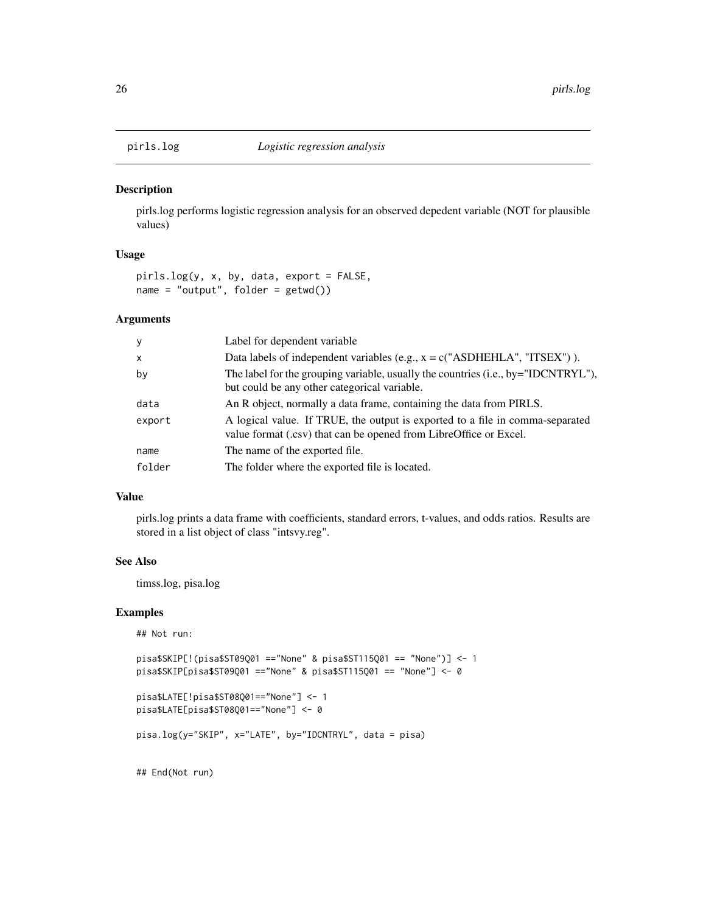<span id="page-25-0"></span>

pirls.log performs logistic regression analysis for an observed depedent variable (NOT for plausible values)

# Usage

pirls.log(y, x, by, data, export = FALSE, name = "output", folder = getwd())

#### Arguments

| $\mathbf{y}$ | Label for dependent variable                                                                                                                       |
|--------------|----------------------------------------------------------------------------------------------------------------------------------------------------|
| $\mathsf{x}$ | Data labels of independent variables (e.g., $x = c("ASDHEHLA", "ITSEX")$ ).                                                                        |
| by           | The label for the grouping variable, usually the countries (i.e., by="IDCNTRYL"),<br>but could be any other categorical variable.                  |
| data         | An R object, normally a data frame, containing the data from PIRLS.                                                                                |
| export       | A logical value. If TRUE, the output is exported to a file in comma-separated<br>value format (.csv) that can be opened from LibreOffice or Excel. |
| name         | The name of the exported file.                                                                                                                     |
| folder       | The folder where the exported file is located.                                                                                                     |

#### Value

pirls.log prints a data frame with coefficients, standard errors, t-values, and odds ratios. Results are stored in a list object of class "intsvy.reg".

#### See Also

timss.log, pisa.log

#### Examples

```
## Not run:
```

```
pisa$SKIP[!(pisa$ST09Q01 =="None" & pisa$ST115Q01 == "None")] <- 1
pisa$SKIP[pisa$ST09Q01 =="None" & pisa$ST115Q01 == "None"] <- 0
```

```
pisa$LATE[!pisa$ST08Q01=="None"] <- 1
```

```
pisa$LATE[pisa$ST08Q01=="None"] <- 0
```

```
pisa.log(y="SKIP", x="LATE", by="IDCNTRYL", data = pisa)
```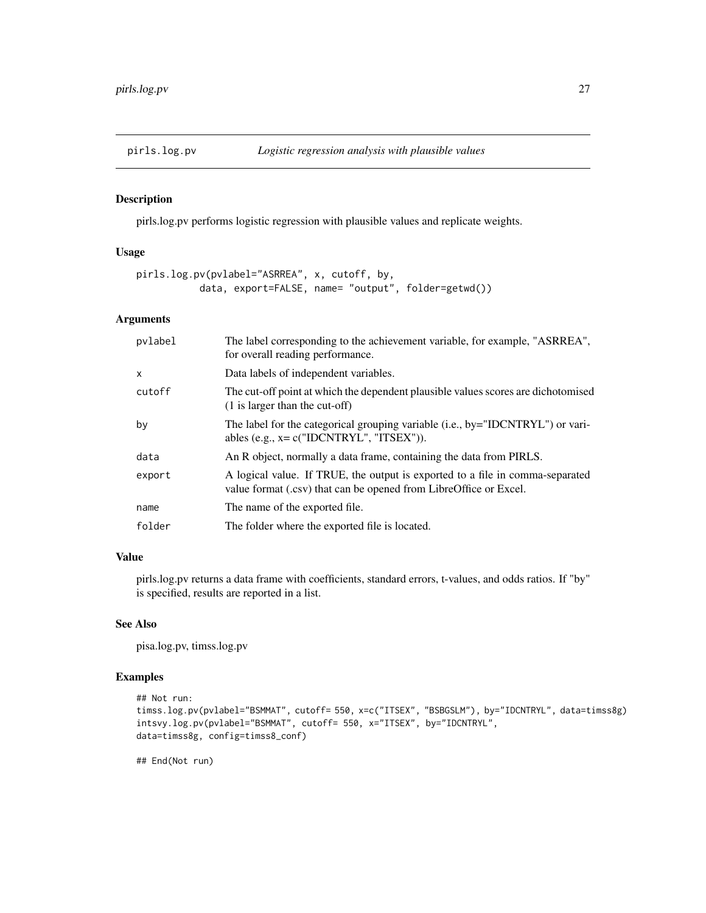<span id="page-26-0"></span>

pirls.log.pv performs logistic regression with plausible values and replicate weights.

#### Usage

```
pirls.log.pv(pvlabel="ASRREA", x, cutoff, by,
           data, export=FALSE, name= "output", folder=getwd())
```
#### Arguments

| pvlabel      | The label corresponding to the achievement variable, for example, "ASRREA",<br>for overall reading performance.                                    |
|--------------|----------------------------------------------------------------------------------------------------------------------------------------------------|
| $\mathsf{x}$ | Data labels of independent variables.                                                                                                              |
| cutoff       | The cut-off point at which the dependent plausible values scores are dichotomised<br>(1 is larger than the cut-off)                                |
| by           | The label for the categorical grouping variable (i.e., by="IDCNTRYL") or vari-<br>ables (e.g., $x = c("IDCNTRYL", "ITSEX"))$ .                     |
| data         | An R object, normally a data frame, containing the data from PIRLS.                                                                                |
| export       | A logical value. If TRUE, the output is exported to a file in comma-separated<br>value format (.csv) that can be opened from LibreOffice or Excel. |
| name         | The name of the exported file.                                                                                                                     |
| folder       | The folder where the exported file is located.                                                                                                     |
|              |                                                                                                                                                    |

# Value

pirls.log.pv returns a data frame with coefficients, standard errors, t-values, and odds ratios. If "by" is specified, results are reported in a list.

#### See Also

pisa.log.pv, timss.log.pv

# Examples

```
## Not run:
timss.log.pv(pvlabel="BSMMAT", cutoff= 550, x=c("ITSEX", "BSBGSLM"), by="IDCNTRYL", data=timss8g)
intsvy.log.pv(pvlabel="BSMMAT", cutoff= 550, x="ITSEX", by="IDCNTRYL",
data=timss8g, config=timss8_conf)
```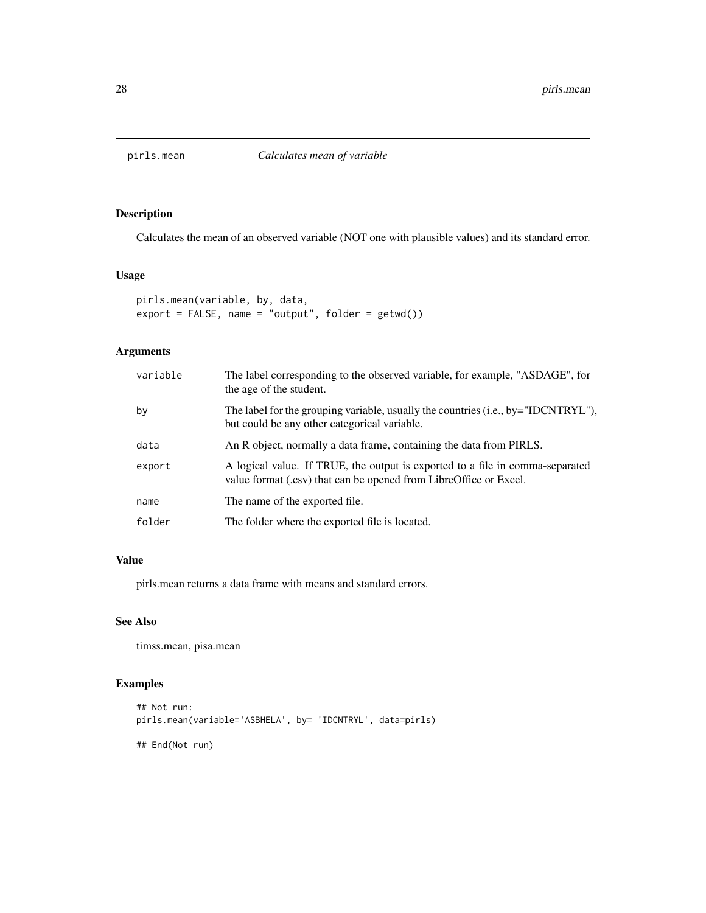<span id="page-27-0"></span>

Calculates the mean of an observed variable (NOT one with plausible values) and its standard error.

#### Usage

```
pirls.mean(variable, by, data,
export = FALSE, name = "output", folder = getwd())
```
# Arguments

| variable | The label corresponding to the observed variable, for example, "ASDAGE", for<br>the age of the student.                                            |
|----------|----------------------------------------------------------------------------------------------------------------------------------------------------|
| by       | The label for the grouping variable, usually the countries (i.e., by="IDCNTRYL"),<br>but could be any other categorical variable.                  |
| data     | An R object, normally a data frame, containing the data from PIRLS.                                                                                |
| export   | A logical value. If TRUE, the output is exported to a file in comma-separated<br>value format (.csv) that can be opened from LibreOffice or Excel. |
| name     | The name of the exported file.                                                                                                                     |
| folder   | The folder where the exported file is located.                                                                                                     |

#### Value

pirls.mean returns a data frame with means and standard errors.

# See Also

timss.mean, pisa.mean

```
## Not run:
pirls.mean(variable='ASBHELA', by= 'IDCNTRYL', data=pirls)
## End(Not run)
```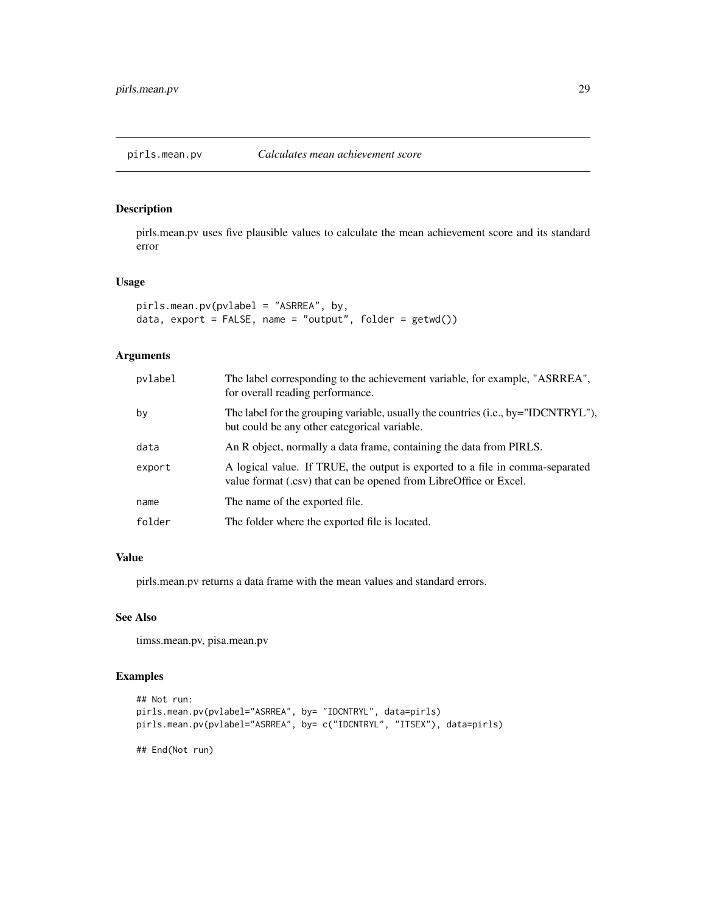<span id="page-28-0"></span>

pirls.mean.pv uses five plausible values to calculate the mean achievement score and its standard error

#### Usage

```
pirls.mean.pv(pvlabel = "ASRREA", by,
data, export = FALSE, name = "output", folder = getwd())
```
# Arguments

| pvlabel | The label corresponding to the achievement variable, for example, "ASRREA",<br>for overall reading performance.                                    |
|---------|----------------------------------------------------------------------------------------------------------------------------------------------------|
| by      | The label for the grouping variable, usually the countries (i.e., by="IDCNTRYL"),<br>but could be any other categorical variable.                  |
| data    | An R object, normally a data frame, containing the data from PIRLS.                                                                                |
| export  | A logical value. If TRUE, the output is exported to a file in comma-separated<br>value format (.csv) that can be opened from LibreOffice or Excel. |
| name    | The name of the exported file.                                                                                                                     |
| folder  | The folder where the exported file is located.                                                                                                     |

#### Value

pirls.mean.pv returns a data frame with the mean values and standard errors.

# See Also

timss.mean.pv, pisa.mean.pv

```
## Not run:
pirls.mean.pv(pvlabel="ASRREA", by= "IDCNTRYL", data=pirls)
pirls.mean.pv(pvlabel="ASRREA", by= c("IDCNTRYL", "ITSEX"), data=pirls)
## End(Not run)
```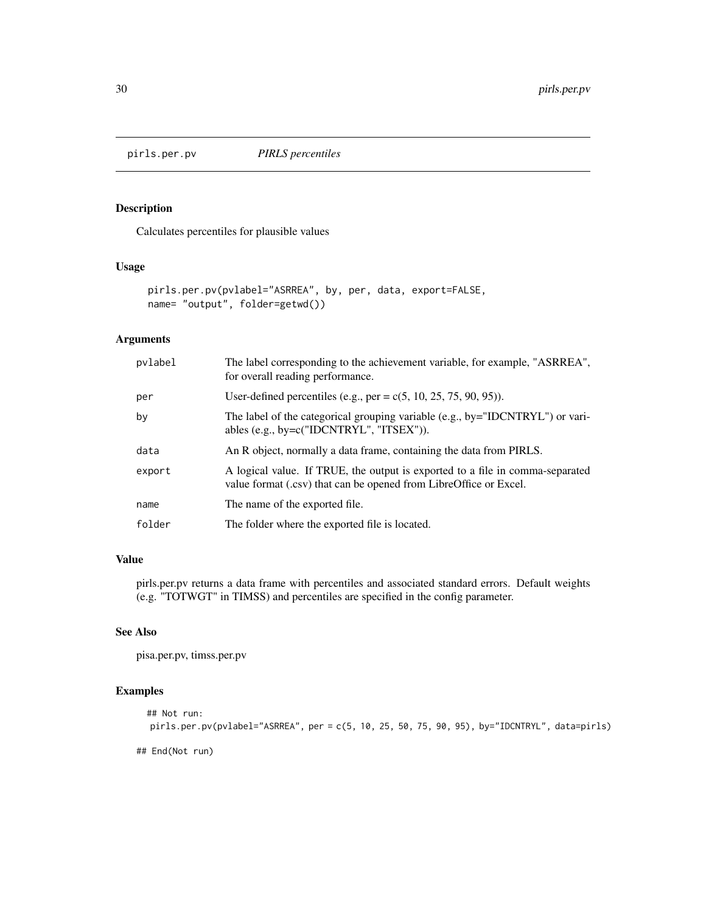<span id="page-29-0"></span>

Calculates percentiles for plausible values

# Usage

```
pirls.per.pv(pvlabel="ASRREA", by, per, data, export=FALSE,
name= "output", folder=getwd())
```
# Arguments

| pvlabel | The label corresponding to the achievement variable, for example, "ASRREA",<br>for overall reading performance.                                    |
|---------|----------------------------------------------------------------------------------------------------------------------------------------------------|
| per     | User-defined percentiles (e.g., per = $c(5, 10, 25, 75, 90, 95)$ ).                                                                                |
| by      | The label of the categorical grouping variable (e.g., by="IDCNTRYL") or vari-<br>ables (e.g., by= $c("IDCNTRYL", "ITSEX"))$ ).                     |
| data    | An R object, normally a data frame, containing the data from PIRLS.                                                                                |
| export  | A logical value. If TRUE, the output is exported to a file in comma-separated<br>value format (.csv) that can be opened from LibreOffice or Excel. |
| name    | The name of the exported file.                                                                                                                     |
| folder  | The folder where the exported file is located.                                                                                                     |

#### Value

pirls.per.pv returns a data frame with percentiles and associated standard errors. Default weights (e.g. "TOTWGT" in TIMSS) and percentiles are specified in the config parameter.

#### See Also

pisa.per.pv, timss.per.pv

# Examples

```
## Not run:
pirls.per.pv(pvlabel="ASRREA", per = c(5, 10, 25, 50, 75, 90, 95), by="IDCNTRYL", data=pirls)
```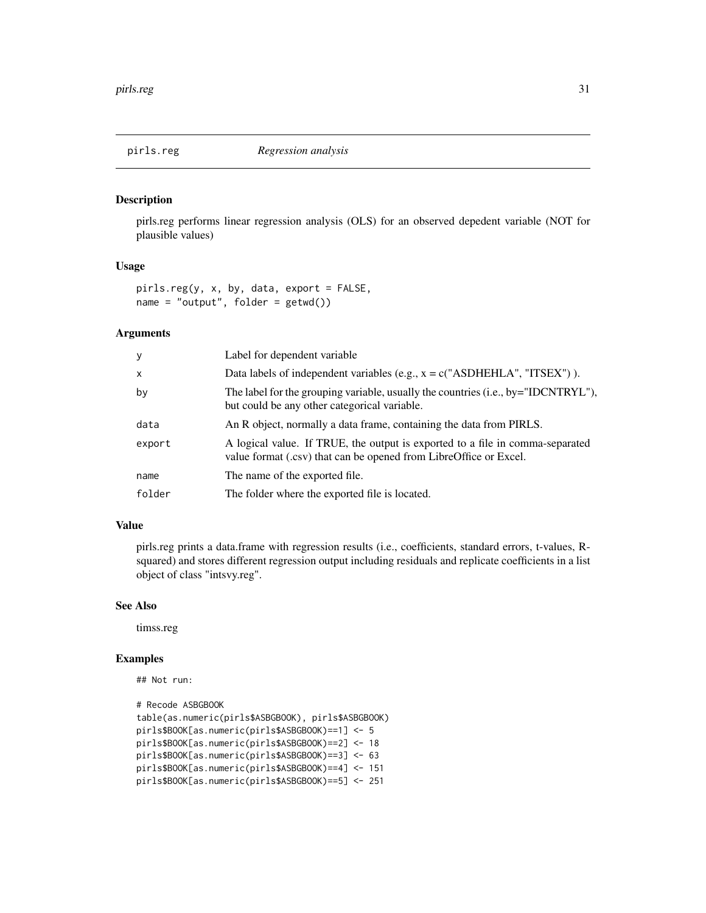<span id="page-30-0"></span>pirls.reg performs linear regression analysis (OLS) for an observed depedent variable (NOT for plausible values)

# Usage

pirls.reg(y, x, by, data, export = FALSE, name = "output", folder = getwd())

#### Arguments

| У      | Label for dependent variable                                                                                                                       |
|--------|----------------------------------------------------------------------------------------------------------------------------------------------------|
| X      | Data labels of independent variables (e.g., $x = c("ASDHEHLA", "ITSEX")$ ).                                                                        |
| by     | The label for the grouping variable, usually the countries (i.e., by="IDCNTRYL"),<br>but could be any other categorical variable.                  |
| data   | An R object, normally a data frame, containing the data from PIRLS.                                                                                |
| export | A logical value. If TRUE, the output is exported to a file in comma-separated<br>value format (.csv) that can be opened from LibreOffice or Excel. |
| name   | The name of the exported file.                                                                                                                     |
| folder | The folder where the exported file is located.                                                                                                     |

#### Value

pirls.reg prints a data.frame with regression results (i.e., coefficients, standard errors, t-values, Rsquared) and stores different regression output including residuals and replicate coefficients in a list object of class "intsvy.reg".

#### See Also

timss.reg

```
## Not run:
```

```
# Recode ASBGBOOK
table(as.numeric(pirls$ASBGBOOK), pirls$ASBGBOOK)
pirls$BOOK[as.numeric(pirls$ASBGBOOK)==1] <- 5
pirls$BOOK[as.numeric(pirls$ASBGBOOK)==2] <- 18
pirls$BOOK[as.numeric(pirls$ASBGBOOK)==3] <- 63
pirls$BOOK[as.numeric(pirls$ASBGBOOK)==4] <- 151
pirls$BOOK[as.numeric(pirls$ASBGBOOK)==5] <- 251
```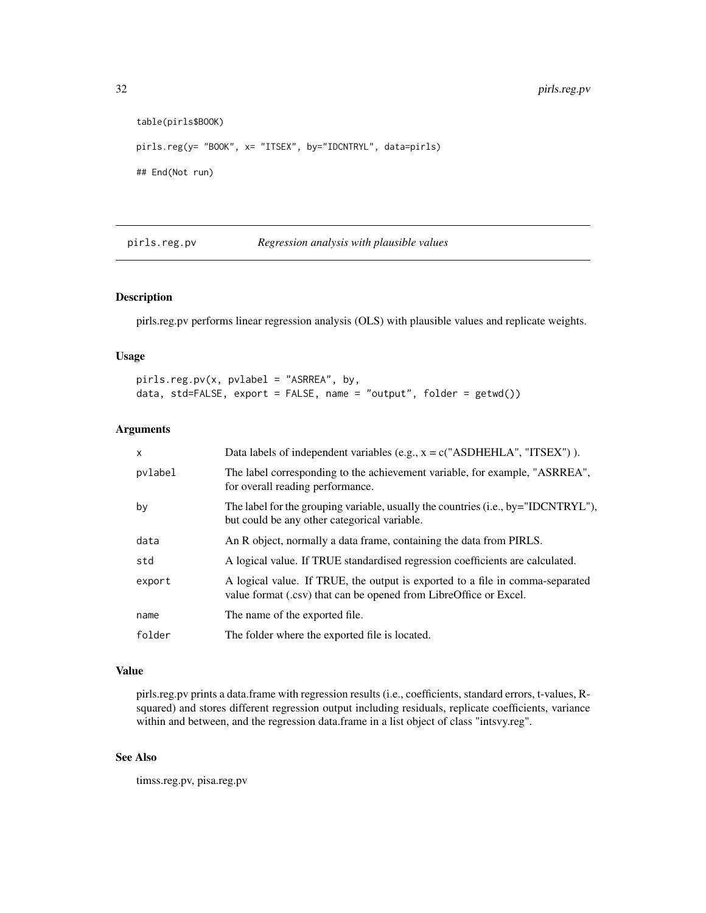```
table(pirls$BOOK)
pirls.reg(y= "BOOK", x= "ITSEX", by="IDCNTRYL", data=pirls)
## End(Not run)
```
pirls.reg.pv *Regression analysis with plausible values*

# Description

pirls.reg.pv performs linear regression analysis (OLS) with plausible values and replicate weights.

# Usage

```
pirls.reg.pv(x, pvlabel = "ASRREA", by,
data, std=FALSE, export = FALSE, name = "output", folder = getwd())
```
#### Arguments

| $\mathsf{x}$ | Data labels of independent variables (e.g., $x = c("ASDHEHLA", "ITSEX")$ ).                                                                        |
|--------------|----------------------------------------------------------------------------------------------------------------------------------------------------|
| pvlabel      | The label corresponding to the achievement variable, for example, "ASRREA",<br>for overall reading performance.                                    |
| by           | The label for the grouping variable, usually the countries (i.e., by="IDCNTRYL"),<br>but could be any other categorical variable.                  |
| data         | An R object, normally a data frame, containing the data from PIRLS.                                                                                |
| std          | A logical value. If TRUE standardised regression coefficients are calculated.                                                                      |
| export       | A logical value. If TRUE, the output is exported to a file in comma-separated<br>value format (.csv) that can be opened from LibreOffice or Excel. |
| name         | The name of the exported file.                                                                                                                     |
| folder       | The folder where the exported file is located.                                                                                                     |

#### Value

pirls.reg.pv prints a data.frame with regression results (i.e., coefficients, standard errors, t-values, Rsquared) and stores different regression output including residuals, replicate coefficients, variance within and between, and the regression data.frame in a list object of class "intsvy.reg".

# See Also

timss.reg.pv, pisa.reg.pv

<span id="page-31-0"></span>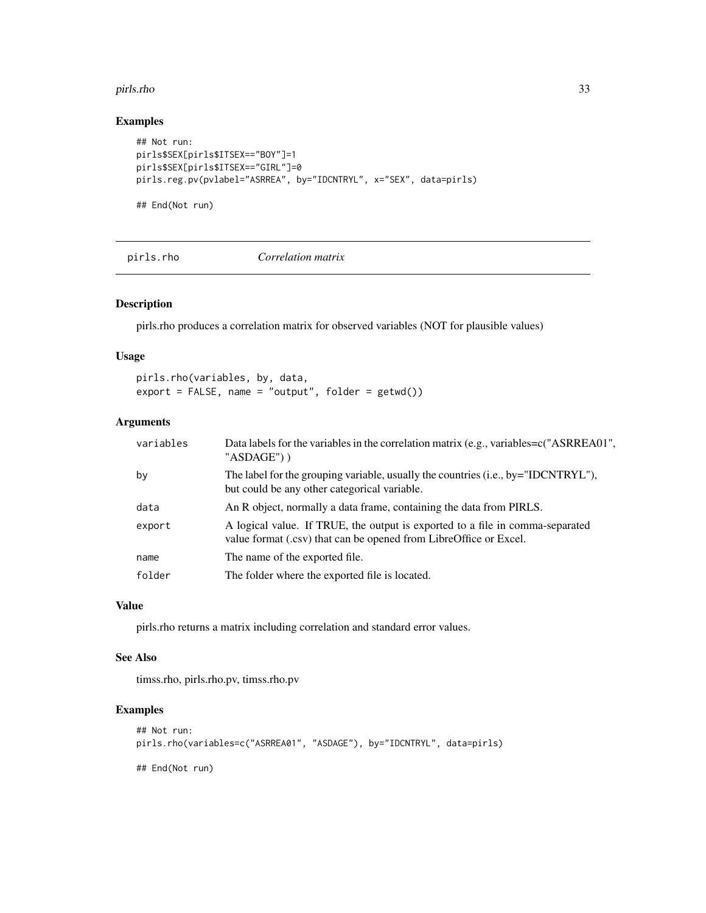#### <span id="page-32-0"></span>pirls.rho 33

# Examples

```
## Not run:
pirls$SEX[pirls$ITSEX=="BOY"]=1
pirls$SEX[pirls$ITSEX=="GIRL"]=0
pirls.reg.pv(pvlabel="ASRREA", by="IDCNTRYL", x="SEX", data=pirls)
```
## End(Not run)

pirls.rho *Correlation matrix*

# Description

pirls.rho produces a correlation matrix for observed variables (NOT for plausible values)

#### Usage

pirls.rho(variables, by, data,  $export = FALSE, name = "output", folder = getwd())$ 

# Arguments

| variables | Data labels for the variables in the correlation matrix (e.g., variables=c("ASRREA01",<br>"ASDAGE"))                                               |
|-----------|----------------------------------------------------------------------------------------------------------------------------------------------------|
| by        | The label for the grouping variable, usually the countries (i.e., by="IDCNTRYL"),<br>but could be any other categorical variable.                  |
| data      | An R object, normally a data frame, containing the data from PIRLS.                                                                                |
| export    | A logical value. If TRUE, the output is exported to a file in comma-separated<br>value format (.csv) that can be opened from LibreOffice or Excel. |
| name      | The name of the exported file.                                                                                                                     |
| folder    | The folder where the exported file is located.                                                                                                     |

#### Value

pirls.rho returns a matrix including correlation and standard error values.

#### See Also

timss.rho, pirls.rho.pv, timss.rho.pv

```
## Not run:
pirls.rho(variables=c("ASRREA01", "ASDAGE"), by="IDCNTRYL", data=pirls)
## End(Not run)
```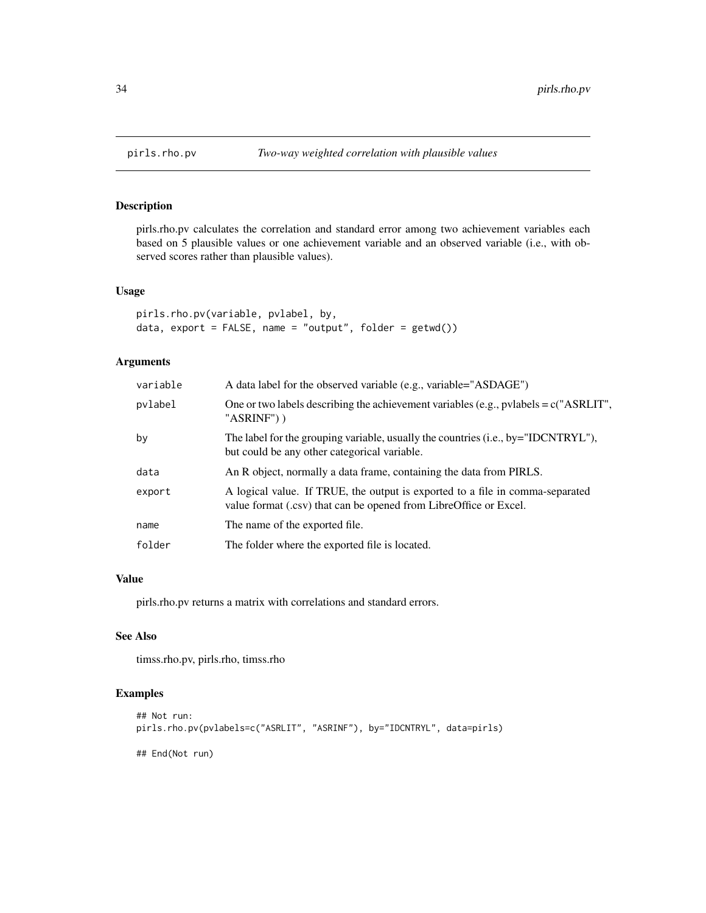<span id="page-33-0"></span>

pirls.rho.pv calculates the correlation and standard error among two achievement variables each based on 5 plausible values or one achievement variable and an observed variable (i.e., with observed scores rather than plausible values).

# Usage

```
pirls.rho.pv(variable, pvlabel, by,
data, export = FALSE, name = "output", folder = getwd())
```
# Arguments

| variable | A data label for the observed variable (e.g., variable="ASDAGE")                                                                                   |
|----------|----------------------------------------------------------------------------------------------------------------------------------------------------|
| pvlabel  | One or two labels describing the achievement variables (e.g., pvlabels = $c("ASRLIT",$<br>"ASRINF") )                                              |
| by       | The label for the grouping variable, usually the countries (i.e., by="IDCNTRYL"),<br>but could be any other categorical variable.                  |
| data     | An R object, normally a data frame, containing the data from PIRLS.                                                                                |
| export   | A logical value. If TRUE, the output is exported to a file in comma-separated<br>value format (.csv) that can be opened from LibreOffice or Excel. |
| name     | The name of the exported file.                                                                                                                     |
| folder   | The folder where the exported file is located.                                                                                                     |

# Value

pirls.rho.pv returns a matrix with correlations and standard errors.

# See Also

timss.rho.pv, pirls.rho, timss.rho

```
## Not run:
pirls.rho.pv(pvlabels=c("ASRLIT", "ASRINF"), by="IDCNTRYL", data=pirls)
## End(Not run)
```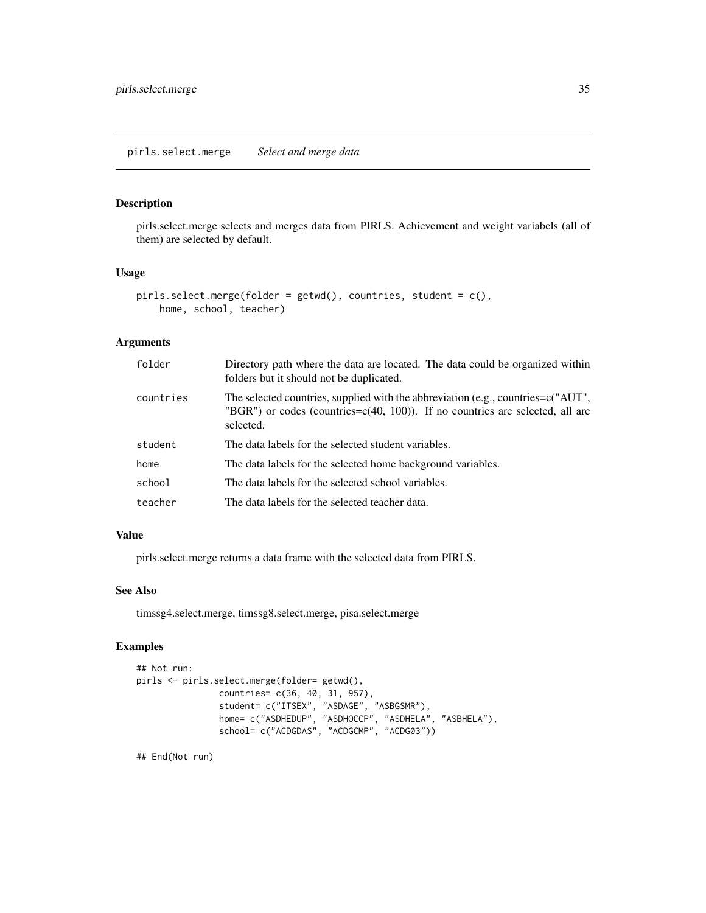#### <span id="page-34-0"></span>pirls.select.merge *Select and merge data*

# Description

pirls.select.merge selects and merges data from PIRLS. Achievement and weight variabels (all of them) are selected by default.

#### Usage

```
pirls.select.merge(folder = getwd(), countries, student = c(),
    home, school, teacher)
```
# Arguments

| folder    | Directory path where the data are located. The data could be organized within<br>folders but it should not be duplicated.                                                             |
|-----------|---------------------------------------------------------------------------------------------------------------------------------------------------------------------------------------|
| countries | The selected countries, supplied with the abbreviation (e.g., countries= $c("AUT",$<br>"BGR") or codes (countries= $c(40, 100)$ ). If no countries are selected, all are<br>selected. |
| student   | The data labels for the selected student variables.                                                                                                                                   |
| home      | The data labels for the selected home background variables.                                                                                                                           |
| school    | The data labels for the selected school variables.                                                                                                                                    |
| teacher   | The data labels for the selected teacher data.                                                                                                                                        |

#### Value

pirls.select.merge returns a data frame with the selected data from PIRLS.

#### See Also

timssg4.select.merge, timssg8.select.merge, pisa.select.merge

# Examples

```
## Not run:
pirls <- pirls.select.merge(folder= getwd(),
                countries= c(36, 40, 31, 957),
                student= c("ITSEX", "ASDAGE", "ASBGSMR"),
                home= c("ASDHEDUP", "ASDHOCCP", "ASDHELA", "ASBHELA"),
                school= c("ACDGDAS", "ACDGCMP", "ACDG03"))
```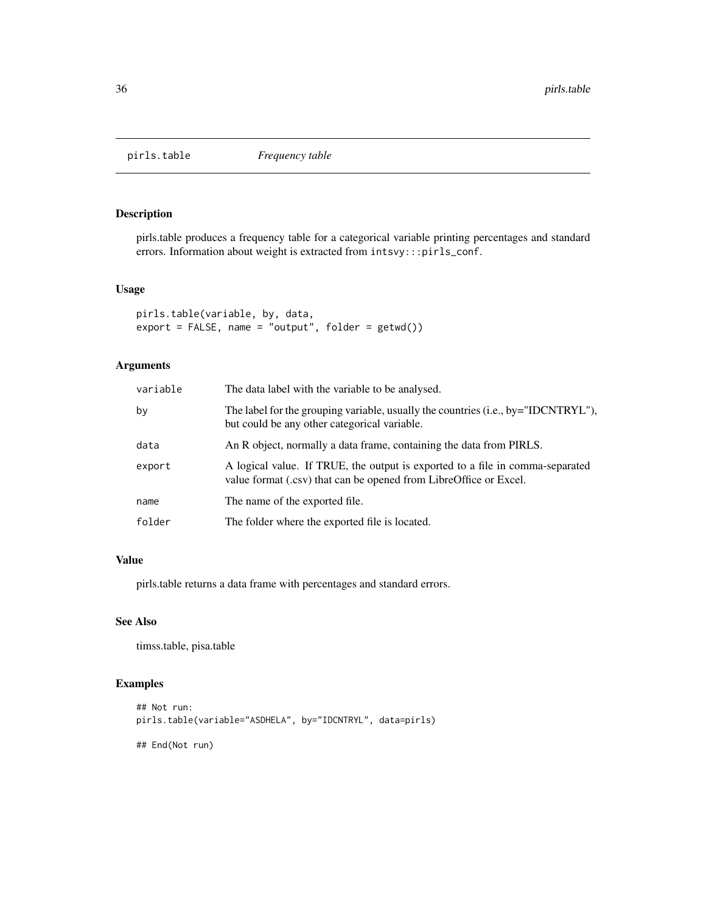<span id="page-35-0"></span>

pirls.table produces a frequency table for a categorical variable printing percentages and standard errors. Information about weight is extracted from intsvy:::pirls\_conf.

#### Usage

```
pirls.table(variable, by, data,
export = FALSE, name = "output", folder = getwd())
```
# Arguments

| variable | The data label with the variable to be analysed.                                                                                                   |
|----------|----------------------------------------------------------------------------------------------------------------------------------------------------|
| by       | The label for the grouping variable, usually the countries (i.e., by="IDCNTRYL"),<br>but could be any other categorical variable.                  |
| data     | An R object, normally a data frame, containing the data from PIRLS.                                                                                |
| export   | A logical value. If TRUE, the output is exported to a file in comma-separated<br>value format (.csv) that can be opened from LibreOffice or Excel. |
| name     | The name of the exported file.                                                                                                                     |
| folder   | The folder where the exported file is located.                                                                                                     |

#### Value

pirls.table returns a data frame with percentages and standard errors.

# See Also

timss.table, pisa.table

# Examples

```
## Not run:
pirls.table(variable="ASDHELA", by="IDCNTRYL", data=pirls)
```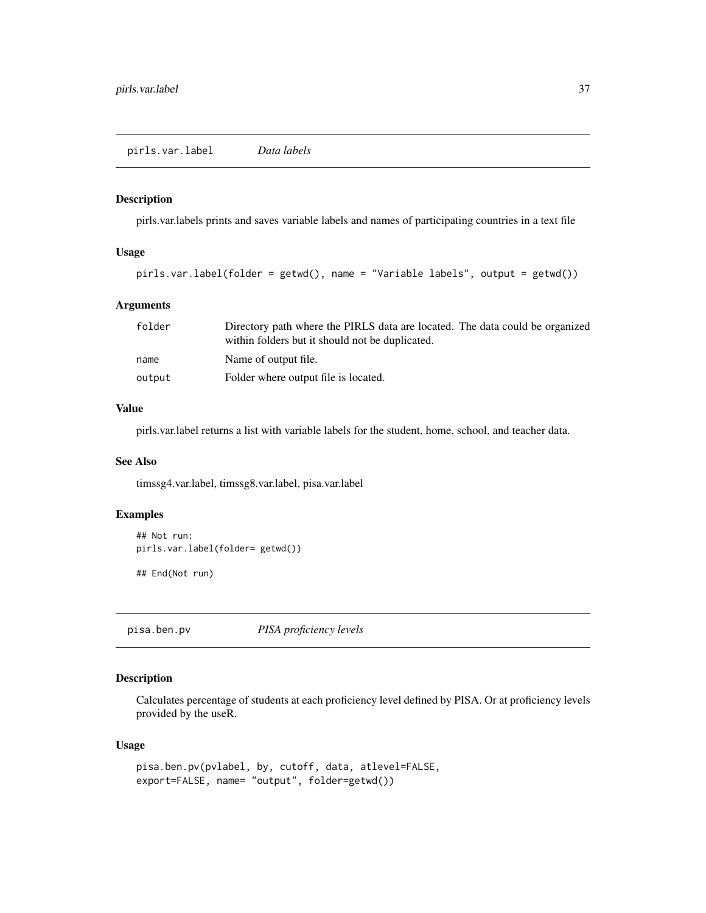<span id="page-36-0"></span>pirls.var.labels prints and saves variable labels and names of participating countries in a text file

#### Usage

```
pirls.var.label(folder = getwd(), name = "Variable labels", output = getwd())
```
# Arguments

| folder | Directory path where the PIRLS data are located. The data could be organized |
|--------|------------------------------------------------------------------------------|
|        | within folders but it should not be duplicated.                              |
| name   | Name of output file.                                                         |
| output | Folder where output file is located.                                         |

# Value

pirls.var.label returns a list with variable labels for the student, home, school, and teacher data.

#### See Also

timssg4.var.label, timssg8.var.label, pisa.var.label

# Examples

```
## Not run:
pirls.var.label(folder= getwd())
## End(Not run)
```
pisa.ben.pv *PISA proficiency levels*

# Description

Calculates percentage of students at each proficiency level defined by PISA. Or at proficiency levels provided by the useR.

```
pisa.ben.pv(pvlabel, by, cutoff, data, atlevel=FALSE,
export=FALSE, name= "output", folder=getwd())
```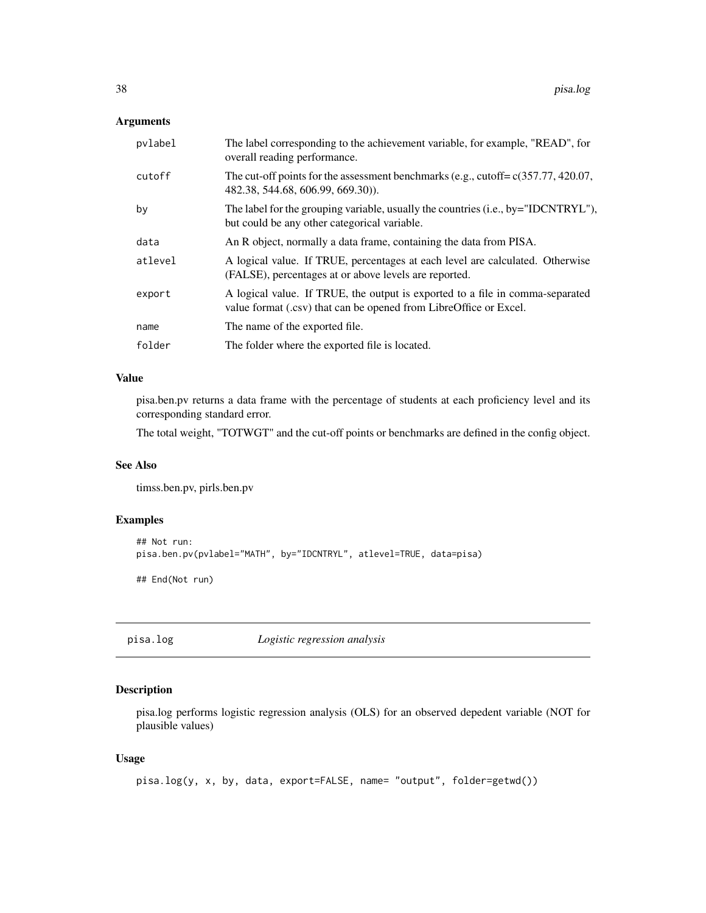#### <span id="page-37-0"></span>Arguments

| pvlabel | The label corresponding to the achievement variable, for example, "READ", for<br>overall reading performance.                                      |
|---------|----------------------------------------------------------------------------------------------------------------------------------------------------|
| cutoff  | The cut-off points for the assessment benchmarks (e.g., cutoff= $c(357.77, 420.07,$<br>482.38, 544.68, 606.99, 669.30).                            |
| by      | The label for the grouping variable, usually the countries (i.e., by="IDCNTRYL"),<br>but could be any other categorical variable.                  |
| data    | An R object, normally a data frame, containing the data from PISA.                                                                                 |
| atlevel | A logical value. If TRUE, percentages at each level are calculated. Otherwise<br>(FALSE), percentages at or above levels are reported.             |
| export  | A logical value. If TRUE, the output is exported to a file in comma-separated<br>value format (.csv) that can be opened from LibreOffice or Excel. |
| name    | The name of the exported file.                                                                                                                     |
| folder  | The folder where the exported file is located.                                                                                                     |

# Value

pisa.ben.pv returns a data frame with the percentage of students at each proficiency level and its corresponding standard error.

The total weight, "TOTWGT" and the cut-off points or benchmarks are defined in the config object.

#### See Also

timss.ben.pv, pirls.ben.pv

# Examples

```
## Not run:
pisa.ben.pv(pvlabel="MATH", by="IDCNTRYL", atlevel=TRUE, data=pisa)
## End(Not run)
```
pisa.log *Logistic regression analysis*

# Description

pisa.log performs logistic regression analysis (OLS) for an observed depedent variable (NOT for plausible values)

```
pisa.log(y, x, by, data, export=FALSE, name= "output", folder=getwd())
```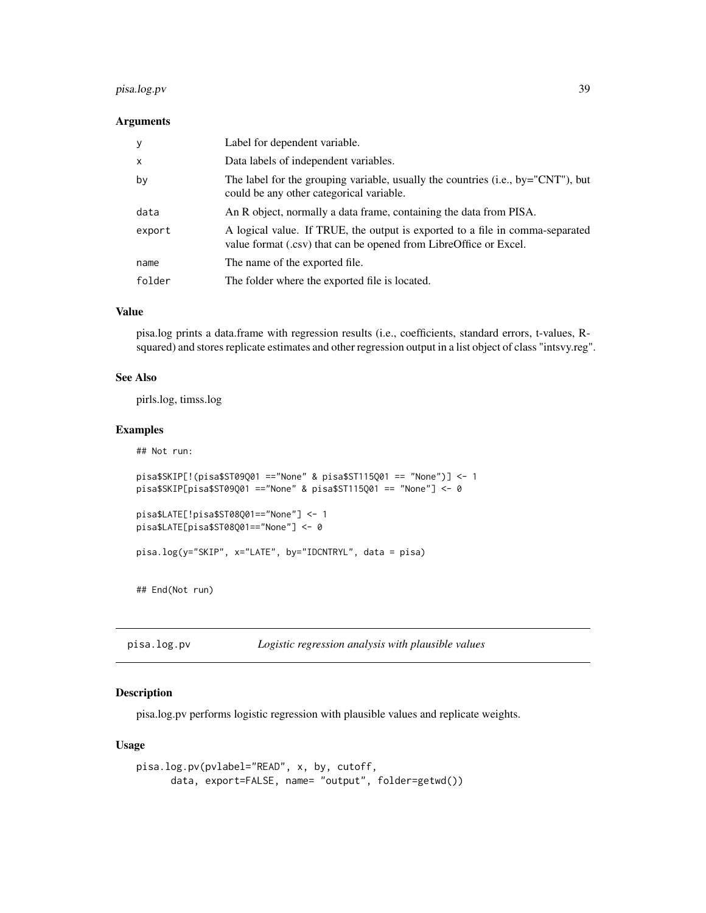# <span id="page-38-0"></span>pisa.log.pv 39

#### **Arguments**

| У            | Label for dependent variable.                                                                                                                      |
|--------------|----------------------------------------------------------------------------------------------------------------------------------------------------|
| $\mathsf{x}$ | Data labels of independent variables.                                                                                                              |
| by           | The label for the grouping variable, usually the countries (i.e., by="CNT"), but<br>could be any other categorical variable.                       |
| data         | An R object, normally a data frame, containing the data from PISA.                                                                                 |
| export       | A logical value. If TRUE, the output is exported to a file in comma-separated<br>value format (.csv) that can be opened from LibreOffice or Excel. |
| name         | The name of the exported file.                                                                                                                     |
| folder       | The folder where the exported file is located.                                                                                                     |

# Value

pisa.log prints a data.frame with regression results (i.e., coefficients, standard errors, t-values, Rsquared) and stores replicate estimates and other regression output in a list object of class "intsvy.reg".

#### See Also

pirls.log, timss.log

# Examples

## Not run:

```
pisa$SKIP[!(pisa$ST09Q01 =="None" & pisa$ST115Q01 == "None")] <- 1
pisa$SKIP[pisa$ST09Q01 =="None" & pisa$ST115Q01 == "None"] <- 0
pisa$LATE[!pisa$ST08Q01=="None"] <- 1
pisa$LATE[pisa$ST08Q01=="None"] <- 0
```

```
pisa.log(y="SKIP", x="LATE", by="IDCNTRYL", data = pisa)
```
## End(Not run)

pisa.log.pv *Logistic regression analysis with plausible values*

#### Description

pisa.log.pv performs logistic regression with plausible values and replicate weights.

```
pisa.log.pv(pvlabel="READ", x, by, cutoff,
     data, export=FALSE, name= "output", folder=getwd())
```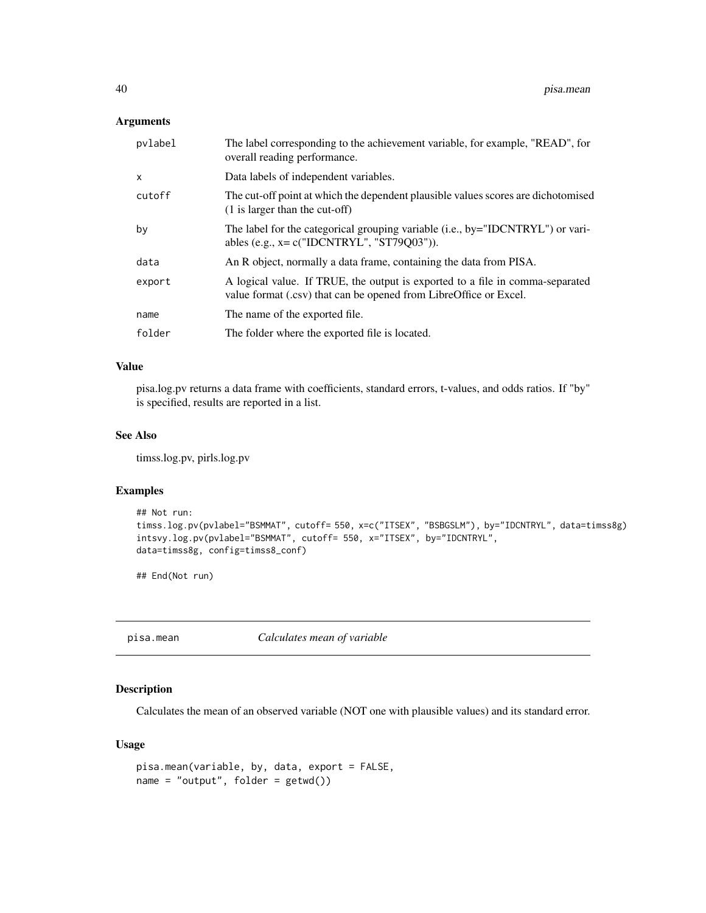# <span id="page-39-0"></span>Arguments

| pvlabel      | The label corresponding to the achievement variable, for example, "READ", for<br>overall reading performance.                                      |
|--------------|----------------------------------------------------------------------------------------------------------------------------------------------------|
| $\mathsf{x}$ | Data labels of independent variables.                                                                                                              |
| cutoff       | The cut-off point at which the dependent plausible values scores are dichotomised<br>$(1)$ is larger than the cut-off)                             |
| by           | The label for the categorical grouping variable (i.e., by="IDCNTRYL") or vari-<br>ables (e.g., $x = c("IDCNTRYL", "ST79Q03"))$ .                   |
| data         | An R object, normally a data frame, containing the data from PISA.                                                                                 |
| export       | A logical value. If TRUE, the output is exported to a file in comma-separated<br>value format (.csv) that can be opened from LibreOffice or Excel. |
| name         | The name of the exported file.                                                                                                                     |
| folder       | The folder where the exported file is located.                                                                                                     |

# Value

pisa.log.pv returns a data frame with coefficients, standard errors, t-values, and odds ratios. If "by" is specified, results are reported in a list.

#### See Also

timss.log.pv, pirls.log.pv

# Examples

```
## Not run:
timss.log.pv(pvlabel="BSMMAT", cutoff= 550, x=c("ITSEX", "BSBGSLM"), by="IDCNTRYL", data=timss8g)
intsvy.log.pv(pvlabel="BSMMAT", cutoff= 550, x="ITSEX", by="IDCNTRYL",
data=timss8g, config=timss8_conf)
```
## End(Not run)

pisa.mean *Calculates mean of variable*

# Description

Calculates the mean of an observed variable (NOT one with plausible values) and its standard error.

```
pisa.mean(variable, by, data, export = FALSE,
name = "output", folder = getwd()
```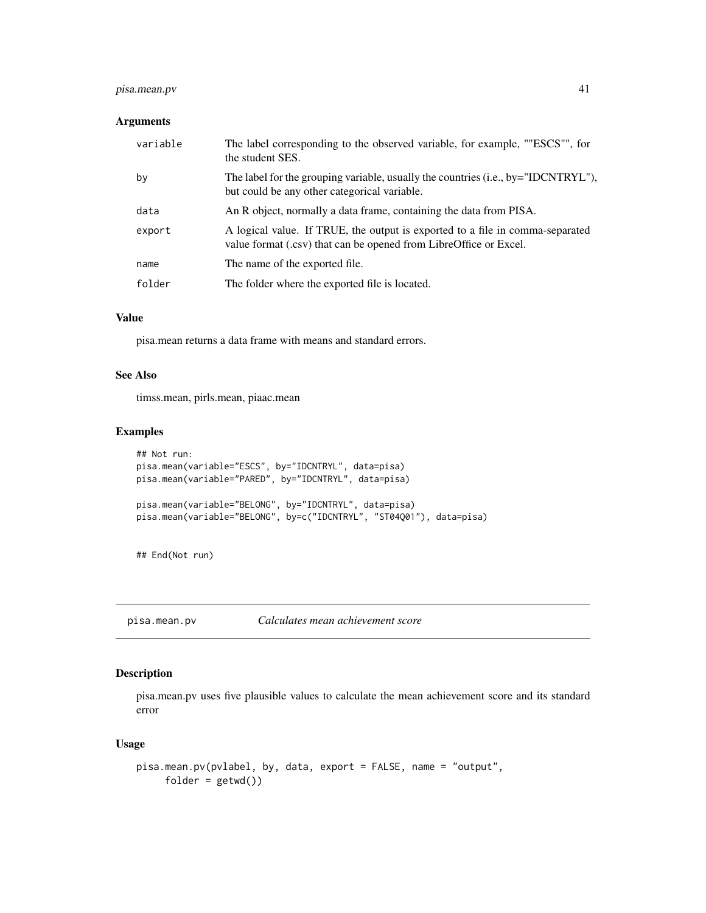# <span id="page-40-0"></span>pisa.mean.pv 41

#### Arguments

| variable | The label corresponding to the observed variable, for example, ""ESCS"", for<br>the student SES.                                                   |
|----------|----------------------------------------------------------------------------------------------------------------------------------------------------|
| by       | The label for the grouping variable, usually the countries (i.e., by="IDCNTRYL"),<br>but could be any other categorical variable.                  |
| data     | An R object, normally a data frame, containing the data from PISA.                                                                                 |
| export   | A logical value. If TRUE, the output is exported to a file in comma-separated<br>value format (.csv) that can be opened from LibreOffice or Excel. |
| name     | The name of the exported file.                                                                                                                     |
| folder   | The folder where the exported file is located.                                                                                                     |

# Value

pisa.mean returns a data frame with means and standard errors.

# See Also

timss.mean, pirls.mean, piaac.mean

# Examples

```
## Not run:
pisa.mean(variable="ESCS", by="IDCNTRYL", data=pisa)
pisa.mean(variable="PARED", by="IDCNTRYL", data=pisa)
pisa.mean(variable="BELONG", by="IDCNTRYL", data=pisa)
pisa.mean(variable="BELONG", by=c("IDCNTRYL", "ST04Q01"), data=pisa)
```
## End(Not run)

pisa.mean.pv *Calculates mean achievement score*

#### Description

pisa.mean.pv uses five plausible values to calculate the mean achievement score and its standard error

```
pisa.mean.pv(pvlabel, by, data, export = FALSE, name = "output",
     folder = getwd()
```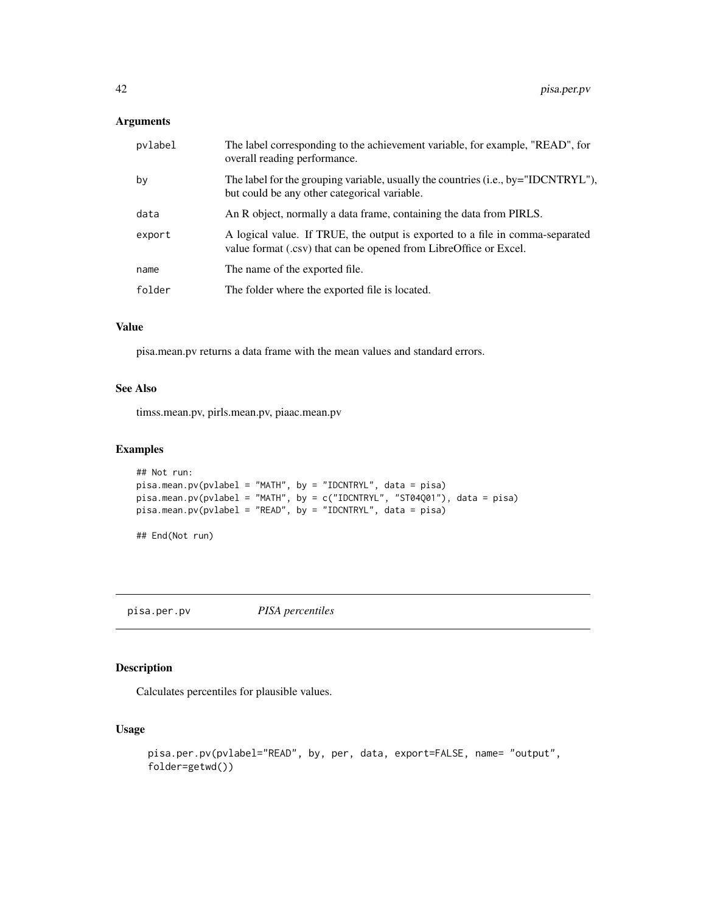# <span id="page-41-0"></span>Arguments

| pvlabel | The label corresponding to the achievement variable, for example, "READ", for<br>overall reading performance.                                      |
|---------|----------------------------------------------------------------------------------------------------------------------------------------------------|
| by      | The label for the grouping variable, usually the countries (i.e., by="IDCNTRYL"),<br>but could be any other categorical variable.                  |
| data    | An R object, normally a data frame, containing the data from PIRLS.                                                                                |
| export  | A logical value. If TRUE, the output is exported to a file in comma-separated<br>value format (.csv) that can be opened from LibreOffice or Excel. |
| name    | The name of the exported file.                                                                                                                     |
| folder  | The folder where the exported file is located.                                                                                                     |
|         |                                                                                                                                                    |

# Value

pisa.mean.pv returns a data frame with the mean values and standard errors.

# See Also

timss.mean.pv, pirls.mean.pv, piaac.mean.pv

#### Examples

```
## Not run:
pisa.mean.pv(pvlabel = "MATH", by = "IDCNTRYL", data = pisa)
pisa.mean.pv(pvlabel = "MATH", by = c("IDCNTRYL", "ST04Q01"), data = pisa)
pisa.mean.pv(pvlabel = "READ", by = "IDCNTRYL", data = pisa)
```

```
## End(Not run)
```
pisa.per.pv *PISA percentiles*

#### Description

Calculates percentiles for plausible values.

```
pisa.per.pv(pvlabel="READ", by, per, data, export=FALSE, name= "output",
folder=getwd())
```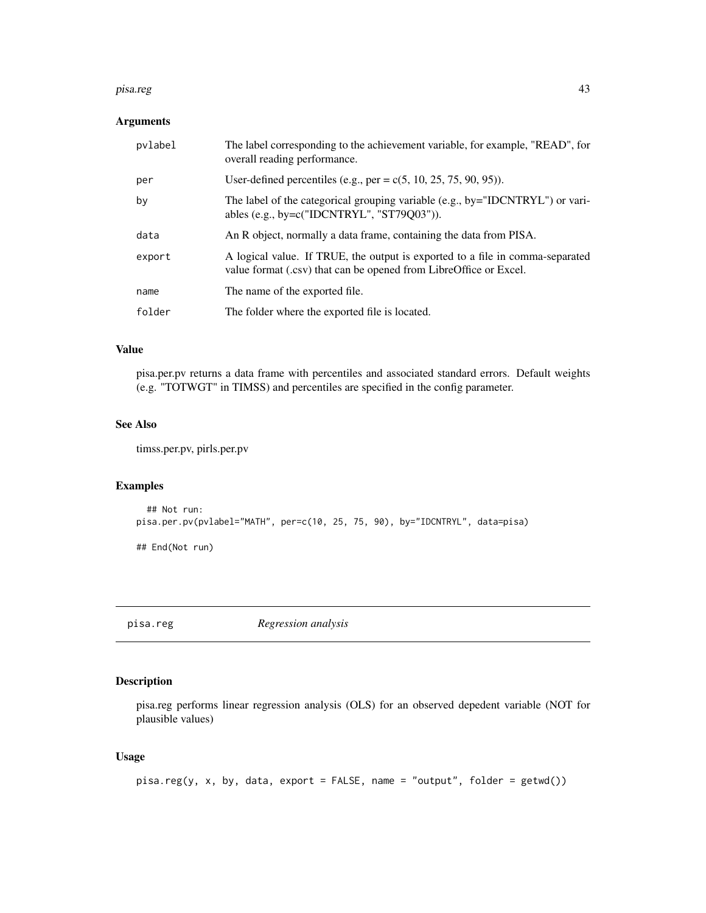#### <span id="page-42-0"></span>pisa.reg 23

#### Arguments

| pvlabel | The label corresponding to the achievement variable, for example, "READ", for<br>overall reading performance.                                      |
|---------|----------------------------------------------------------------------------------------------------------------------------------------------------|
| per     | User-defined percentiles (e.g., per = $c(5, 10, 25, 75, 90, 95)$ ).                                                                                |
| by      | The label of the categorical grouping variable (e.g., by="IDCNTRYL") or vari-<br>ables (e.g., by= $c("IDCNTRYL", "ST79Q03"))$ .                    |
| data    | An R object, normally a data frame, containing the data from PISA.                                                                                 |
| export  | A logical value. If TRUE, the output is exported to a file in comma-separated<br>value format (.csv) that can be opened from LibreOffice or Excel. |
| name    | The name of the exported file.                                                                                                                     |
| folder  | The folder where the exported file is located.                                                                                                     |

# Value

pisa.per.pv returns a data frame with percentiles and associated standard errors. Default weights (e.g. "TOTWGT" in TIMSS) and percentiles are specified in the config parameter.

# See Also

timss.per.pv, pirls.per.pv

#### Examples

```
## Not run:
pisa.per.pv(pvlabel="MATH", per=c(10, 25, 75, 90), by="IDCNTRYL", data=pisa)
```
## End(Not run)

pisa.reg *Regression analysis*

# Description

pisa.reg performs linear regression analysis (OLS) for an observed depedent variable (NOT for plausible values)

```
pisa.read(y, x, by, data, export = FALSE, name = "output", folder = getwd())
```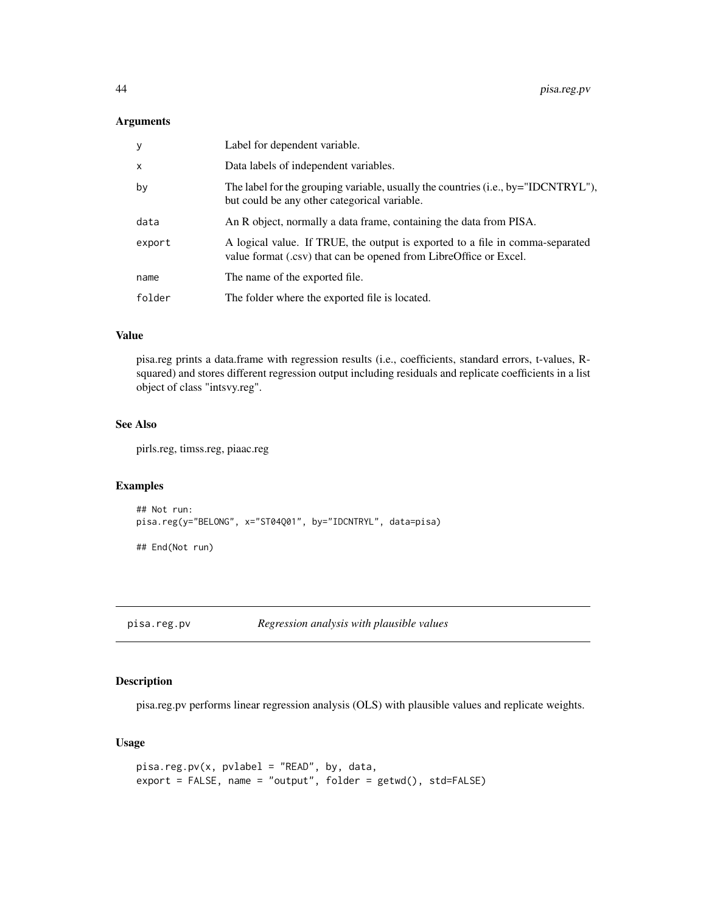#### <span id="page-43-0"></span>Arguments

| y                         | Label for dependent variable.                                                                                                                      |
|---------------------------|----------------------------------------------------------------------------------------------------------------------------------------------------|
| $\boldsymbol{\mathsf{x}}$ | Data labels of independent variables.                                                                                                              |
| by                        | The label for the grouping variable, usually the countries (i.e., by="IDCNTRYL"),<br>but could be any other categorical variable.                  |
| data                      | An R object, normally a data frame, containing the data from PISA.                                                                                 |
| export                    | A logical value. If TRUE, the output is exported to a file in comma-separated<br>value format (.csv) that can be opened from LibreOffice or Excel. |
| name                      | The name of the exported file.                                                                                                                     |
| folder                    | The folder where the exported file is located.                                                                                                     |

# Value

pisa.reg prints a data.frame with regression results (i.e., coefficients, standard errors, t-values, Rsquared) and stores different regression output including residuals and replicate coefficients in a list object of class "intsvy.reg".

# See Also

pirls.reg, timss.reg, piaac.reg

#### Examples

```
## Not run:
pisa.reg(y="BELONG", x="ST04Q01", by="IDCNTRYL", data=pisa)
```
## End(Not run)

pisa.reg.pv *Regression analysis with plausible values*

# Description

pisa.reg.pv performs linear regression analysis (OLS) with plausible values and replicate weights.

```
pisa.reg.pv(x, pvlabel = "READ", by, data,
export = FALSE, name = "output", folder = getwd(), std=FALSE)
```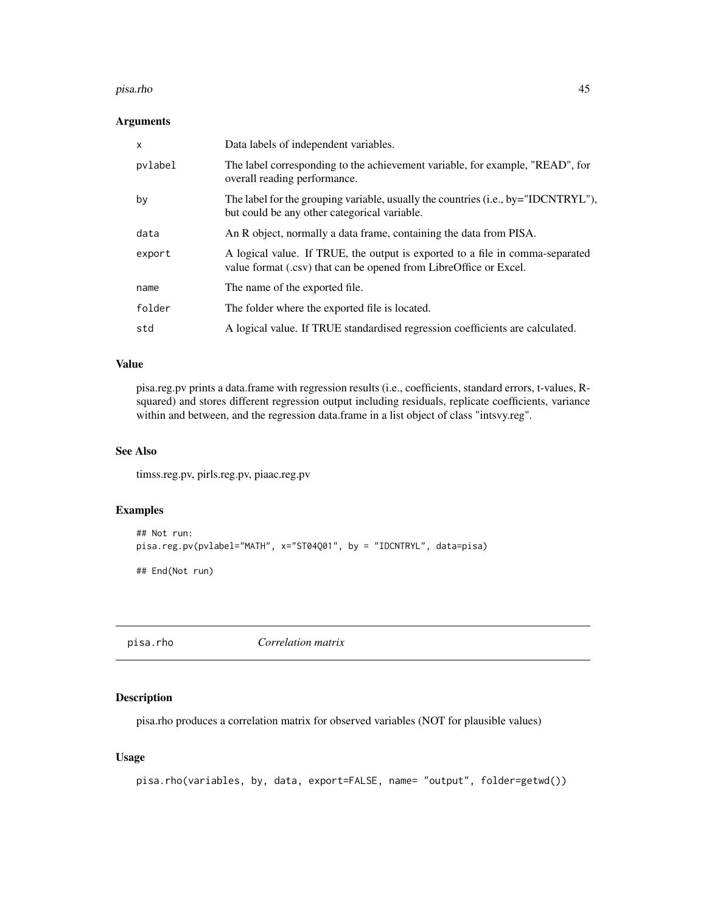#### <span id="page-44-0"></span>pisa.rho 45

# Arguments

| $\mathsf{x}$ | Data labels of independent variables.                                                                                                              |
|--------------|----------------------------------------------------------------------------------------------------------------------------------------------------|
| pvlabel      | The label corresponding to the achievement variable, for example, "READ", for<br>overall reading performance.                                      |
| by           | The label for the grouping variable, usually the countries (i.e., by="IDCNTRYL"),<br>but could be any other categorical variable.                  |
| data         | An R object, normally a data frame, containing the data from PISA.                                                                                 |
| export       | A logical value. If TRUE, the output is exported to a file in comma-separated<br>value format (.csv) that can be opened from LibreOffice or Excel. |
| name         | The name of the exported file.                                                                                                                     |
| folder       | The folder where the exported file is located.                                                                                                     |
| std          | A logical value. If TRUE standardised regression coefficients are calculated.                                                                      |

#### Value

pisa.reg.pv prints a data.frame with regression results (i.e., coefficients, standard errors, t-values, Rsquared) and stores different regression output including residuals, replicate coefficients, variance within and between, and the regression data.frame in a list object of class "intsvy.reg".

# See Also

timss.reg.pv, pirls.reg.pv, piaac.reg.pv

#### Examples

```
## Not run:
pisa.reg.pv(pvlabel="MATH", x="ST04Q01", by = "IDCNTRYL", data=pisa)
## End(Not run)
```
pisa.rho *Correlation matrix*

# Description

pisa.rho produces a correlation matrix for observed variables (NOT for plausible values)

```
pisa.rho(variables, by, data, export=FALSE, name= "output", folder=getwd())
```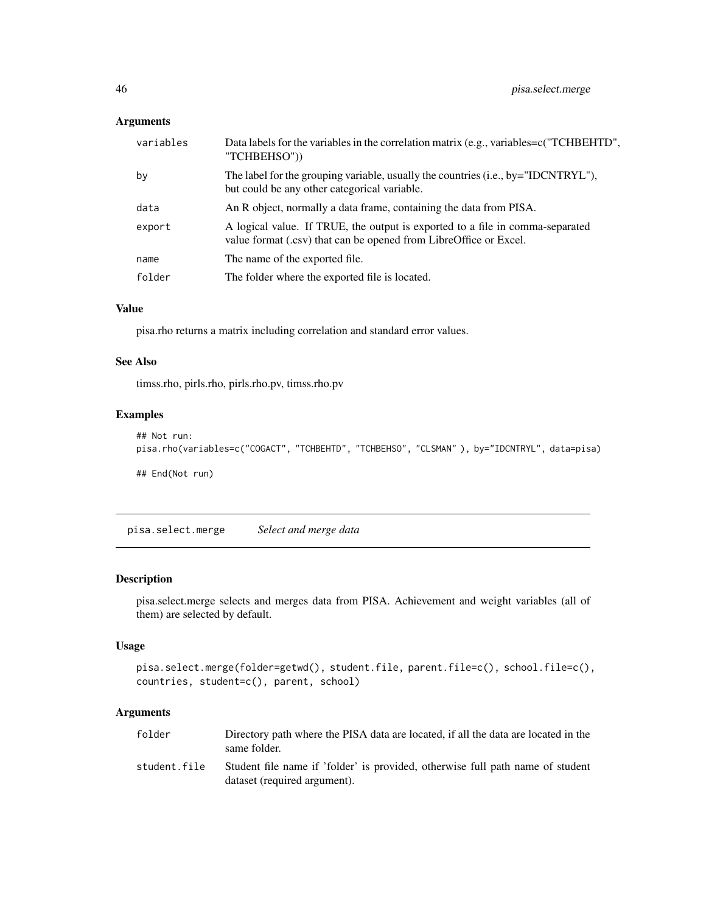# <span id="page-45-0"></span>Arguments

| variables | Data labels for the variables in the correlation matrix (e.g., variables=c("TCHBEHTD",<br>"TCHBEHSO"))                                             |
|-----------|----------------------------------------------------------------------------------------------------------------------------------------------------|
| by        | The label for the grouping variable, usually the countries (i.e., by="IDCNTRYL"),<br>but could be any other categorical variable.                  |
| data      | An R object, normally a data frame, containing the data from PISA.                                                                                 |
| export    | A logical value. If TRUE, the output is exported to a file in comma-separated<br>value format (.csv) that can be opened from LibreOffice or Excel. |
| name      | The name of the exported file.                                                                                                                     |
| folder    | The folder where the exported file is located.                                                                                                     |
|           |                                                                                                                                                    |

# Value

pisa.rho returns a matrix including correlation and standard error values.

# See Also

timss.rho, pirls.rho, pirls.rho.pv, timss.rho.pv

# Examples

```
## Not run:
pisa.rho(variables=c("COGACT", "TCHBEHTD", "TCHBEHSO", "CLSMAN" ), by="IDCNTRYL", data=pisa)
## End(Not run)
```
pisa.select.merge *Select and merge data*

# Description

pisa.select.merge selects and merges data from PISA. Achievement and weight variables (all of them) are selected by default.

# Usage

```
pisa.select.merge(folder=getwd(), student.file, parent.file=c(), school.file=c(),
countries, student=c(), parent, school)
```

| folder       | Directory path where the PISA data are located, if all the data are located in the<br>same folder.             |
|--------------|----------------------------------------------------------------------------------------------------------------|
| student.file | Student file name if 'folder' is provided, otherwise full path name of student<br>dataset (required argument). |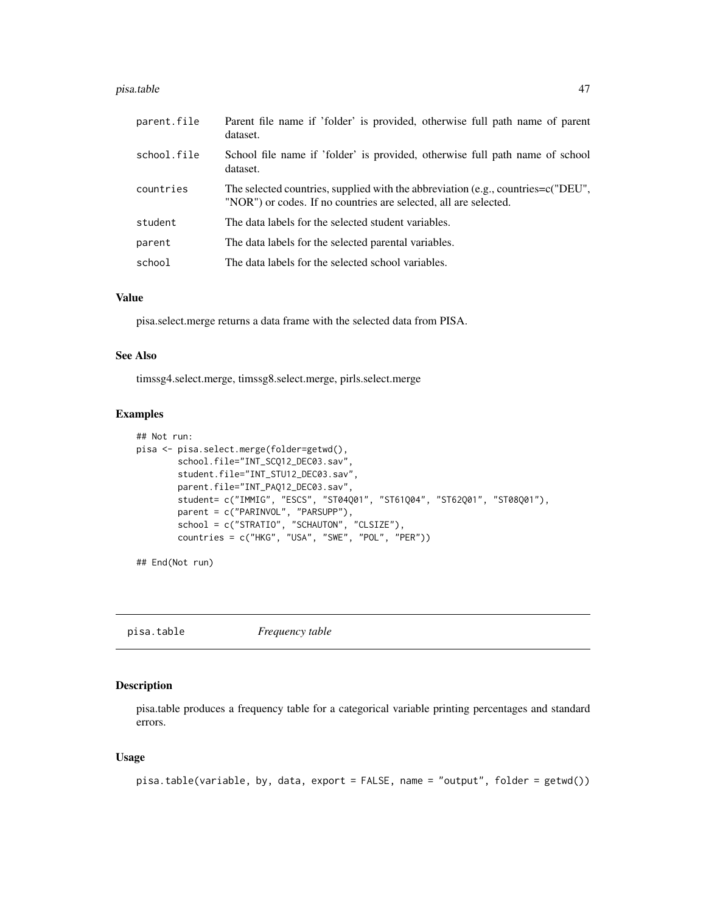#### <span id="page-46-0"></span>pisa.table 47

| parent.file | Parent file name if 'folder' is provided, otherwise full path name of parent<br>dataset.                                                                |
|-------------|---------------------------------------------------------------------------------------------------------------------------------------------------------|
| school.file | School file name if 'folder' is provided, otherwise full path name of school<br>dataset.                                                                |
| countries   | The selected countries, supplied with the abbreviation (e.g., countries= $c("DEU",$<br>"NOR") or codes. If no countries are selected, all are selected. |
| student     | The data labels for the selected student variables.                                                                                                     |
| parent      | The data labels for the selected parental variables.                                                                                                    |
| school      | The data labels for the selected school variables.                                                                                                      |

#### Value

pisa.select.merge returns a data frame with the selected data from PISA.

# See Also

timssg4.select.merge, timssg8.select.merge, pirls.select.merge

#### Examples

```
## Not run:
pisa <- pisa.select.merge(folder=getwd(),
        school.file="INT_SCQ12_DEC03.sav",
        student.file="INT_STU12_DEC03.sav",
        parent.file="INT_PAQ12_DEC03.sav",
        student= c("IMMIG", "ESCS", "ST04Q01", "ST61Q04", "ST62Q01", "ST08Q01"),
        parent = c("PARINVOL", "PARSUPP"),
        school = c("STRATIO", "SCHAUTON", "CLSIZE"),
        countries = c("HKG", "USA", "SWE", "POL", "PER"))
```
## End(Not run)

pisa.table *Frequency table*

# Description

pisa.table produces a frequency table for a categorical variable printing percentages and standard errors.

```
pisa.table(variable, by, data, export = FALSE, name = "output", folder = getwd())
```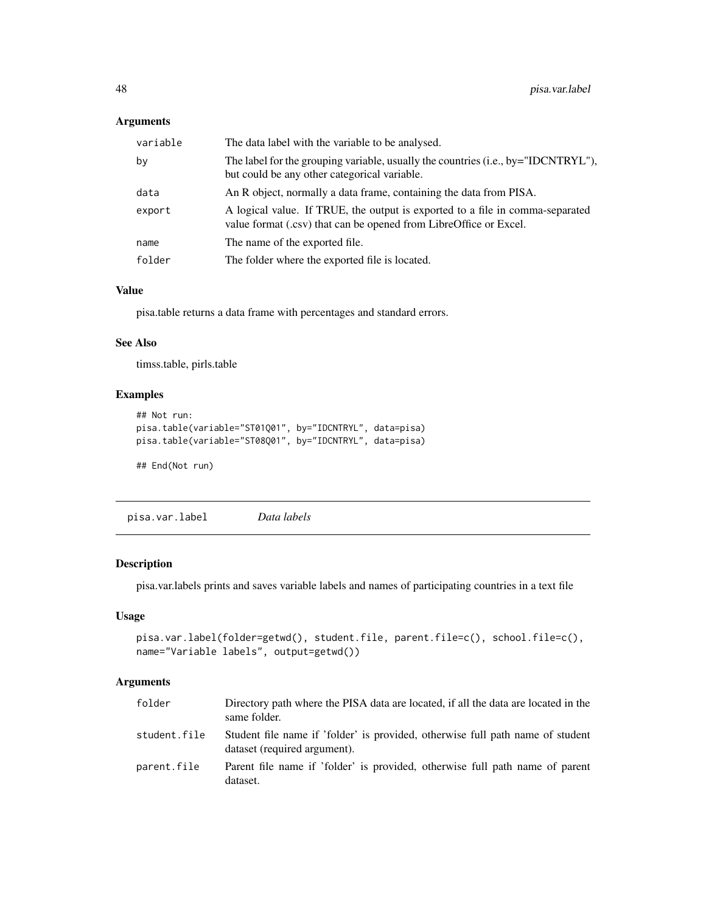# <span id="page-47-0"></span>Arguments

| variable | The data label with the variable to be analysed.                                                                                                   |
|----------|----------------------------------------------------------------------------------------------------------------------------------------------------|
| by       | The label for the grouping variable, usually the countries (i.e., by="IDCNTRYL"),<br>but could be any other categorical variable.                  |
| data     | An R object, normally a data frame, containing the data from PISA.                                                                                 |
| export   | A logical value. If TRUE, the output is exported to a file in comma-separated<br>value format (.csv) that can be opened from LibreOffice or Excel. |
| name     | The name of the exported file.                                                                                                                     |
| folder   | The folder where the exported file is located.                                                                                                     |

# Value

pisa.table returns a data frame with percentages and standard errors.

#### See Also

timss.table, pirls.table

#### Examples

```
## Not run:
pisa.table(variable="ST01Q01", by="IDCNTRYL", data=pisa)
pisa.table(variable="ST08Q01", by="IDCNTRYL", data=pisa)
## End(Not run)
```
pisa.var.label *Data labels*

# Description

pisa.var.labels prints and saves variable labels and names of participating countries in a text file

# Usage

```
pisa.var.label(folder=getwd(), student.file, parent.file=c(), school.file=c(),
name="Variable labels", output=getwd())
```

| folder       | Directory path where the PISA data are located, if all the data are located in the<br>same folder.             |
|--------------|----------------------------------------------------------------------------------------------------------------|
| student.file | Student file name if 'folder' is provided, otherwise full path name of student<br>dataset (required argument). |
| parent.file  | Parent file name if 'folder' is provided, otherwise full path name of parent<br>dataset.                       |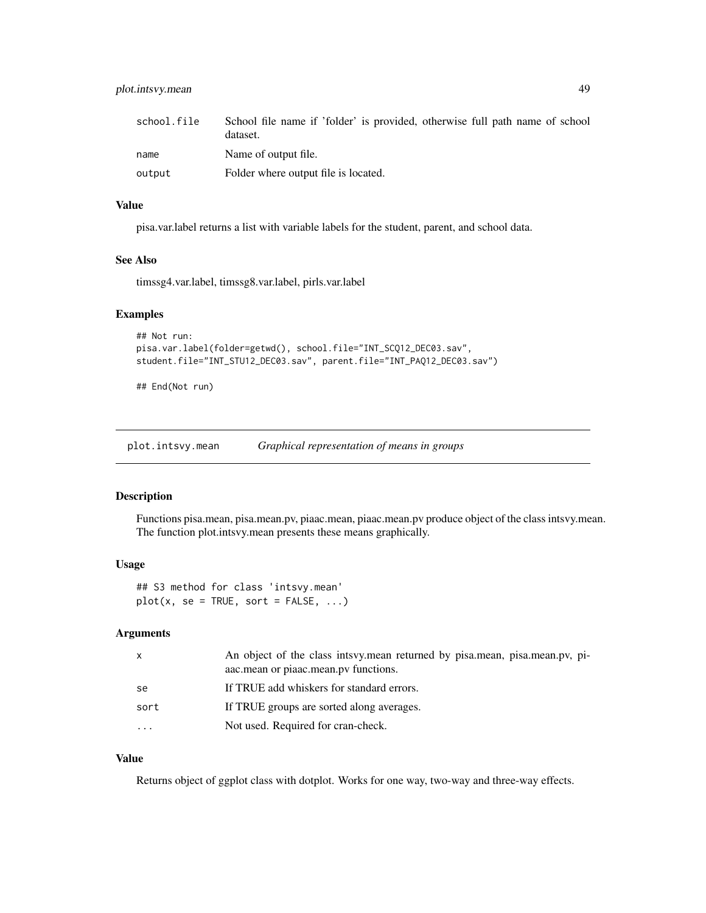<span id="page-48-0"></span>

| school.file | School file name if 'folder' is provided, otherwise full path name of school<br>dataset. |
|-------------|------------------------------------------------------------------------------------------|
| name        | Name of output file.                                                                     |
| output      | Folder where output file is located.                                                     |

#### Value

pisa.var.label returns a list with variable labels for the student, parent, and school data.

# See Also

timssg4.var.label, timssg8.var.label, pirls.var.label

#### Examples

```
## Not run:
pisa.var.label(folder=getwd(), school.file="INT_SCQ12_DEC03.sav",
student.file="INT_STU12_DEC03.sav", parent.file="INT_PAQ12_DEC03.sav")
```
## End(Not run)

plot.intsvy.mean *Graphical representation of means in groups*

#### Description

Functions pisa.mean, pisa.mean.pv, piaac.mean, piaac.mean.pv produce object of the class intsvy.mean. The function plot.intsvy.mean presents these means graphically.

#### Usage

## S3 method for class 'intsvy.mean'  $plot(x, se = TRUE, sort = FALSE, ...)$ 

#### Arguments

| x         | An object of the class intsvy.mean returned by pisa.mean, pisa.mean.pv, pi-<br>aac.mean or piaac.mean.pv functions. |
|-----------|---------------------------------------------------------------------------------------------------------------------|
| se        | If TRUE add whiskers for standard errors.                                                                           |
| sort      | If TRUE groups are sorted along averages.                                                                           |
| $\ddotsc$ | Not used. Required for cran-check.                                                                                  |
|           |                                                                                                                     |

#### Value

Returns object of ggplot class with dotplot. Works for one way, two-way and three-way effects.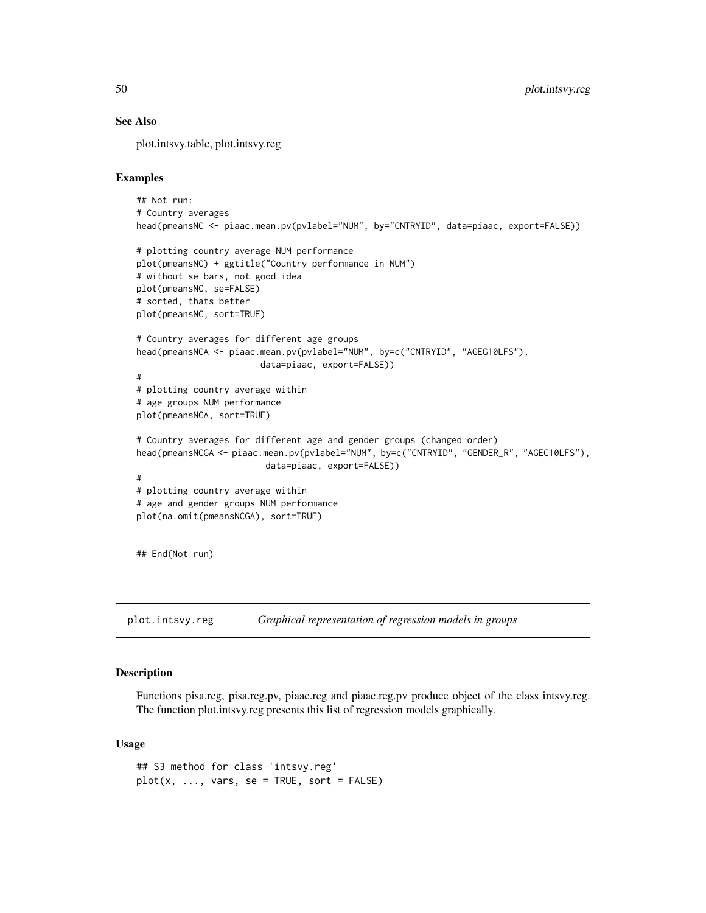# See Also

plot.intsvy.table, plot.intsvy.reg

# Examples

```
## Not run:
# Country averages
head(pmeansNC <- piaac.mean.pv(pvlabel="NUM", by="CNTRYID", data=piaac, export=FALSE))
# plotting country average NUM performance
plot(pmeansNC) + ggtitle("Country performance in NUM")
# without se bars, not good idea
plot(pmeansNC, se=FALSE)
# sorted, thats better
plot(pmeansNC, sort=TRUE)
# Country averages for different age groups
head(pmeansNCA <- piaac.mean.pv(pvlabel="NUM", by=c("CNTRYID", "AGEG10LFS"),
                        data=piaac, export=FALSE))
#
# plotting country average within
# age groups NUM performance
plot(pmeansNCA, sort=TRUE)
# Country averages for different age and gender groups (changed order)
head(pmeansNCGA <- piaac.mean.pv(pvlabel="NUM", by=c("CNTRYID", "GENDER_R", "AGEG10LFS"),
                         data=piaac, export=FALSE))
#
# plotting country average within
# age and gender groups NUM performance
plot(na.omit(pmeansNCGA), sort=TRUE)
## End(Not run)
```
plot.intsvy.reg *Graphical representation of regression models in groups*

#### Description

Functions pisa.reg, pisa.reg.pv, piaac.reg and piaac.reg.pv produce object of the class intsvy.reg. The function plot.intsvy.reg presents this list of regression models graphically.

```
## S3 method for class 'intsvy.reg'
plot(x, ..., vars, se = TRUE, sort = FALSE)
```
<span id="page-49-0"></span>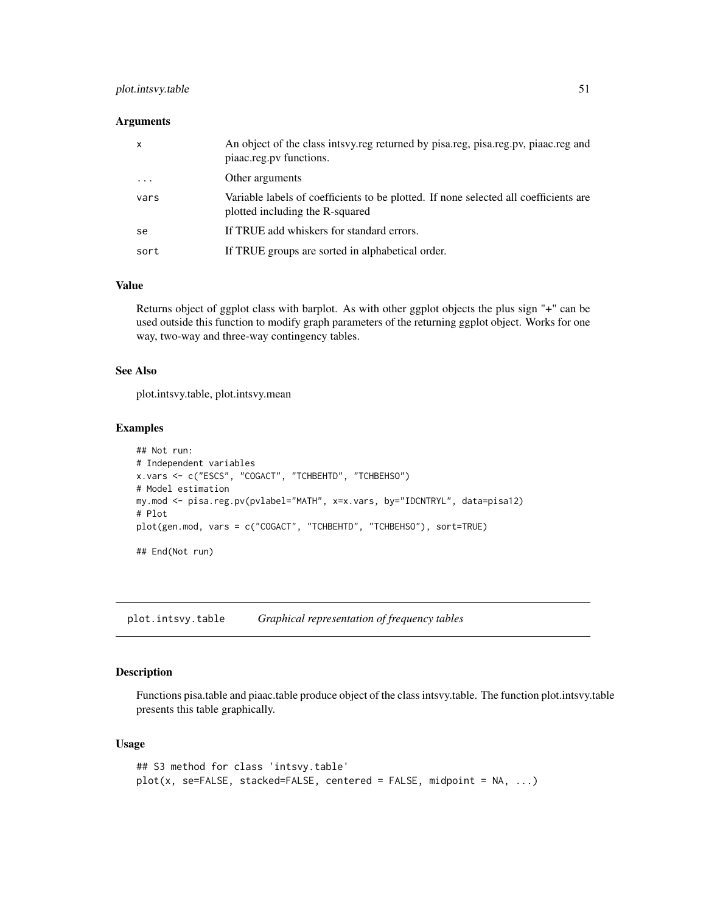# <span id="page-50-0"></span>plot.intsvy.table 51

#### **Arguments**

| $\mathsf{x}$ | An object of the class intsvy.reg returned by pisa.reg, pisa.reg.pv, piaac.reg and<br>piaac.reg.pv functions.           |
|--------------|-------------------------------------------------------------------------------------------------------------------------|
| $\ddotsc$    | Other arguments                                                                                                         |
| vars         | Variable labels of coefficients to be plotted. If none selected all coefficients are<br>plotted including the R-squared |
| se           | If TRUE add whiskers for standard errors.                                                                               |
| sort         | If TRUE groups are sorted in alphabetical order.                                                                        |

#### Value

Returns object of ggplot class with barplot. As with other ggplot objects the plus sign "+" can be used outside this function to modify graph parameters of the returning ggplot object. Works for one way, two-way and three-way contingency tables.

#### See Also

plot.intsvy.table, plot.intsvy.mean

#### Examples

```
## Not run:
# Independent variables
x.vars <- c("ESCS", "COGACT", "TCHBEHTD", "TCHBEHSO")
# Model estimation
my.mod <- pisa.reg.pv(pvlabel="MATH", x=x.vars, by="IDCNTRYL", data=pisa12)
# Plot
plot(gen.mod, vars = c("COGACT", "TCHBEHTD", "TCHBEHSO"), sort=TRUE)
## End(Not run)
```
plot.intsvy.table *Graphical representation of frequency tables*

# Description

Functions pisa.table and piaac.table produce object of the class intsvy.table. The function plot.intsvy.table presents this table graphically.

```
## S3 method for class 'intsvy.table'
plot(x, se=FALSE, stacked=FALSE, centered = FALSE, midpoint = NA, ...)
```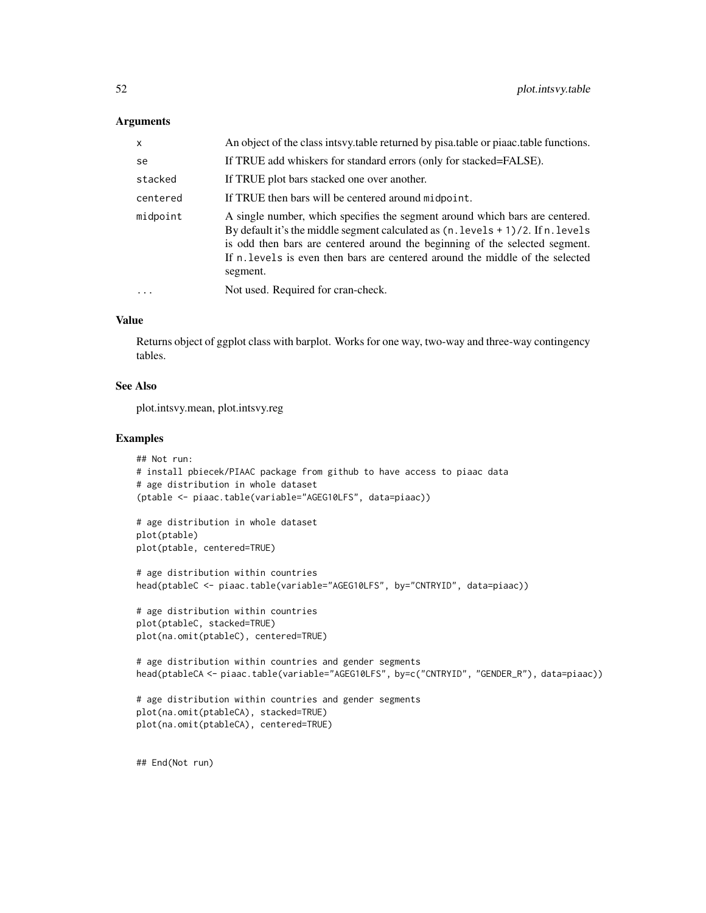#### **Arguments**

| $\mathsf{x}$ | An object of the class intsvy table returned by pisa table or piaac table functions.                                                                                                                                                                                                                                                                          |
|--------------|---------------------------------------------------------------------------------------------------------------------------------------------------------------------------------------------------------------------------------------------------------------------------------------------------------------------------------------------------------------|
| se           | If TRUE add whiskers for standard errors (only for stacked=FALSE).                                                                                                                                                                                                                                                                                            |
| stacked      | If TRUE plot bars stacked one over another.                                                                                                                                                                                                                                                                                                                   |
| centered     | If TRUE then bars will be centered around midpoint.                                                                                                                                                                                                                                                                                                           |
| midpoint     | A single number, which specifies the segment around which bars are centered.<br>By default it's the middle segment calculated as $(n \cdot 1 \text{ evels} + 1)/2$ . If n. levels<br>is odd then bars are centered around the beginning of the selected segment.<br>If n, levels is even then bars are centered around the middle of the selected<br>segment. |
|              | Not used. Required for cran-check.                                                                                                                                                                                                                                                                                                                            |

# Value

Returns object of ggplot class with barplot. Works for one way, two-way and three-way contingency tables.

# See Also

plot.intsvy.mean, plot.intsvy.reg

# Examples

```
## Not run:
# install pbiecek/PIAAC package from github to have access to piaac data
# age distribution in whole dataset
(ptable <- piaac.table(variable="AGEG10LFS", data=piaac))
```
# age distribution in whole dataset plot(ptable) plot(ptable, centered=TRUE)

```
# age distribution within countries
head(ptableC <- piaac.table(variable="AGEG10LFS", by="CNTRYID", data=piaac))
```

```
# age distribution within countries
plot(ptableC, stacked=TRUE)
plot(na.omit(ptableC), centered=TRUE)
```

```
# age distribution within countries and gender segments
head(ptableCA <- piaac.table(variable="AGEG10LFS", by=c("CNTRYID", "GENDER_R"), data=piaac))
```

```
# age distribution within countries and gender segments
plot(na.omit(ptableCA), stacked=TRUE)
plot(na.omit(ptableCA), centered=TRUE)
```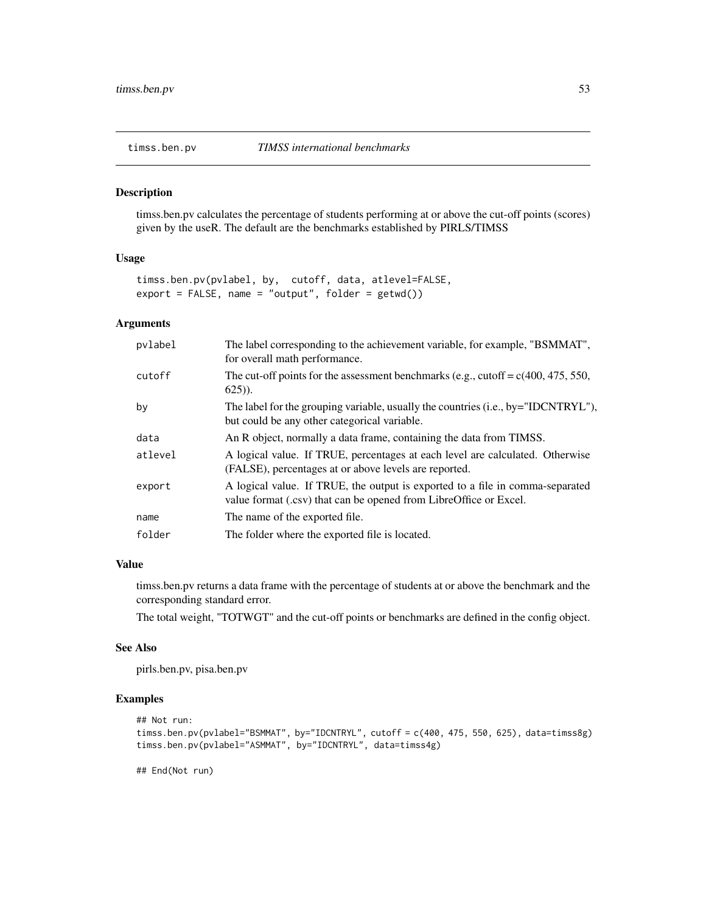<span id="page-52-0"></span>

timss.ben.pv calculates the percentage of students performing at or above the cut-off points (scores) given by the useR. The default are the benchmarks established by PIRLS/TIMSS

#### Usage

```
timss.ben.pv(pvlabel, by, cutoff, data, atlevel=FALSE,
export = FALSE, name = "output", folder = getwd())
```
# Arguments

| pvlabel | The label corresponding to the achievement variable, for example, "BSMMAT",<br>for overall math performance.                                       |
|---------|----------------------------------------------------------------------------------------------------------------------------------------------------|
| cutoff  | The cut-off points for the assessment benchmarks (e.g., cutoff = $c(400, 475, 550,$<br>$625$ ).                                                    |
| by      | The label for the grouping variable, usually the countries (i.e., by="IDCNTRYL"),<br>but could be any other categorical variable.                  |
| data    | An R object, normally a data frame, containing the data from TIMSS.                                                                                |
| atlevel | A logical value. If TRUE, percentages at each level are calculated. Otherwise<br>(FALSE), percentages at or above levels are reported.             |
| export  | A logical value. If TRUE, the output is exported to a file in comma-separated<br>value format (.csv) that can be opened from LibreOffice or Excel. |
| name    | The name of the exported file.                                                                                                                     |
| folder  | The folder where the exported file is located.                                                                                                     |

# Value

timss.ben.pv returns a data frame with the percentage of students at or above the benchmark and the corresponding standard error.

The total weight, "TOTWGT" and the cut-off points or benchmarks are defined in the config object.

#### See Also

pirls.ben.pv, pisa.ben.pv

#### Examples

```
## Not run:
timss.ben.pv(pvlabel="BSMMAT", by="IDCNTRYL", cutoff = c(400, 475, 550, 625), data=timss8g)
timss.ben.pv(pvlabel="ASMMAT", by="IDCNTRYL", data=timss4g)
```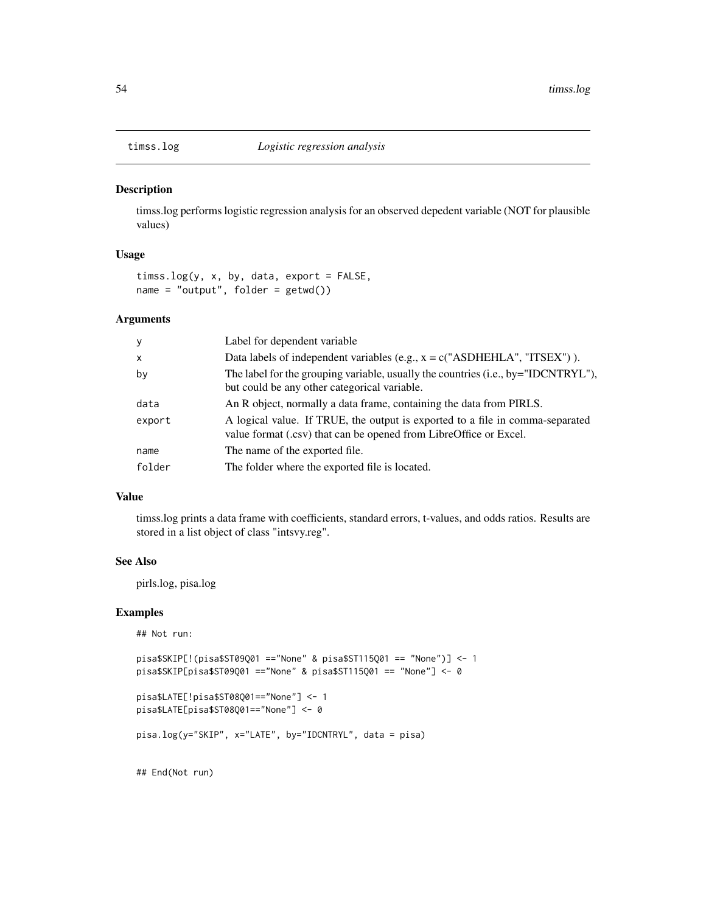<span id="page-53-0"></span>

timss.log performs logistic regression analysis for an observed depedent variable (NOT for plausible values)

# Usage

```
timss.log(y, x, by, data, export = FALSE,
name = "output", folder = getwd())
```
#### Arguments

| $\mathbf{y}$ | Label for dependent variable                                                                                                                       |
|--------------|----------------------------------------------------------------------------------------------------------------------------------------------------|
| $\mathsf{x}$ | Data labels of independent variables (e.g., $x = c("ASDHEHLA", "ITSEX")$ ).                                                                        |
| by           | The label for the grouping variable, usually the countries (i.e., by="IDCNTRYL"),<br>but could be any other categorical variable.                  |
| data         | An R object, normally a data frame, containing the data from PIRLS.                                                                                |
| export       | A logical value. If TRUE, the output is exported to a file in comma-separated<br>value format (.csv) that can be opened from LibreOffice or Excel. |
| name         | The name of the exported file.                                                                                                                     |
| folder       | The folder where the exported file is located.                                                                                                     |

#### Value

timss.log prints a data frame with coefficients, standard errors, t-values, and odds ratios. Results are stored in a list object of class "intsvy.reg".

#### See Also

pirls.log, pisa.log

#### Examples

```
## Not run:
```

```
pisa$SKIP[!(pisa$ST09Q01 =="None" & pisa$ST115Q01 == "None")] <- 1
pisa$SKIP[pisa$ST09Q01 =="None" & pisa$ST115Q01 == "None"] <- 0
```

```
pisa$LATE[!pisa$ST08Q01=="None"] <- 1
pisa$LATE[pisa$ST08Q01=="None"] <- 0
```

```
pisa.log(y="SKIP", x="LATE", by="IDCNTRYL", data = pisa)
```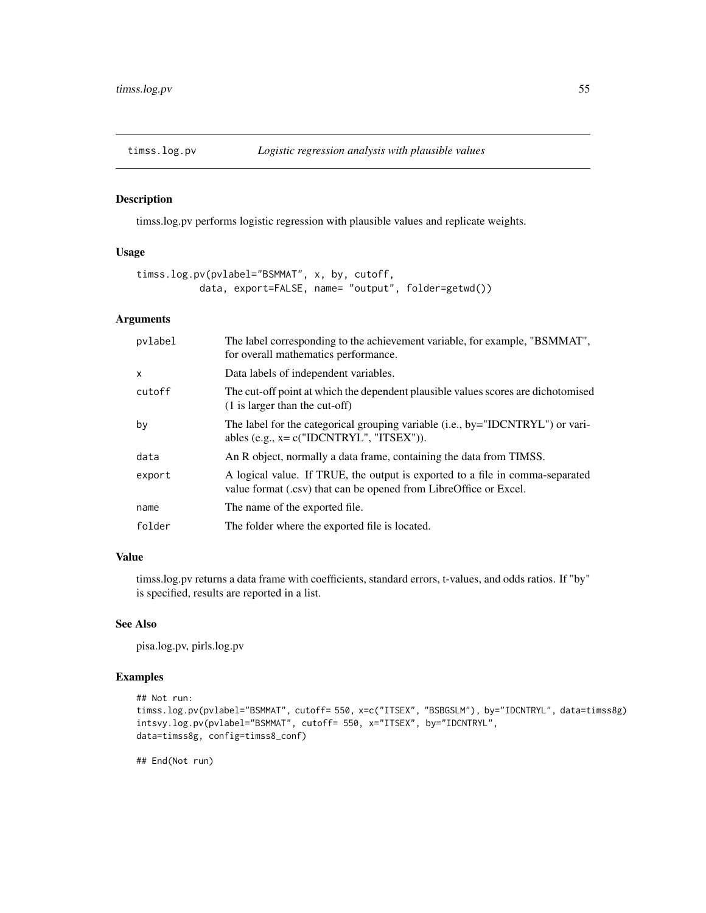<span id="page-54-0"></span>

timss.log.pv performs logistic regression with plausible values and replicate weights.

#### Usage

```
timss.log.pv(pvlabel="BSMMAT", x, by, cutoff,
           data, export=FALSE, name= "output", folder=getwd())
```
#### Arguments

| pvlabel      | The label corresponding to the achievement variable, for example, "BSMMAT",<br>for overall mathematics performance.                                |
|--------------|----------------------------------------------------------------------------------------------------------------------------------------------------|
| $\mathsf{x}$ | Data labels of independent variables.                                                                                                              |
| cutoff       | The cut-off point at which the dependent plausible values scores are dichotomised<br>$(1)$ is larger than the cut-off)                             |
| by           | The label for the categorical grouping variable (i.e., by="IDCNTRYL") or vari-<br>ables (e.g., $x = c("IDCNTRYL", "ITSEX"))$ .                     |
| data         | An R object, normally a data frame, containing the data from TIMSS.                                                                                |
| export       | A logical value. If TRUE, the output is exported to a file in comma-separated<br>value format (.csv) that can be opened from LibreOffice or Excel. |
| name         | The name of the exported file.                                                                                                                     |
| folder       | The folder where the exported file is located.                                                                                                     |
|              |                                                                                                                                                    |

# Value

timss.log.pv returns a data frame with coefficients, standard errors, t-values, and odds ratios. If "by" is specified, results are reported in a list.

#### See Also

pisa.log.pv, pirls.log.pv

# Examples

```
## Not run:
timss.log.pv(pvlabel="BSMMAT", cutoff= 550, x=c("ITSEX", "BSBGSLM"), by="IDCNTRYL", data=timss8g)
intsvy.log.pv(pvlabel="BSMMAT", cutoff= 550, x="ITSEX", by="IDCNTRYL",
data=timss8g, config=timss8_conf)
```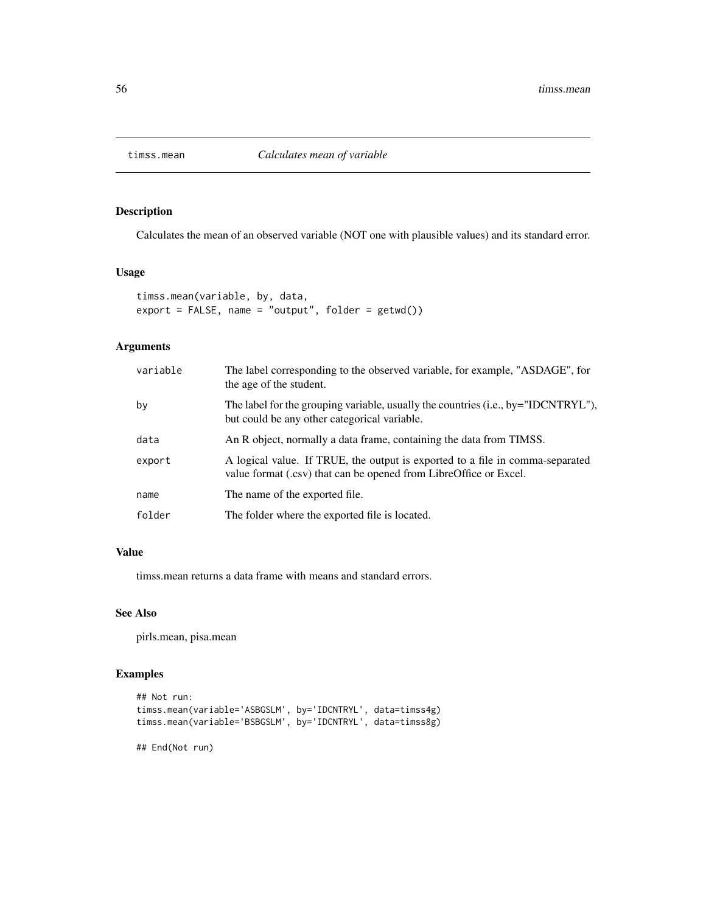<span id="page-55-0"></span>

Calculates the mean of an observed variable (NOT one with plausible values) and its standard error.

# Usage

```
timss.mean(variable, by, data,
export = FALSE, name = "output", folder = getwd())
```
#### Arguments

| variable | The label corresponding to the observed variable, for example, "ASDAGE", for<br>the age of the student.                                            |
|----------|----------------------------------------------------------------------------------------------------------------------------------------------------|
| by       | The label for the grouping variable, usually the countries (i.e., by="IDCNTRYL"),<br>but could be any other categorical variable.                  |
| data     | An R object, normally a data frame, containing the data from TIMSS.                                                                                |
| export   | A logical value. If TRUE, the output is exported to a file in comma-separated<br>value format (.csv) that can be opened from LibreOffice or Excel. |
| name     | The name of the exported file.                                                                                                                     |
| folder   | The folder where the exported file is located.                                                                                                     |

# Value

timss.mean returns a data frame with means and standard errors.

#### See Also

pirls.mean, pisa.mean

# Examples

```
## Not run:
timss.mean(variable='ASBGSLM', by='IDCNTRYL', data=timss4g)
timss.mean(variable='BSBGSLM', by='IDCNTRYL', data=timss8g)
```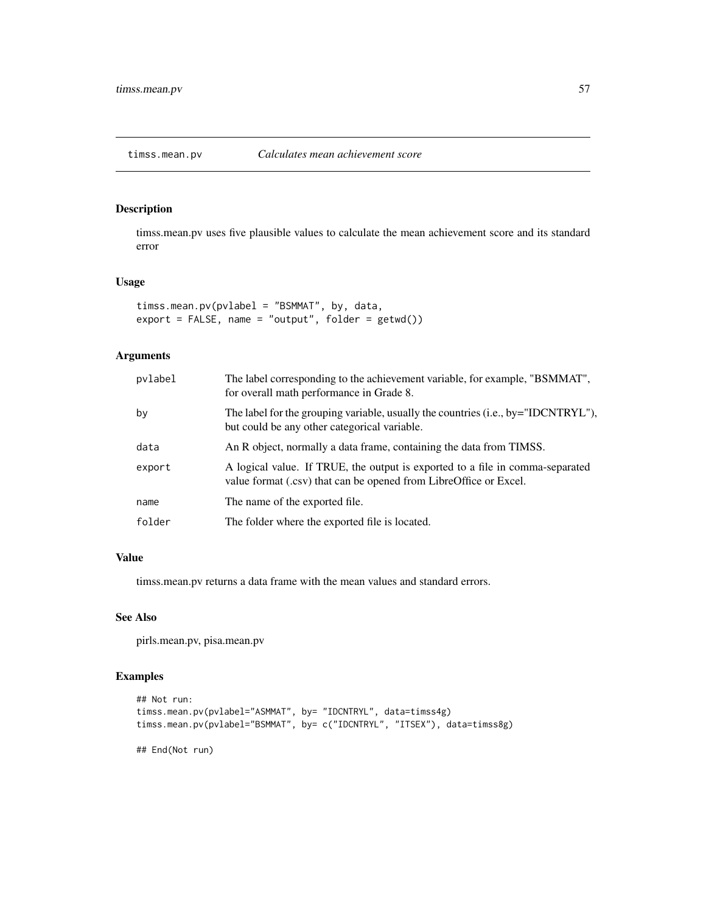<span id="page-56-0"></span>

timss.mean.pv uses five plausible values to calculate the mean achievement score and its standard error

#### Usage

timss.mean.pv(pvlabel = "BSMMAT", by, data, export = FALSE, name = "output", folder = getwd())

# Arguments

| pvlabel | The label corresponding to the achievement variable, for example, "BSMMAT",<br>for overall math performance in Grade 8.                            |
|---------|----------------------------------------------------------------------------------------------------------------------------------------------------|
| by      | The label for the grouping variable, usually the countries (i.e., by="IDCNTRYL"),<br>but could be any other categorical variable.                  |
| data    | An R object, normally a data frame, containing the data from TIMSS.                                                                                |
| export  | A logical value. If TRUE, the output is exported to a file in comma-separated<br>value format (.csv) that can be opened from LibreOffice or Excel. |
| name    | The name of the exported file.                                                                                                                     |
| folder  | The folder where the exported file is located.                                                                                                     |

#### Value

timss.mean.pv returns a data frame with the mean values and standard errors.

# See Also

pirls.mean.pv, pisa.mean.pv

```
## Not run:
timss.mean.pv(pvlabel="ASMMAT", by= "IDCNTRYL", data=timss4g)
timss.mean.pv(pvlabel="BSMMAT", by= c("IDCNTRYL", "ITSEX"), data=timss8g)
## End(Not run)
```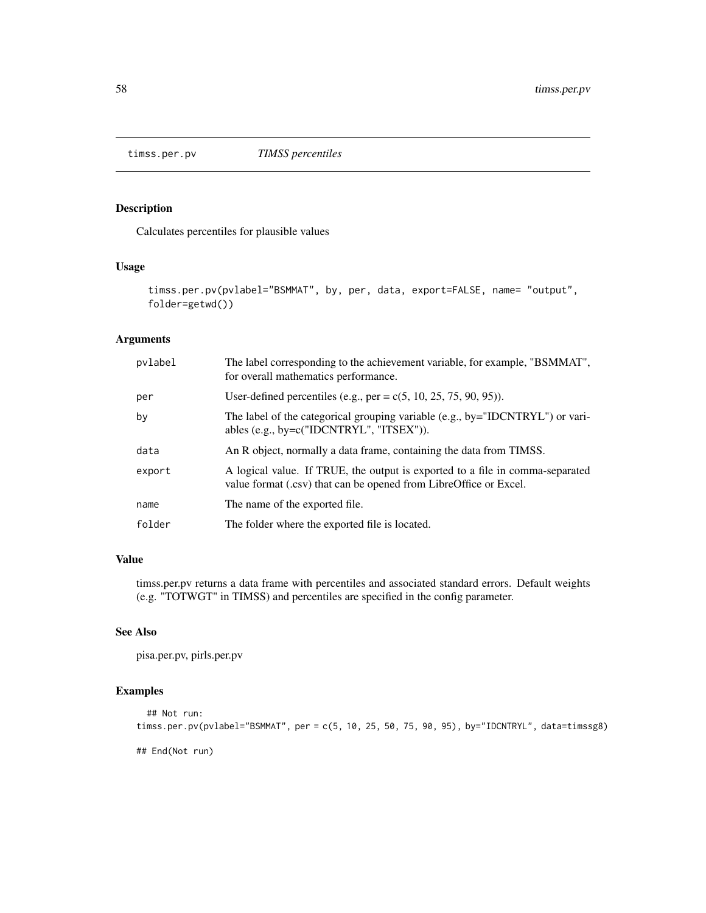<span id="page-57-0"></span>

Calculates percentiles for plausible values

# Usage

```
timss.per.pv(pvlabel="BSMMAT", by, per, data, export=FALSE, name= "output",
folder=getwd())
```
# Arguments

| pvlabel | The label corresponding to the achievement variable, for example, "BSMMAT",<br>for overall mathematics performance.                                |
|---------|----------------------------------------------------------------------------------------------------------------------------------------------------|
| per     | User-defined percentiles (e.g., per = $c(5, 10, 25, 75, 90, 95)$ ).                                                                                |
| by      | The label of the categorical grouping variable (e.g., by="IDCNTRYL") or vari-<br>ables (e.g., by= $c("IDCNTRYL", "ITSEX"))$ ).                     |
| data    | An R object, normally a data frame, containing the data from TIMSS.                                                                                |
| export  | A logical value. If TRUE, the output is exported to a file in comma-separated<br>value format (.csv) that can be opened from LibreOffice or Excel. |
| name    | The name of the exported file.                                                                                                                     |
| folder  | The folder where the exported file is located.                                                                                                     |

# Value

timss.per.pv returns a data frame with percentiles and associated standard errors. Default weights (e.g. "TOTWGT" in TIMSS) and percentiles are specified in the config parameter.

#### See Also

pisa.per.pv, pirls.per.pv

```
## Not run:
timss.per.pv(pvlabel="BSMMAT", per = c(5, 10, 25, 50, 75, 90, 95), by="IDCNTRYL", data=timssg8)
## End(Not run)
```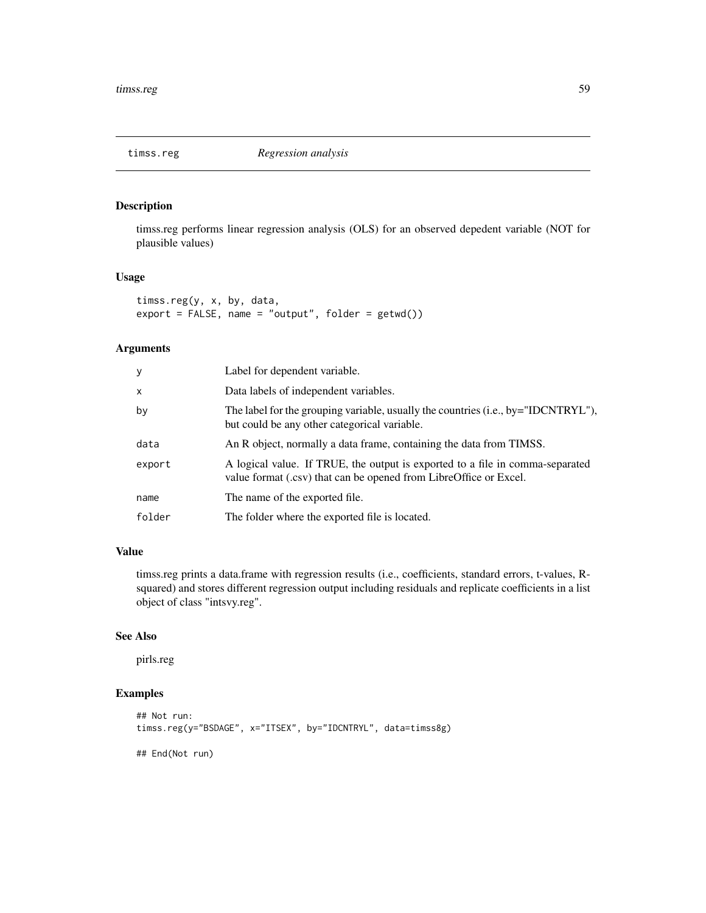<span id="page-58-0"></span>

timss.reg performs linear regression analysis (OLS) for an observed depedent variable (NOT for plausible values)

#### Usage

timss.reg(y, x, by, data,  $export = FALSE, name = "output", folder = getwd())$ 

# Arguments

| У      | Label for dependent variable.                                                                                                                      |
|--------|----------------------------------------------------------------------------------------------------------------------------------------------------|
| X      | Data labels of independent variables.                                                                                                              |
| by     | The label for the grouping variable, usually the countries (i.e., by="IDCNTRYL"),<br>but could be any other categorical variable.                  |
| data   | An R object, normally a data frame, containing the data from TIMSS.                                                                                |
| export | A logical value. If TRUE, the output is exported to a file in comma-separated<br>value format (.csv) that can be opened from LibreOffice or Excel. |
| name   | The name of the exported file.                                                                                                                     |
| folder | The folder where the exported file is located.                                                                                                     |

# Value

timss.reg prints a data.frame with regression results (i.e., coefficients, standard errors, t-values, Rsquared) and stores different regression output including residuals and replicate coefficients in a list object of class "intsvy.reg".

# See Also

pirls.reg

```
## Not run:
timss.reg(y="BSDAGE", x="ITSEX", by="IDCNTRYL", data=timss8g)
## End(Not run)
```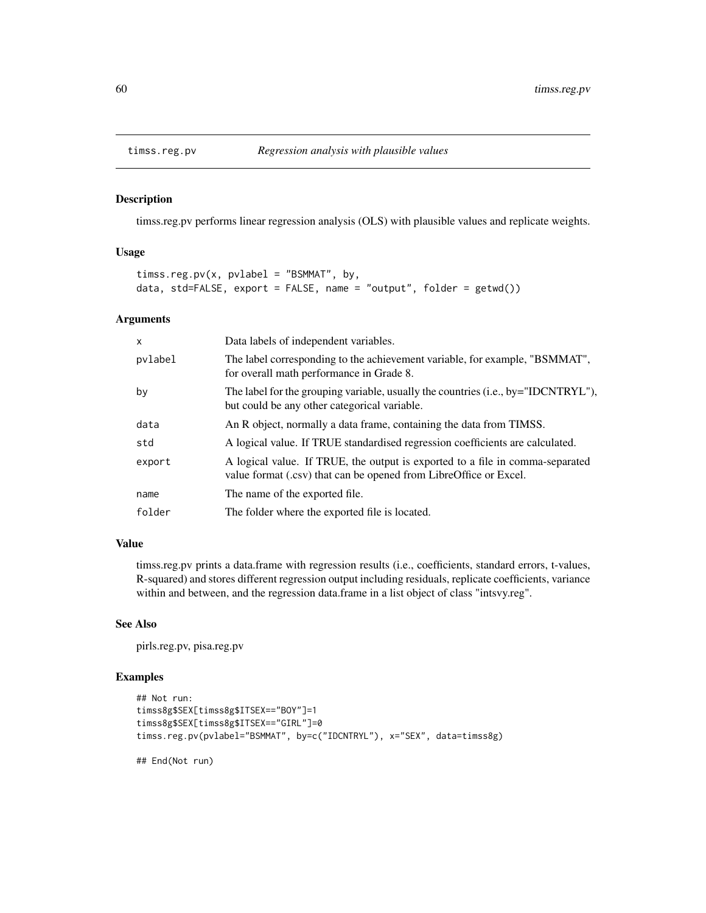<span id="page-59-0"></span>

timss.reg.pv performs linear regression analysis (OLS) with plausible values and replicate weights.

#### Usage

```
timss.reg.pv(x, pvlabel = "BSMMAT", by,
data, std=FALSE, export = FALSE, name = "output", folder = getwd()
```
#### Arguments

| $\mathsf{x}$ | Data labels of independent variables.                                                                                                              |
|--------------|----------------------------------------------------------------------------------------------------------------------------------------------------|
| pvlabel      | The label corresponding to the achievement variable, for example, "BSMMAT",<br>for overall math performance in Grade 8.                            |
| by           | The label for the grouping variable, usually the countries (i.e., by="IDCNTRYL"),<br>but could be any other categorical variable.                  |
| data         | An R object, normally a data frame, containing the data from TIMSS.                                                                                |
| std          | A logical value. If TRUE standardised regression coefficients are calculated.                                                                      |
| export       | A logical value. If TRUE, the output is exported to a file in comma-separated<br>value format (.csv) that can be opened from LibreOffice or Excel. |
| name         | The name of the exported file.                                                                                                                     |
| folder       | The folder where the exported file is located.                                                                                                     |

#### Value

timss.reg.pv prints a data.frame with regression results (i.e., coefficients, standard errors, t-values, R-squared) and stores different regression output including residuals, replicate coefficients, variance within and between, and the regression data.frame in a list object of class "intsvy.reg".

#### See Also

pirls.reg.pv, pisa.reg.pv

#### Examples

```
## Not run:
timss8g$SEX[timss8g$ITSEX=="BOY"]=1
timss8g$SEX[timss8g$ITSEX=="GIRL"]=0
timss.reg.pv(pvlabel="BSMMAT", by=c("IDCNTRYL"), x="SEX", data=timss8g)
```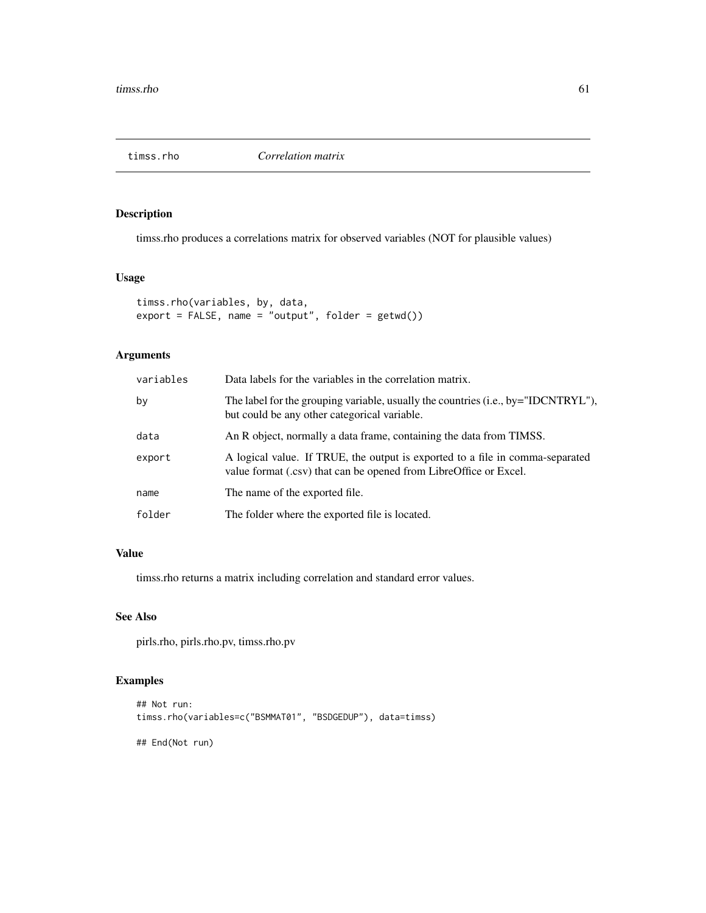<span id="page-60-0"></span>

timss.rho produces a correlations matrix for observed variables (NOT for plausible values)

# Usage

```
timss.rho(variables, by, data,
export = FALSE, name = "output", folder = getwd())
```
# Arguments

| variables | Data labels for the variables in the correlation matrix.                                                                                           |
|-----------|----------------------------------------------------------------------------------------------------------------------------------------------------|
| bv        | The label for the grouping variable, usually the countries (i.e., by="IDCNTRYL"),<br>but could be any other categorical variable.                  |
| data      | An R object, normally a data frame, containing the data from TIMSS.                                                                                |
| export    | A logical value. If TRUE, the output is exported to a file in comma-separated<br>value format (.csv) that can be opened from LibreOffice or Excel. |
| name      | The name of the exported file.                                                                                                                     |
| folder    | The folder where the exported file is located.                                                                                                     |

# Value

timss.rho returns a matrix including correlation and standard error values.

# See Also

pirls.rho, pirls.rho.pv, timss.rho.pv

```
## Not run:
timss.rho(variables=c("BSMMAT01", "BSDGEDUP"), data=timss)
## End(Not run)
```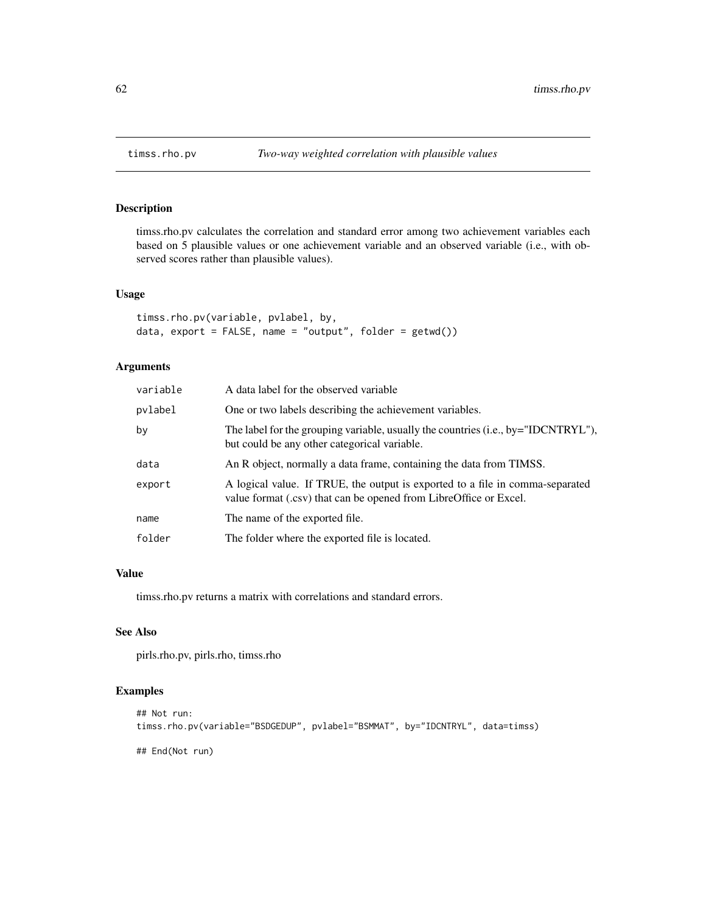<span id="page-61-0"></span>

timss.rho.pv calculates the correlation and standard error among two achievement variables each based on 5 plausible values or one achievement variable and an observed variable (i.e., with observed scores rather than plausible values).

#### Usage

```
timss.rho.pv(variable, pvlabel, by,
data, export = FALSE, name = "output", folder = getwd())
```
# Arguments

| variable | A data label for the observed variable                                                                                                             |
|----------|----------------------------------------------------------------------------------------------------------------------------------------------------|
| pvlabel  | One or two labels describing the achievement variables.                                                                                            |
| by       | The label for the grouping variable, usually the countries (i.e., by="IDCNTRYL"),<br>but could be any other categorical variable.                  |
| data     | An R object, normally a data frame, containing the data from TIMSS.                                                                                |
| export   | A logical value. If TRUE, the output is exported to a file in comma-separated<br>value format (.csv) that can be opened from LibreOffice or Excel. |
| name     | The name of the exported file.                                                                                                                     |
| folder   | The folder where the exported file is located.                                                                                                     |

#### Value

timss.rho.pv returns a matrix with correlations and standard errors.

#### See Also

pirls.rho.pv, pirls.rho, timss.rho

# Examples

```
## Not run:
timss.rho.pv(variable="BSDGEDUP", pvlabel="BSMMAT", by="IDCNTRYL", data=timss)
```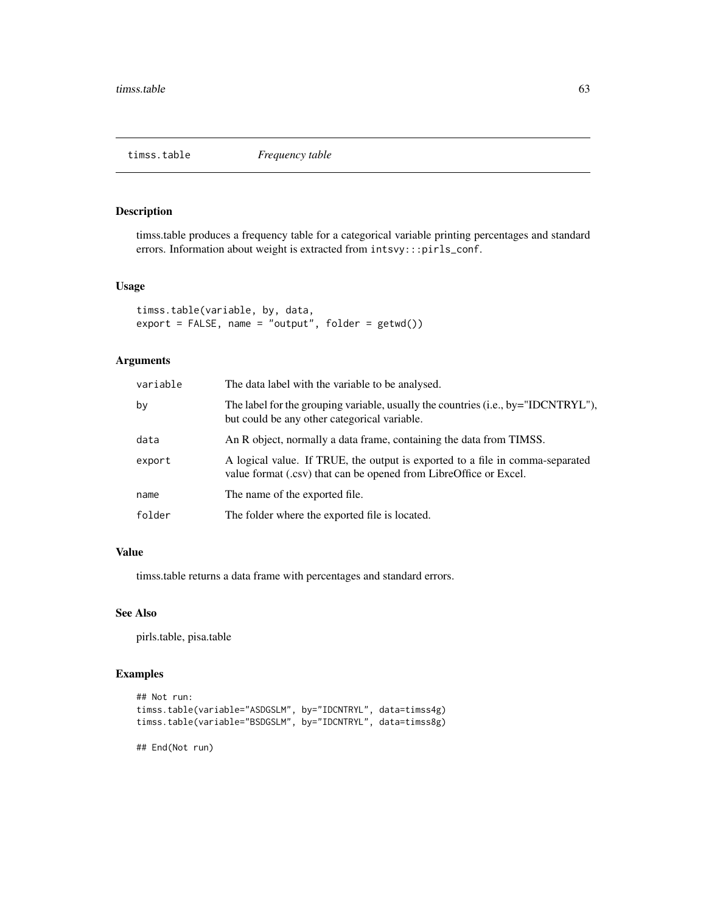<span id="page-62-0"></span>

timss.table produces a frequency table for a categorical variable printing percentages and standard errors. Information about weight is extracted from intsvy:::pirls\_conf.

#### Usage

```
timss.table(variable, by, data,
export = FALSE, name = "output", folder = getwd())
```
# Arguments

| variable | The data label with the variable to be analysed.                                                                                                   |
|----------|----------------------------------------------------------------------------------------------------------------------------------------------------|
| bv       | The label for the grouping variable, usually the countries (i.e., by="IDCNTRYL"),<br>but could be any other categorical variable.                  |
| data     | An R object, normally a data frame, containing the data from TIMSS.                                                                                |
| export   | A logical value. If TRUE, the output is exported to a file in comma-separated<br>value format (.csv) that can be opened from LibreOffice or Excel. |
| name     | The name of the exported file.                                                                                                                     |
| folder   | The folder where the exported file is located.                                                                                                     |
|          |                                                                                                                                                    |

#### Value

timss.table returns a data frame with percentages and standard errors.

#### See Also

pirls.table, pisa.table

#### Examples

```
## Not run:
timss.table(variable="ASDGSLM", by="IDCNTRYL", data=timss4g)
timss.table(variable="BSDGSLM", by="IDCNTRYL", data=timss8g)
```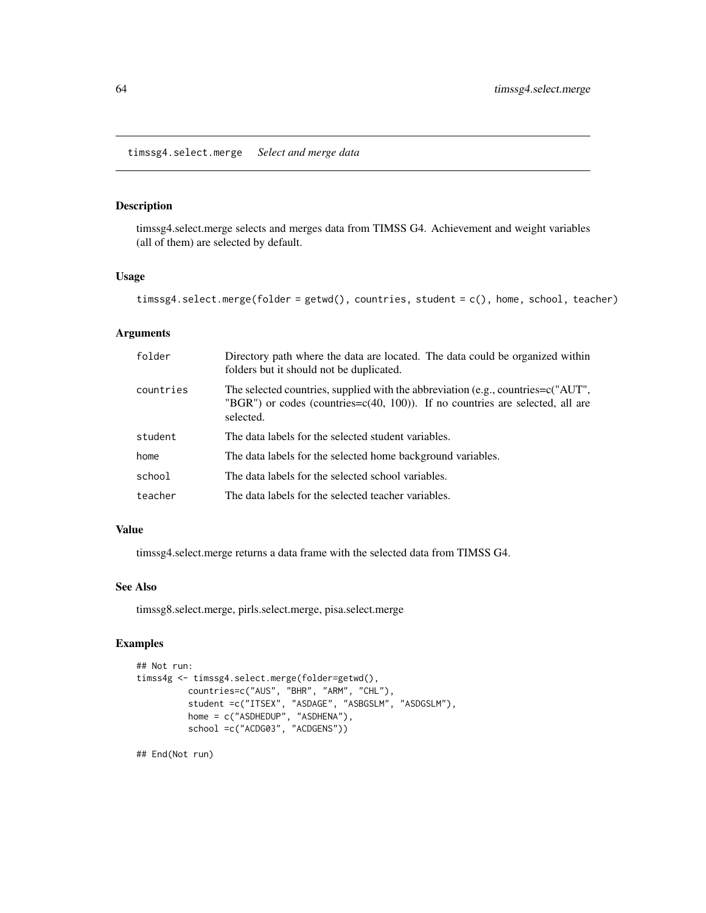<span id="page-63-0"></span>timssg4.select.merge *Select and merge data*

# Description

timssg4.select.merge selects and merges data from TIMSS G4. Achievement and weight variables (all of them) are selected by default.

#### Usage

```
timssg4.select.merge(folder = getwd(), countries, student = c(), home, school, teacher)
```
#### Arguments

| folder    | Directory path where the data are located. The data could be organized within<br>folders but it should not be duplicated.                                                             |
|-----------|---------------------------------------------------------------------------------------------------------------------------------------------------------------------------------------|
| countries | The selected countries, supplied with the abbreviation (e.g., countries= $c("AUT",$<br>"BGR") or codes (countries= $c(40, 100)$ ). If no countries are selected, all are<br>selected. |
| student   | The data labels for the selected student variables.                                                                                                                                   |
| home      | The data labels for the selected home background variables.                                                                                                                           |
| school    | The data labels for the selected school variables.                                                                                                                                    |
| teacher   | The data labels for the selected teacher variables.                                                                                                                                   |

#### Value

timssg4.select.merge returns a data frame with the selected data from TIMSS G4.

#### See Also

timssg8.select.merge, pirls.select.merge, pisa.select.merge

# Examples

```
## Not run:
timss4g <- timssg4.select.merge(folder=getwd(),
         countries=c("AUS", "BHR", "ARM", "CHL"),
          student =c("ITSEX", "ASDAGE", "ASBGSLM", "ASDGSLM"),
          home = c("ASDHEDUP", "ASDHENA"),
          school =c("ACDG03", "ACDGENS"))
```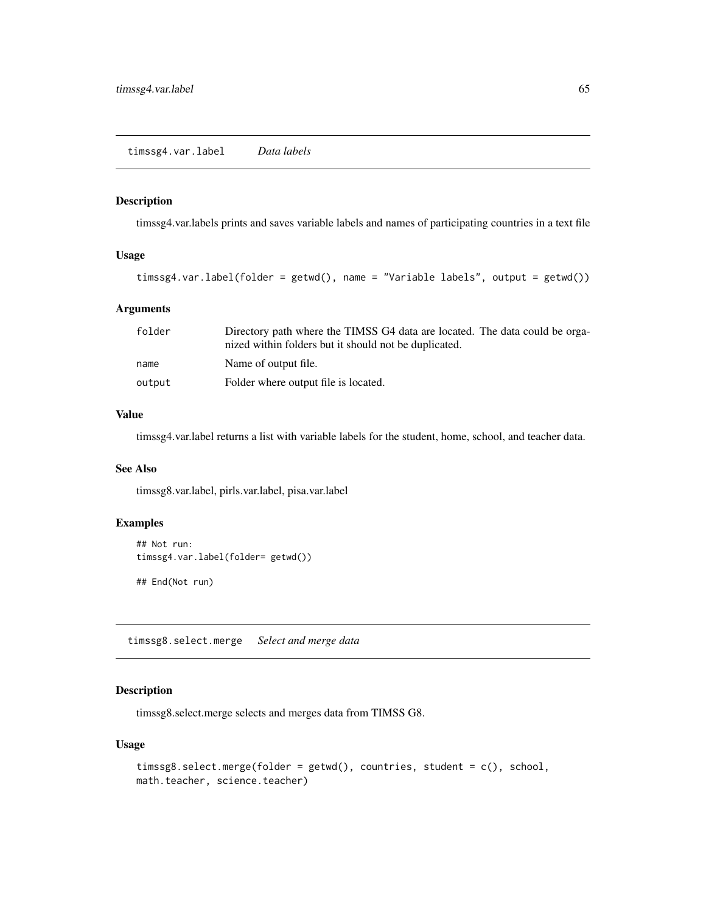<span id="page-64-0"></span>timssg4.var.labels prints and saves variable labels and names of participating countries in a text file

# Usage

```
timssg4.var.label(folder = getwd(), name = "Variable labels", output = getwd())
```
#### Arguments

| folder | Directory path where the TIMSS G4 data are located. The data could be orga-<br>nized within folders but it should not be duplicated. |
|--------|--------------------------------------------------------------------------------------------------------------------------------------|
| name   | Name of output file.                                                                                                                 |
| output | Folder where output file is located.                                                                                                 |

#### Value

timssg4.var.label returns a list with variable labels for the student, home, school, and teacher data.

# See Also

timssg8.var.label, pirls.var.label, pisa.var.label

#### Examples

```
## Not run:
timssg4.var.label(folder= getwd())
```
## End(Not run)

timssg8.select.merge *Select and merge data*

# Description

timssg8.select.merge selects and merges data from TIMSS G8.

```
timssg8.select.merge(folder = getwd(), countries, student = c(), school,
math.teacher, science.teacher)
```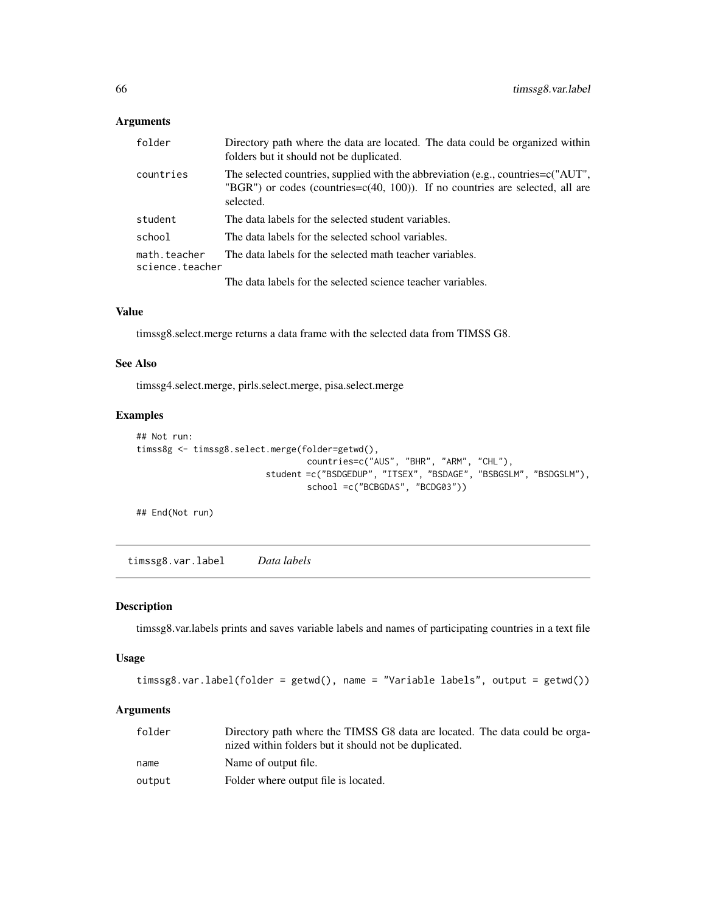# <span id="page-65-0"></span>Arguments

| folder                          | Directory path where the data are located. The data could be organized within<br>folders but it should not be duplicated.                                                             |
|---------------------------------|---------------------------------------------------------------------------------------------------------------------------------------------------------------------------------------|
| countries                       | The selected countries, supplied with the abbreviation (e.g., countries= $c("AUT",$<br>"BGR") or codes (countries= $c(40, 100)$ ). If no countries are selected, all are<br>selected. |
| student                         | The data labels for the selected student variables.                                                                                                                                   |
| school                          | The data labels for the selected school variables.                                                                                                                                    |
| math.teacher<br>science.teacher | The data labels for the selected math teacher variables.                                                                                                                              |
|                                 | The data labels for the selected science teacher variables.                                                                                                                           |

# Value

timssg8.select.merge returns a data frame with the selected data from TIMSS G8.

#### See Also

timssg4.select.merge, pirls.select.merge, pisa.select.merge

# Examples

```
## Not run:
timss8g <- timssg8.select.merge(folder=getwd(),
                                  countries=c("AUS", "BHR", "ARM", "CHL"),
                          student =c("BSDGEDUP", "ITSEX", "BSDAGE", "BSBGSLM", "BSDGSLM"),
                                 school =c("BCBGDAS", "BCDG03"))
```
## End(Not run)

timssg8.var.label *Data labels*

#### Description

timssg8.var.labels prints and saves variable labels and names of participating countries in a text file

# Usage

```
timssg8.var.label(folder = getwd(), name = "Variable labels", output = getwd())
```

| folder | Directory path where the TIMSS G8 data are located. The data could be orga- |
|--------|-----------------------------------------------------------------------------|
|        | nized within folders but it should not be duplicated.                       |
| name   | Name of output file.                                                        |
| output | Folder where output file is located.                                        |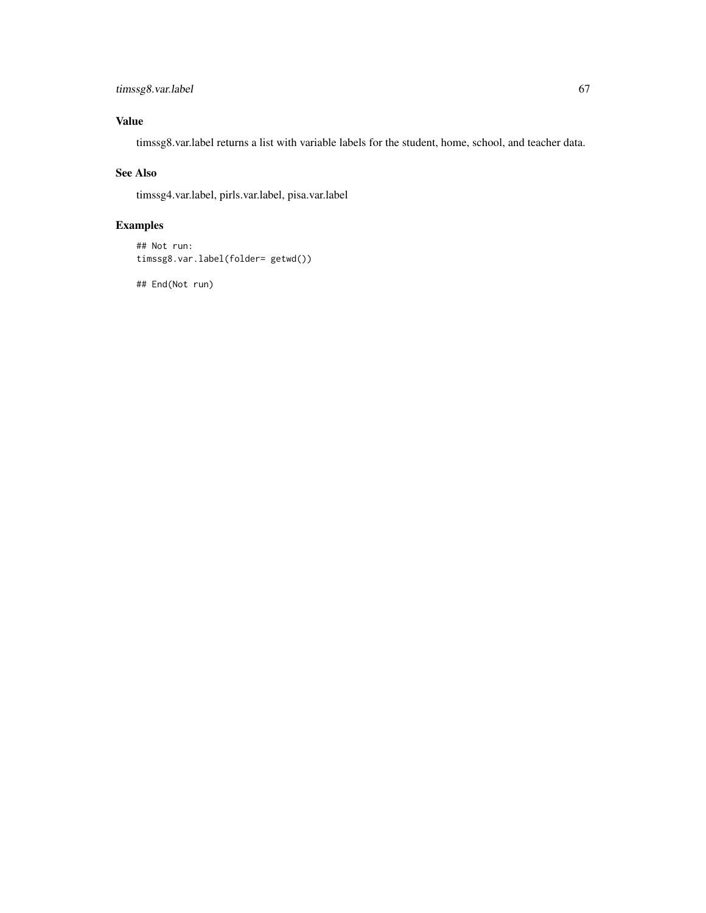# timssg8.var.label 67

# Value

timssg8.var.label returns a list with variable labels for the student, home, school, and teacher data.

# See Also

timssg4.var.label, pirls.var.label, pisa.var.label

# Examples

```
## Not run:
timssg8.var.label(folder= getwd())
```